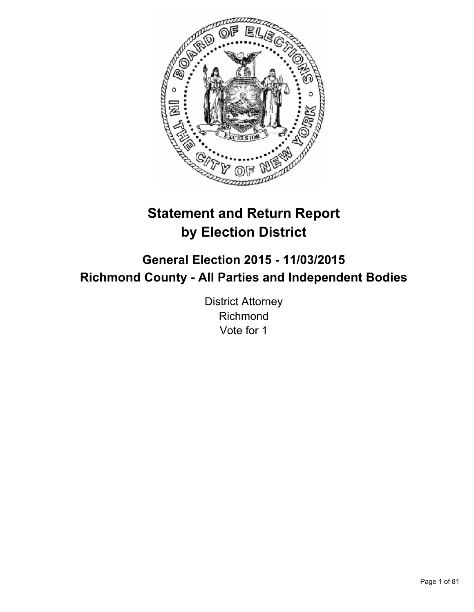

# **Statement and Return Report by Election District**

**General Election 2015 - 11/03/2015 Richmond County - All Parties and Independent Bodies**

> District Attorney Richmond Vote for 1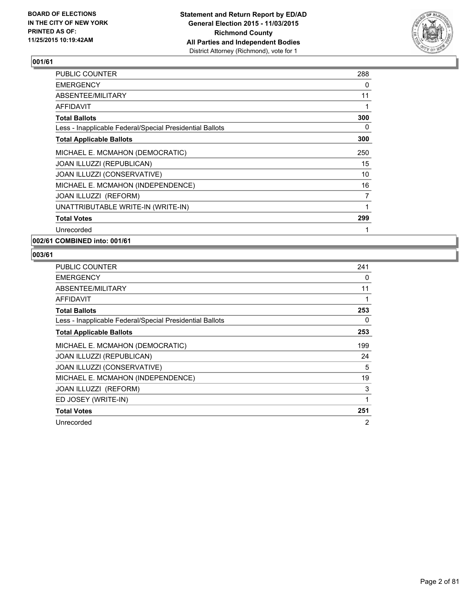

| <b>PUBLIC COUNTER</b>                                    | 288 |
|----------------------------------------------------------|-----|
| <b>EMERGENCY</b>                                         | 0   |
| ABSENTEE/MILITARY                                        | 11  |
| AFFIDAVIT                                                | 1   |
| <b>Total Ballots</b>                                     | 300 |
| Less - Inapplicable Federal/Special Presidential Ballots | 0   |
| <b>Total Applicable Ballots</b>                          | 300 |
| MICHAEL E. MCMAHON (DEMOCRATIC)                          | 250 |
| JOAN ILLUZZI (REPUBLICAN)                                | 15  |
| JOAN ILLUZZI (CONSERVATIVE)                              | 10  |
| MICHAEL E. MCMAHON (INDEPENDENCE)                        | 16  |
| JOAN ILLUZZI (REFORM)                                    | 7   |
| UNATTRIBUTABLE WRITE-IN (WRITE-IN)                       | 1   |
| <b>Total Votes</b>                                       | 299 |
| Unrecorded                                               |     |
|                                                          |     |

**002/61 COMBINED into: 001/61**

| <b>PUBLIC COUNTER</b>                                    | 241 |
|----------------------------------------------------------|-----|
| <b>EMERGENCY</b>                                         | 0   |
| ABSENTEE/MILITARY                                        | 11  |
| <b>AFFIDAVIT</b>                                         | 1   |
| <b>Total Ballots</b>                                     | 253 |
| Less - Inapplicable Federal/Special Presidential Ballots | 0   |
| <b>Total Applicable Ballots</b>                          | 253 |
| MICHAEL E. MCMAHON (DEMOCRATIC)                          | 199 |
| JOAN ILLUZZI (REPUBLICAN)                                | 24  |
| JOAN ILLUZZI (CONSERVATIVE)                              | 5   |
| MICHAEL E. MCMAHON (INDEPENDENCE)                        | 19  |
| <b>JOAN ILLUZZI (REFORM)</b>                             | 3   |
| ED JOSEY (WRITE-IN)                                      | 1   |
| <b>Total Votes</b>                                       | 251 |
| Unrecorded                                               | 2   |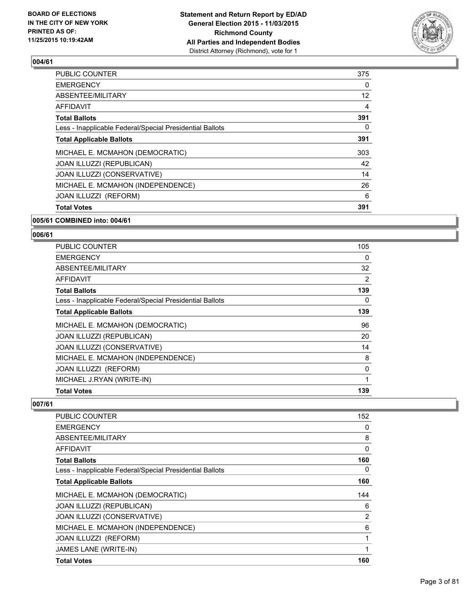

| <b>Total Votes</b>                                       | 391               |
|----------------------------------------------------------|-------------------|
| JOAN ILLUZZI (REFORM)                                    | 6                 |
| MICHAEL E. MCMAHON (INDEPENDENCE)                        | 26                |
| JOAN ILLUZZI (CONSERVATIVE)                              | 14                |
| JOAN ILLUZZI (REPUBLICAN)                                | 42                |
| MICHAEL E. MCMAHON (DEMOCRATIC)                          | 303               |
| <b>Total Applicable Ballots</b>                          | 391               |
| Less - Inapplicable Federal/Special Presidential Ballots | 0                 |
| <b>Total Ballots</b>                                     | 391               |
| AFFIDAVIT                                                | 4                 |
| ABSENTEE/MILITARY                                        | $12 \overline{ }$ |
| <b>EMERGENCY</b>                                         | 0                 |
| <b>PUBLIC COUNTER</b>                                    | 375               |

#### **005/61 COMBINED into: 004/61**

## **006/61**

| <b>PUBLIC COUNTER</b>                                    | 105 |
|----------------------------------------------------------|-----|
| <b>EMERGENCY</b>                                         | 0   |
| ABSENTEE/MILITARY                                        | 32  |
| <b>AFFIDAVIT</b>                                         | 2   |
| <b>Total Ballots</b>                                     | 139 |
| Less - Inapplicable Federal/Special Presidential Ballots | 0   |
| <b>Total Applicable Ballots</b>                          | 139 |
| MICHAEL E. MCMAHON (DEMOCRATIC)                          | 96  |
| JOAN ILLUZZI (REPUBLICAN)                                | 20  |
| JOAN ILLUZZI (CONSERVATIVE)                              | 14  |
| MICHAEL E. MCMAHON (INDEPENDENCE)                        | 8   |
| <b>JOAN ILLUZZI (REFORM)</b>                             | 0   |
| MICHAEL J.RYAN (WRITE-IN)                                | 1   |
| <b>Total Votes</b>                                       | 139 |

| <b>PUBLIC COUNTER</b>                                    | 152            |
|----------------------------------------------------------|----------------|
| <b>EMERGENCY</b>                                         | 0              |
| ABSENTEE/MILITARY                                        | 8              |
| <b>AFFIDAVIT</b>                                         | 0              |
| <b>Total Ballots</b>                                     | 160            |
| Less - Inapplicable Federal/Special Presidential Ballots | 0              |
| <b>Total Applicable Ballots</b>                          | 160            |
| MICHAEL E. MCMAHON (DEMOCRATIC)                          | 144            |
| <b>JOAN ILLUZZI (REPUBLICAN)</b>                         | 6              |
| JOAN ILLUZZI (CONSERVATIVE)                              | $\overline{2}$ |
| MICHAEL E. MCMAHON (INDEPENDENCE)                        | 6              |
| JOAN ILLUZZI (REFORM)                                    | 1              |
| JAMES LANE (WRITE-IN)                                    | 1              |
| <b>Total Votes</b>                                       | 160            |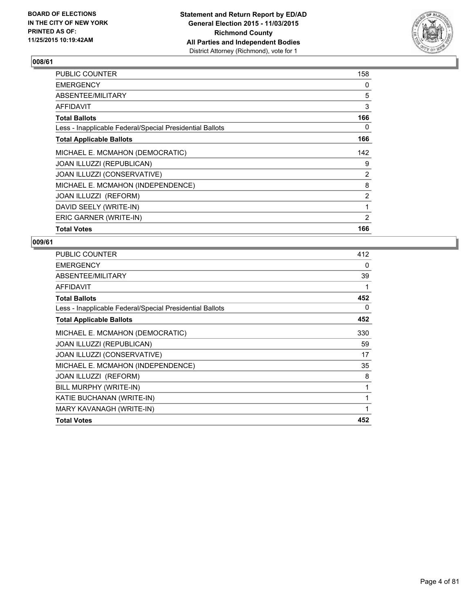

| PUBLIC COUNTER                                           | 158            |
|----------------------------------------------------------|----------------|
| <b>EMERGENCY</b>                                         | 0              |
| ABSENTEE/MILITARY                                        | 5              |
| AFFIDAVIT                                                | 3              |
| <b>Total Ballots</b>                                     | 166            |
| Less - Inapplicable Federal/Special Presidential Ballots | 0              |
| <b>Total Applicable Ballots</b>                          | 166            |
| MICHAEL E. MCMAHON (DEMOCRATIC)                          | 142            |
| JOAN ILLUZZI (REPUBLICAN)                                | 9              |
| JOAN ILLUZZI (CONSERVATIVE)                              | $\overline{2}$ |
| MICHAEL E. MCMAHON (INDEPENDENCE)                        | 8              |
| JOAN ILLUZZI (REFORM)                                    | $\overline{2}$ |
| DAVID SEELY (WRITE-IN)                                   |                |
| ERIC GARNER (WRITE-IN)                                   | $\overline{2}$ |
| <b>Total Votes</b>                                       | 166            |

| PUBLIC COUNTER                                           | 412 |
|----------------------------------------------------------|-----|
| <b>EMERGENCY</b>                                         | 0   |
| ABSENTEE/MILITARY                                        | 39  |
| <b>AFFIDAVIT</b>                                         |     |
| <b>Total Ballots</b>                                     | 452 |
| Less - Inapplicable Federal/Special Presidential Ballots | 0   |
| <b>Total Applicable Ballots</b>                          | 452 |
| MICHAEL E. MCMAHON (DEMOCRATIC)                          | 330 |
| <b>JOAN ILLUZZI (REPUBLICAN)</b>                         | 59  |
| <b>JOAN ILLUZZI (CONSERVATIVE)</b>                       | 17  |
| MICHAEL E. MCMAHON (INDEPENDENCE)                        | 35  |
| <b>JOAN ILLUZZI (REFORM)</b>                             | 8   |
| BILL MURPHY (WRITE-IN)                                   | 1   |
| KATIE BUCHANAN (WRITE-IN)                                | 1   |
| MARY KAVANAGH (WRITE-IN)                                 | 1   |
| <b>Total Votes</b>                                       | 452 |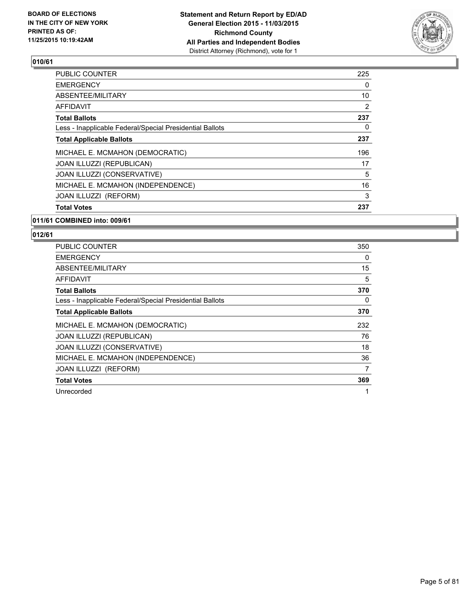

| <b>Total Votes</b>                                       | 237 |
|----------------------------------------------------------|-----|
| <b>JOAN ILLUZZI (REFORM)</b>                             | 3   |
| MICHAEL E. MCMAHON (INDEPENDENCE)                        | 16  |
| JOAN ILLUZZI (CONSERVATIVE)                              | 5   |
| <b>JOAN ILLUZZI (REPUBLICAN)</b>                         | 17  |
| MICHAEL E. MCMAHON (DEMOCRATIC)                          | 196 |
| <b>Total Applicable Ballots</b>                          | 237 |
| Less - Inapplicable Federal/Special Presidential Ballots | 0   |
| <b>Total Ballots</b>                                     | 237 |
| AFFIDAVIT                                                | 2   |
| ABSENTEE/MILITARY                                        | 10  |
| <b>EMERGENCY</b>                                         | 0   |
| <b>PUBLIC COUNTER</b>                                    | 225 |

#### **011/61 COMBINED into: 009/61**

| PUBLIC COUNTER                                           | 350 |
|----------------------------------------------------------|-----|
| EMERGENCY                                                | 0   |
| ABSENTEE/MILITARY                                        | 15  |
| <b>AFFIDAVIT</b>                                         | 5   |
| <b>Total Ballots</b>                                     | 370 |
| Less - Inapplicable Federal/Special Presidential Ballots | 0   |
| <b>Total Applicable Ballots</b>                          | 370 |
| MICHAEL E. MCMAHON (DEMOCRATIC)                          | 232 |
| JOAN ILLUZZI (REPUBLICAN)                                | 76  |
| JOAN ILLUZZI (CONSERVATIVE)                              | 18  |
| MICHAEL E. MCMAHON (INDEPENDENCE)                        | 36  |
| <b>JOAN ILLUZZI (REFORM)</b>                             | 7   |
| <b>Total Votes</b>                                       | 369 |
| Unrecorded                                               | 1   |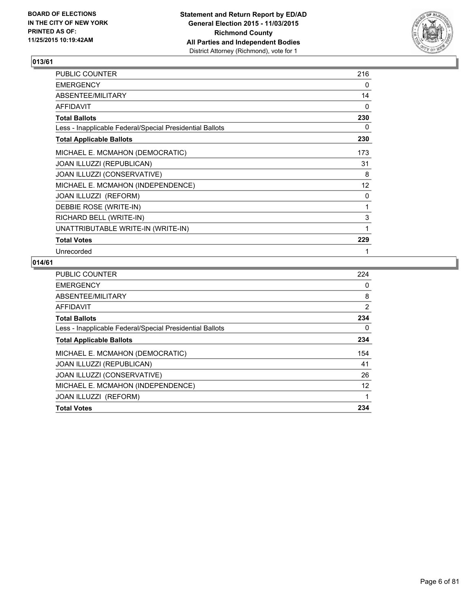

| PUBLIC COUNTER                                           | 216 |
|----------------------------------------------------------|-----|
| <b>EMERGENCY</b>                                         | 0   |
| ABSENTEE/MILITARY                                        | 14  |
| <b>AFFIDAVIT</b>                                         | 0   |
| <b>Total Ballots</b>                                     | 230 |
| Less - Inapplicable Federal/Special Presidential Ballots | 0   |
| <b>Total Applicable Ballots</b>                          | 230 |
| MICHAEL E. MCMAHON (DEMOCRATIC)                          | 173 |
| JOAN ILLUZZI (REPUBLICAN)                                | 31  |
| JOAN ILLUZZI (CONSERVATIVE)                              | 8   |
| MICHAEL E. MCMAHON (INDEPENDENCE)                        | 12  |
| <b>JOAN ILLUZZI (REFORM)</b>                             | 0   |
| DEBBIE ROSE (WRITE-IN)                                   | 1   |
| RICHARD BELL (WRITE-IN)                                  | 3   |
| UNATTRIBUTABLE WRITE-IN (WRITE-IN)                       | 1   |
| <b>Total Votes</b>                                       | 229 |
| Unrecorded                                               | 1   |

| <b>PUBLIC COUNTER</b>                                    | 224            |
|----------------------------------------------------------|----------------|
| <b>EMERGENCY</b>                                         | 0              |
| ABSENTEE/MILITARY                                        | 8              |
| AFFIDAVIT                                                | $\overline{2}$ |
| <b>Total Ballots</b>                                     | 234            |
| Less - Inapplicable Federal/Special Presidential Ballots | 0              |
| <b>Total Applicable Ballots</b>                          | 234            |
| MICHAEL E. MCMAHON (DEMOCRATIC)                          | 154            |
| JOAN ILLUZZI (REPUBLICAN)                                | 41             |
| JOAN ILLUZZI (CONSERVATIVE)                              | 26             |
| MICHAEL E. MCMAHON (INDEPENDENCE)                        | 12             |
| <b>JOAN ILLUZZI (REFORM)</b>                             | 1              |
| <b>Total Votes</b>                                       | 234            |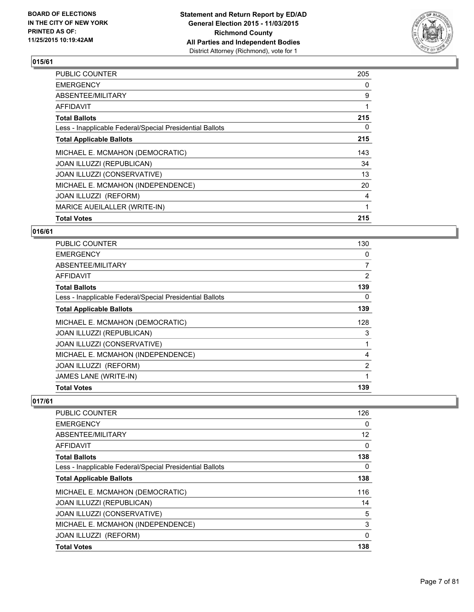

| <b>PUBLIC COUNTER</b>                                    | 205 |
|----------------------------------------------------------|-----|
| <b>EMERGENCY</b>                                         | 0   |
| ABSENTEE/MILITARY                                        | 9   |
| AFFIDAVIT                                                |     |
| <b>Total Ballots</b>                                     | 215 |
| Less - Inapplicable Federal/Special Presidential Ballots | 0   |
| <b>Total Applicable Ballots</b>                          | 215 |
| MICHAEL E. MCMAHON (DEMOCRATIC)                          | 143 |
| JOAN ILLUZZI (REPUBLICAN)                                | 34  |
| JOAN ILLUZZI (CONSERVATIVE)                              | 13  |
| MICHAEL E. MCMAHON (INDEPENDENCE)                        | 20  |
| JOAN ILLUZZI (REFORM)                                    | 4   |
| MARICE AUEILALLER (WRITE-IN)                             | 1   |
| <b>Total Votes</b>                                       | 215 |

## **016/61**

| <b>PUBLIC COUNTER</b>                                    | 130            |
|----------------------------------------------------------|----------------|
| <b>EMERGENCY</b>                                         | 0              |
| ABSENTEE/MILITARY                                        | $\overline{7}$ |
| <b>AFFIDAVIT</b>                                         | $\overline{2}$ |
| <b>Total Ballots</b>                                     | 139            |
| Less - Inapplicable Federal/Special Presidential Ballots | 0              |
| <b>Total Applicable Ballots</b>                          | 139            |
| MICHAEL E. MCMAHON (DEMOCRATIC)                          | 128            |
| JOAN ILLUZZI (REPUBLICAN)                                | 3              |
| JOAN ILLUZZI (CONSERVATIVE)                              |                |
| MICHAEL E. MCMAHON (INDEPENDENCE)                        | 4              |
| <b>JOAN ILLUZZI (REFORM)</b>                             | 2              |
| <b>JAMES LANE (WRITE-IN)</b>                             | 1              |
| <b>Total Votes</b>                                       | 139            |

| <b>PUBLIC COUNTER</b>                                    | 126 |
|----------------------------------------------------------|-----|
| <b>EMERGENCY</b>                                         | 0   |
| ABSENTEE/MILITARY                                        | 12  |
| AFFIDAVIT                                                | 0   |
| <b>Total Ballots</b>                                     | 138 |
| Less - Inapplicable Federal/Special Presidential Ballots | 0   |
| <b>Total Applicable Ballots</b>                          | 138 |
| MICHAEL E. MCMAHON (DEMOCRATIC)                          | 116 |
| <b>JOAN ILLUZZI (REPUBLICAN)</b>                         | 14  |
| JOAN ILLUZZI (CONSERVATIVE)                              | 5   |
| MICHAEL E. MCMAHON (INDEPENDENCE)                        | 3   |
| JOAN ILLUZZI (REFORM)                                    | 0   |
| <b>Total Votes</b>                                       | 138 |
|                                                          |     |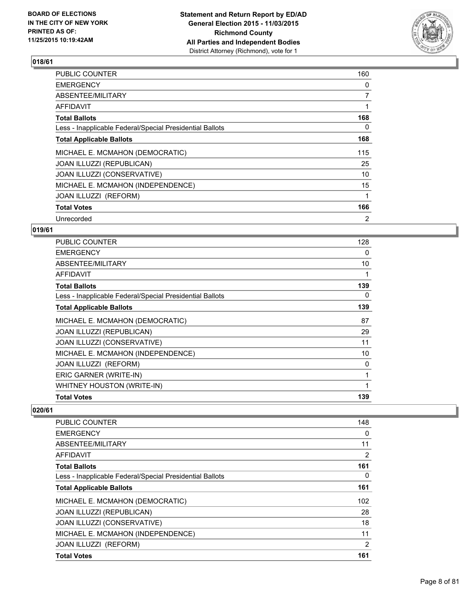

| <b>PUBLIC COUNTER</b>                                    | 160            |
|----------------------------------------------------------|----------------|
| <b>EMERGENCY</b>                                         | 0              |
| ABSENTEE/MILITARY                                        | $\overline{7}$ |
| AFFIDAVIT                                                |                |
| <b>Total Ballots</b>                                     | 168            |
| Less - Inapplicable Federal/Special Presidential Ballots | 0              |
| <b>Total Applicable Ballots</b>                          | 168            |
| MICHAEL E. MCMAHON (DEMOCRATIC)                          | 115            |
| JOAN ILLUZZI (REPUBLICAN)                                | 25             |
| JOAN ILLUZZI (CONSERVATIVE)                              | 10             |
| MICHAEL E. MCMAHON (INDEPENDENCE)                        | 15             |
| JOAN ILLUZZI (REFORM)                                    | 1              |
| <b>Total Votes</b>                                       | 166            |
| Unrecorded                                               | 2              |

## **019/61**

| <b>PUBLIC COUNTER</b>                                    | 128 |
|----------------------------------------------------------|-----|
| <b>EMERGENCY</b>                                         | 0   |
| ABSENTEE/MILITARY                                        | 10  |
| AFFIDAVIT                                                |     |
| Total Ballots                                            | 139 |
| Less - Inapplicable Federal/Special Presidential Ballots | 0   |
| <b>Total Applicable Ballots</b>                          | 139 |
| MICHAEL E. MCMAHON (DEMOCRATIC)                          | 87  |
| JOAN ILLUZZI (REPUBLICAN)                                | 29  |
| JOAN ILLUZZI (CONSERVATIVE)                              | 11  |
| MICHAEL E. MCMAHON (INDEPENDENCE)                        | 10  |
| JOAN ILLUZZI (REFORM)                                    | 0   |
| ERIC GARNER (WRITE-IN)                                   |     |
| WHITNEY HOUSTON (WRITE-IN)                               | 1   |
| <b>Total Votes</b>                                       | 139 |

| <b>PUBLIC COUNTER</b>                                    | 148            |
|----------------------------------------------------------|----------------|
| <b>EMERGENCY</b>                                         | 0              |
| ABSENTEE/MILITARY                                        | 11             |
| AFFIDAVIT                                                | 2              |
| <b>Total Ballots</b>                                     | 161            |
| Less - Inapplicable Federal/Special Presidential Ballots | 0              |
| <b>Total Applicable Ballots</b>                          | 161            |
| MICHAEL E. MCMAHON (DEMOCRATIC)                          | 102            |
| JOAN ILLUZZI (REPUBLICAN)                                | 28             |
| JOAN ILLUZZI (CONSERVATIVE)                              | 18             |
| MICHAEL E. MCMAHON (INDEPENDENCE)                        | 11             |
| JOAN ILLUZZI (REFORM)                                    | $\overline{2}$ |
| <b>Total Votes</b>                                       | 161            |
|                                                          |                |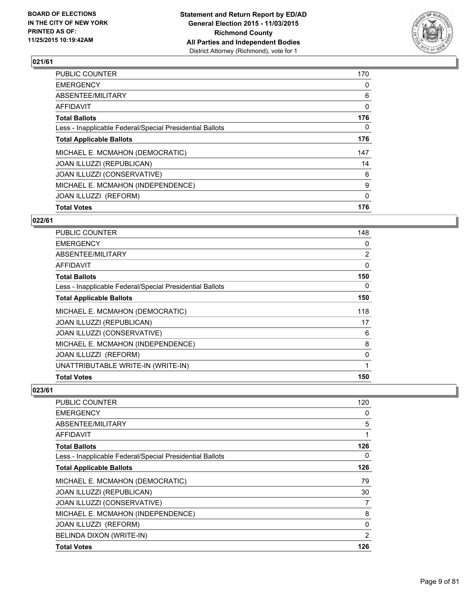

| <b>Total Votes</b>                                       | 176          |
|----------------------------------------------------------|--------------|
| JOAN ILLUZZI (REFORM)                                    | 0            |
| MICHAEL E. MCMAHON (INDEPENDENCE)                        | 9            |
| JOAN ILLUZZI (CONSERVATIVE)                              | 6            |
| JOAN ILLUZZI (REPUBLICAN)                                | 14           |
| MICHAEL E. MCMAHON (DEMOCRATIC)                          | 147          |
| <b>Total Applicable Ballots</b>                          | 176          |
| Less - Inapplicable Federal/Special Presidential Ballots | 0            |
| <b>Total Ballots</b>                                     | 176          |
| <b>AFFIDAVIT</b>                                         | $\mathbf{0}$ |
| ABSENTEE/MILITARY                                        | 6            |
| <b>EMERGENCY</b>                                         | 0            |
| <b>PUBLIC COUNTER</b>                                    | 170          |

#### **022/61**

| <b>PUBLIC COUNTER</b>                                    | 148            |
|----------------------------------------------------------|----------------|
| <b>EMERGENCY</b>                                         | 0              |
| ABSENTEE/MILITARY                                        | $\overline{2}$ |
| AFFIDAVIT                                                | $\Omega$       |
| <b>Total Ballots</b>                                     | 150            |
| Less - Inapplicable Federal/Special Presidential Ballots | 0              |
| <b>Total Applicable Ballots</b>                          | 150            |
| MICHAEL E. MCMAHON (DEMOCRATIC)                          | 118            |
| JOAN ILLUZZI (REPUBLICAN)                                | 17             |
| JOAN ILLUZZI (CONSERVATIVE)                              | 6              |
| MICHAEL E. MCMAHON (INDEPENDENCE)                        | 8              |
| JOAN ILLUZZI (REFORM)                                    | 0              |
| UNATTRIBUTABLE WRITE-IN (WRITE-IN)                       | 1              |
| <b>Total Votes</b>                                       | 150            |

| PUBLIC COUNTER                                           | 120 |
|----------------------------------------------------------|-----|
| <b>EMERGENCY</b>                                         | 0   |
| ABSENTEE/MILITARY                                        | 5   |
| <b>AFFIDAVIT</b>                                         | 1   |
| <b>Total Ballots</b>                                     | 126 |
| Less - Inapplicable Federal/Special Presidential Ballots | 0   |
| <b>Total Applicable Ballots</b>                          | 126 |
| MICHAEL E. MCMAHON (DEMOCRATIC)                          | 79  |
| JOAN ILLUZZI (REPUBLICAN)                                | 30  |
| JOAN ILLUZZI (CONSERVATIVE)                              | 7   |
| MICHAEL E. MCMAHON (INDEPENDENCE)                        | 8   |
| <b>JOAN ILLUZZI (REFORM)</b>                             | 0   |
| BELINDA DIXON (WRITE-IN)                                 | 2   |
| <b>Total Votes</b>                                       | 126 |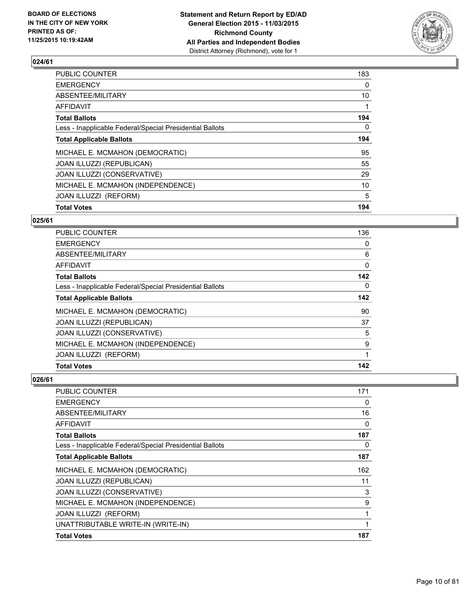

| <b>PUBLIC COUNTER</b>                                    | 183 |
|----------------------------------------------------------|-----|
| <b>EMERGENCY</b>                                         | 0   |
| ABSENTEE/MILITARY                                        | 10  |
| <b>AFFIDAVIT</b>                                         |     |
| <b>Total Ballots</b>                                     | 194 |
| Less - Inapplicable Federal/Special Presidential Ballots | 0   |
| <b>Total Applicable Ballots</b>                          | 194 |
| MICHAEL E. MCMAHON (DEMOCRATIC)                          | 95  |
| JOAN ILLUZZI (REPUBLICAN)                                | 55  |
| JOAN ILLUZZI (CONSERVATIVE)                              | 29  |
| MICHAEL E. MCMAHON (INDEPENDENCE)                        | 10  |
| JOAN ILLUZZI (REFORM)                                    | 5   |
| <b>Total Votes</b>                                       | 194 |
|                                                          |     |

## **025/61**

| <b>PUBLIC COUNTER</b>                                    | 136          |
|----------------------------------------------------------|--------------|
| <b>EMERGENCY</b>                                         | 0            |
| ABSENTEE/MILITARY                                        | 6            |
| AFFIDAVIT                                                | 0            |
| <b>Total Ballots</b>                                     | 142          |
| Less - Inapplicable Federal/Special Presidential Ballots | 0            |
| <b>Total Applicable Ballots</b>                          | 142          |
| MICHAEL E. MCMAHON (DEMOCRATIC)                          | 90           |
| <b>JOAN ILLUZZI (REPUBLICAN)</b>                         | 37           |
| JOAN ILLUZZI (CONSERVATIVE)                              | 5            |
| MICHAEL E. MCMAHON (INDEPENDENCE)                        | 9            |
| JOAN ILLUZZI (REFORM)                                    | $\mathbf{1}$ |
| <b>Total Votes</b>                                       | 142          |

| <b>PUBLIC COUNTER</b>                                    | 171 |
|----------------------------------------------------------|-----|
| <b>EMERGENCY</b>                                         | 0   |
| ABSENTEE/MILITARY                                        | 16  |
| <b>AFFIDAVIT</b>                                         | 0   |
| <b>Total Ballots</b>                                     | 187 |
| Less - Inapplicable Federal/Special Presidential Ballots | 0   |
| <b>Total Applicable Ballots</b>                          | 187 |
| MICHAEL E. MCMAHON (DEMOCRATIC)                          | 162 |
| JOAN ILLUZZI (REPUBLICAN)                                | 11  |
| JOAN ILLUZZI (CONSERVATIVE)                              | 3   |
| MICHAEL E. MCMAHON (INDEPENDENCE)                        | 9   |
| JOAN ILLUZZI (REFORM)                                    | 1   |
| UNATTRIBUTABLE WRITE-IN (WRITE-IN)                       | 1   |
| <b>Total Votes</b>                                       | 187 |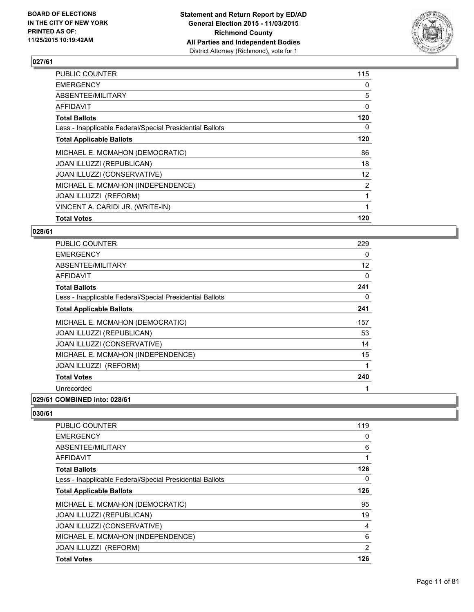

| <b>PUBLIC COUNTER</b>                                    | 115               |
|----------------------------------------------------------|-------------------|
| <b>EMERGENCY</b>                                         | 0                 |
| ABSENTEE/MILITARY                                        | 5                 |
| AFFIDAVIT                                                | 0                 |
| <b>Total Ballots</b>                                     | 120               |
| Less - Inapplicable Federal/Special Presidential Ballots | 0                 |
| <b>Total Applicable Ballots</b>                          | 120               |
| MICHAEL E. MCMAHON (DEMOCRATIC)                          | 86                |
| JOAN ILLUZZI (REPUBLICAN)                                | 18                |
| JOAN ILLUZZI (CONSERVATIVE)                              | $12 \overline{ }$ |
| MICHAEL E. MCMAHON (INDEPENDENCE)                        | $\overline{2}$    |
| JOAN ILLUZZI (REFORM)                                    |                   |
| VINCENT A. CARIDI JR. (WRITE-IN)                         |                   |
| <b>Total Votes</b>                                       | 120               |

#### **028/61**

| <b>PUBLIC COUNTER</b>                                    | 229 |
|----------------------------------------------------------|-----|
| <b>EMERGENCY</b>                                         | 0   |
| <b>ABSENTEE/MILITARY</b>                                 | 12  |
| <b>AFFIDAVIT</b>                                         | 0   |
| <b>Total Ballots</b>                                     | 241 |
| Less - Inapplicable Federal/Special Presidential Ballots | 0   |
| <b>Total Applicable Ballots</b>                          | 241 |
| MICHAEL E. MCMAHON (DEMOCRATIC)                          | 157 |
| JOAN ILLUZZI (REPUBLICAN)                                | 53  |
| JOAN ILLUZZI (CONSERVATIVE)                              | 14  |
| MICHAEL E. MCMAHON (INDEPENDENCE)                        | 15  |
| <b>JOAN ILLUZZI (REFORM)</b>                             | 1   |
| <b>Total Votes</b>                                       | 240 |
| Unrecorded                                               |     |
|                                                          |     |

# **029/61 COMBINED into: 028/61**

| PUBLIC COUNTER                                           | 119            |
|----------------------------------------------------------|----------------|
| <b>EMERGENCY</b>                                         | 0              |
| ABSENTEE/MILITARY                                        | 6              |
| AFFIDAVIT                                                | 1              |
| <b>Total Ballots</b>                                     | 126            |
| Less - Inapplicable Federal/Special Presidential Ballots | 0              |
| <b>Total Applicable Ballots</b>                          | 126            |
| MICHAEL E. MCMAHON (DEMOCRATIC)                          | 95             |
| <b>JOAN ILLUZZI (REPUBLICAN)</b>                         | 19             |
| JOAN ILLUZZI (CONSERVATIVE)                              | 4              |
| MICHAEL E. MCMAHON (INDEPENDENCE)                        | 6              |
| JOAN ILLUZZI (REFORM)                                    | $\overline{2}$ |
| <b>Total Votes</b>                                       | 126            |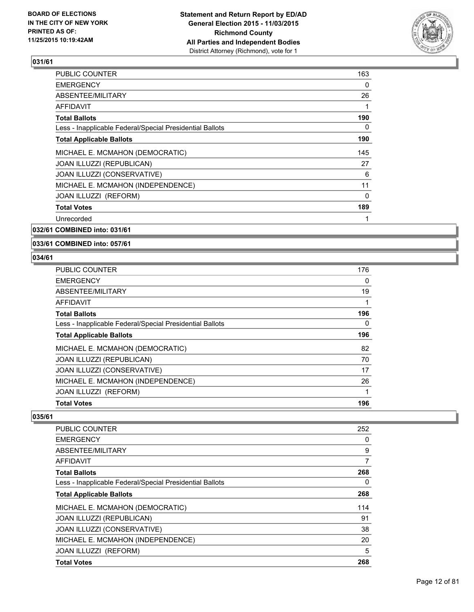

| <b>PUBLIC COUNTER</b>                                    | 163 |
|----------------------------------------------------------|-----|
| <b>EMERGENCY</b>                                         | 0   |
| ABSENTEE/MILITARY                                        | 26  |
| AFFIDAVIT                                                | 1   |
| <b>Total Ballots</b>                                     | 190 |
| Less - Inapplicable Federal/Special Presidential Ballots | 0   |
| <b>Total Applicable Ballots</b>                          | 190 |
| MICHAEL E. MCMAHON (DEMOCRATIC)                          | 145 |
| <b>JOAN ILLUZZI (REPUBLICAN)</b>                         | 27  |
| JOAN ILLUZZI (CONSERVATIVE)                              | 6   |
| MICHAEL E. MCMAHON (INDEPENDENCE)                        | 11  |
| JOAN ILLUZZI (REFORM)                                    | 0   |
| <b>Total Votes</b>                                       | 189 |
| Unrecorded                                               |     |
|                                                          |     |

**032/61 COMBINED into: 031/61**

**033/61 COMBINED into: 057/61**

#### **034/61**

| <b>PUBLIC COUNTER</b>                                    | 176 |
|----------------------------------------------------------|-----|
| <b>EMERGENCY</b>                                         | 0   |
| ABSENTEE/MILITARY                                        | 19  |
| <b>AFFIDAVIT</b>                                         | 1   |
| <b>Total Ballots</b>                                     | 196 |
| Less - Inapplicable Federal/Special Presidential Ballots | 0   |
| <b>Total Applicable Ballots</b>                          | 196 |
| MICHAEL E. MCMAHON (DEMOCRATIC)                          | 82  |
| JOAN ILLUZZI (REPUBLICAN)                                | 70  |
| JOAN ILLUZZI (CONSERVATIVE)                              | 17  |
| MICHAEL E. MCMAHON (INDEPENDENCE)                        | 26  |
| JOAN ILLUZZI (REFORM)                                    | 1   |
| <b>Total Votes</b>                                       | 196 |

| <b>PUBLIC COUNTER</b>                                    | 252 |
|----------------------------------------------------------|-----|
| <b>EMERGENCY</b>                                         | 0   |
| ABSENTEE/MILITARY                                        | 9   |
| <b>AFFIDAVIT</b>                                         | 7   |
| <b>Total Ballots</b>                                     | 268 |
| Less - Inapplicable Federal/Special Presidential Ballots | 0   |
| <b>Total Applicable Ballots</b>                          | 268 |
| MICHAEL E. MCMAHON (DEMOCRATIC)                          | 114 |
| JOAN ILLUZZI (REPUBLICAN)                                | 91  |
| JOAN ILLUZZI (CONSERVATIVE)                              | 38  |
| MICHAEL E. MCMAHON (INDEPENDENCE)                        | 20  |
| JOAN ILLUZZI (REFORM)                                    | 5   |
| <b>Total Votes</b>                                       | 268 |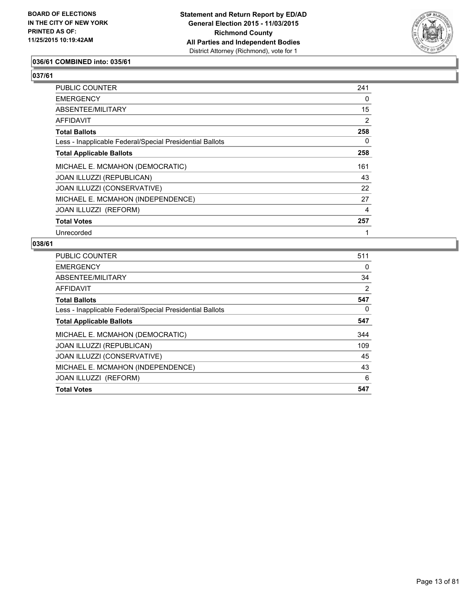

#### **036/61 COMBINED into: 035/61**

# **037/61**

| PUBLIC COUNTER                                           | 241 |
|----------------------------------------------------------|-----|
| <b>EMERGENCY</b>                                         | 0   |
| ABSENTEE/MILITARY                                        | 15  |
| <b>AFFIDAVIT</b>                                         | 2   |
| <b>Total Ballots</b>                                     | 258 |
| Less - Inapplicable Federal/Special Presidential Ballots | 0   |
| <b>Total Applicable Ballots</b>                          | 258 |
| MICHAEL E. MCMAHON (DEMOCRATIC)                          | 161 |
| <b>JOAN ILLUZZI (REPUBLICAN)</b>                         | 43  |
| JOAN ILLUZZI (CONSERVATIVE)                              | 22  |
| MICHAEL E. MCMAHON (INDEPENDENCE)                        | 27  |
| JOAN ILLUZZI (REFORM)                                    | 4   |
| <b>Total Votes</b>                                       | 257 |
| Unrecorded                                               |     |

| <b>PUBLIC COUNTER</b>                                    | 511 |
|----------------------------------------------------------|-----|
| <b>EMERGENCY</b>                                         | 0   |
| ABSENTEE/MILITARY                                        | 34  |
| AFFIDAVIT                                                | 2   |
| <b>Total Ballots</b>                                     | 547 |
| Less - Inapplicable Federal/Special Presidential Ballots | 0   |
| <b>Total Applicable Ballots</b>                          | 547 |
| MICHAEL E. MCMAHON (DEMOCRATIC)                          | 344 |
| <b>JOAN ILLUZZI (REPUBLICAN)</b>                         | 109 |
| JOAN ILLUZZI (CONSERVATIVE)                              | 45  |
| MICHAEL E. MCMAHON (INDEPENDENCE)                        | 43  |
| JOAN ILLUZZI (REFORM)                                    | 6   |
| <b>Total Votes</b>                                       | 547 |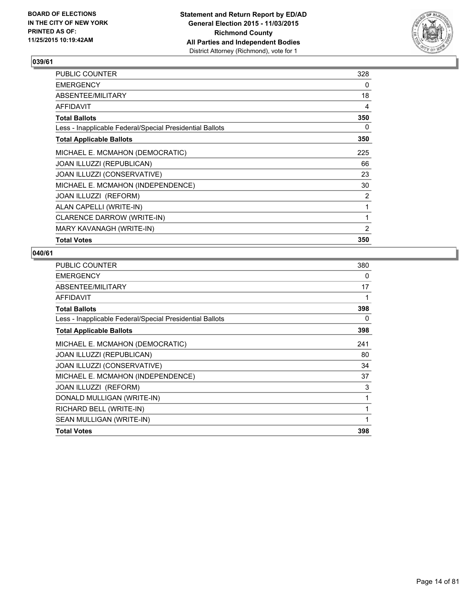

| PUBLIC COUNTER                                           | 328 |
|----------------------------------------------------------|-----|
| <b>EMERGENCY</b>                                         | 0   |
| ABSENTEE/MILITARY                                        | 18  |
| AFFIDAVIT                                                | 4   |
| <b>Total Ballots</b>                                     | 350 |
| Less - Inapplicable Federal/Special Presidential Ballots | 0   |
| <b>Total Applicable Ballots</b>                          | 350 |
| MICHAEL E. MCMAHON (DEMOCRATIC)                          | 225 |
| JOAN ILLUZZI (REPUBLICAN)                                | 66  |
| JOAN ILLUZZI (CONSERVATIVE)                              | 23  |
| MICHAEL E. MCMAHON (INDEPENDENCE)                        | 30  |
| JOAN ILLUZZI (REFORM)                                    | 2   |
| ALAN CAPELLI (WRITE-IN)                                  | 1   |
| CLARENCE DARROW (WRITE-IN)                               | 1   |
| MARY KAVANAGH (WRITE-IN)                                 | 2   |
| <b>Total Votes</b>                                       | 350 |

| <b>PUBLIC COUNTER</b>                                    | 380          |
|----------------------------------------------------------|--------------|
| <b>EMERGENCY</b>                                         | 0            |
| ABSENTEE/MILITARY                                        | 17           |
| AFFIDAVIT                                                |              |
| <b>Total Ballots</b>                                     | 398          |
| Less - Inapplicable Federal/Special Presidential Ballots | 0            |
| <b>Total Applicable Ballots</b>                          | 398          |
| MICHAEL E. MCMAHON (DEMOCRATIC)                          | 241          |
| JOAN ILLUZZI (REPUBLICAN)                                | 80           |
| JOAN ILLUZZI (CONSERVATIVE)                              | 34           |
| MICHAEL E. MCMAHON (INDEPENDENCE)                        | 37           |
| <b>JOAN ILLUZZI (REFORM)</b>                             | 3            |
| DONALD MULLIGAN (WRITE-IN)                               | 1            |
| RICHARD BELL (WRITE-IN)                                  | 1            |
| SEAN MULLIGAN (WRITE-IN)                                 | $\mathbf{1}$ |
| <b>Total Votes</b>                                       | 398          |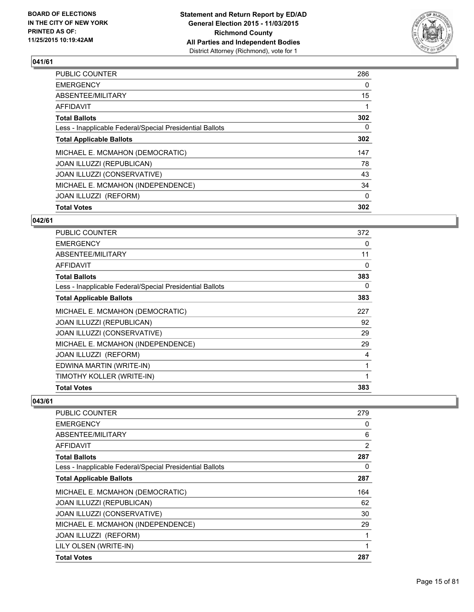

| <b>Total Votes</b>                                       | 302      |
|----------------------------------------------------------|----------|
| JOAN ILLUZZI (REFORM)                                    | $\Omega$ |
| MICHAEL E. MCMAHON (INDEPENDENCE)                        | 34       |
| JOAN ILLUZZI (CONSERVATIVE)                              | 43       |
| JOAN ILLUZZI (REPUBLICAN)                                | 78       |
| MICHAEL E. MCMAHON (DEMOCRATIC)                          | 147      |
| <b>Total Applicable Ballots</b>                          | 302      |
| Less - Inapplicable Federal/Special Presidential Ballots | 0        |
| <b>Total Ballots</b>                                     | 302      |
| <b>AFFIDAVIT</b>                                         |          |
| ABSENTEE/MILITARY                                        | 15       |
| <b>EMERGENCY</b>                                         | 0        |
| PUBLIC COUNTER                                           | 286      |

## **042/61**

| <b>PUBLIC COUNTER</b>                                    | 372 |
|----------------------------------------------------------|-----|
| <b>EMERGENCY</b>                                         | 0   |
| ABSENTEE/MILITARY                                        | 11  |
| <b>AFFIDAVIT</b>                                         | 0   |
| <b>Total Ballots</b>                                     | 383 |
| Less - Inapplicable Federal/Special Presidential Ballots | 0   |
| <b>Total Applicable Ballots</b>                          | 383 |
| MICHAEL E. MCMAHON (DEMOCRATIC)                          | 227 |
| <b>JOAN ILLUZZI (REPUBLICAN)</b>                         | 92  |
| JOAN ILLUZZI (CONSERVATIVE)                              | 29  |
| MICHAEL E. MCMAHON (INDEPENDENCE)                        | 29  |
| <b>JOAN ILLUZZI (REFORM)</b>                             | 4   |
| EDWINA MARTIN (WRITE-IN)                                 | 1   |
| TIMOTHY KOLLER (WRITE-IN)                                | 1   |
| <b>Total Votes</b>                                       | 383 |

| <b>PUBLIC COUNTER</b>                                    | 279            |
|----------------------------------------------------------|----------------|
| <b>EMERGENCY</b>                                         | 0              |
| ABSENTEE/MILITARY                                        | 6              |
| AFFIDAVIT                                                | $\overline{2}$ |
| <b>Total Ballots</b>                                     | 287            |
| Less - Inapplicable Federal/Special Presidential Ballots | 0              |
| <b>Total Applicable Ballots</b>                          | 287            |
| MICHAEL E. MCMAHON (DEMOCRATIC)                          | 164            |
| <b>JOAN ILLUZZI (REPUBLICAN)</b>                         | 62             |
| JOAN ILLUZZI (CONSERVATIVE)                              | 30             |
| MICHAEL E. MCMAHON (INDEPENDENCE)                        | 29             |
| JOAN ILLUZZI (REFORM)                                    | 1              |
| LILY OLSEN (WRITE-IN)                                    | 1              |
| <b>Total Votes</b>                                       | 287            |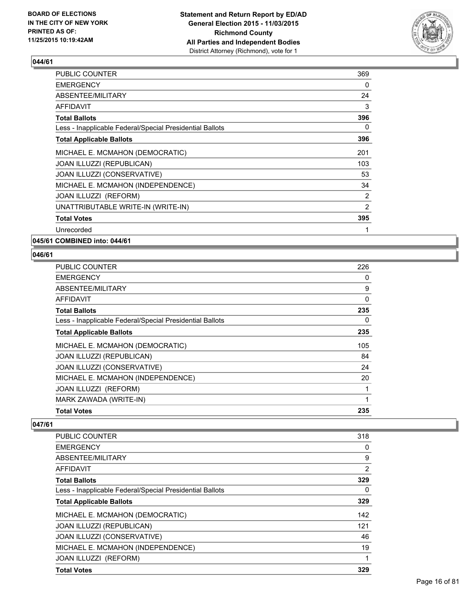

| 369 |
|-----|
| 0   |
| 24  |
| 3   |
| 396 |
| 0   |
| 396 |
| 201 |
| 103 |
| 53  |
| 34  |
| 2   |
| 2   |
| 395 |
| 1   |
|     |

**045/61 COMBINED into: 044/61**

## **046/61**

| PUBLIC COUNTER                                           | 226 |
|----------------------------------------------------------|-----|
| <b>EMERGENCY</b>                                         | 0   |
| <b>ABSENTEE/MILITARY</b>                                 | 9   |
| <b>AFFIDAVIT</b>                                         | 0   |
| <b>Total Ballots</b>                                     | 235 |
| Less - Inapplicable Federal/Special Presidential Ballots | 0   |
| <b>Total Applicable Ballots</b>                          | 235 |
| MICHAEL E. MCMAHON (DEMOCRATIC)                          | 105 |
| <b>JOAN ILLUZZI (REPUBLICAN)</b>                         | 84  |
| JOAN ILLUZZI (CONSERVATIVE)                              | 24  |
| MICHAEL E. MCMAHON (INDEPENDENCE)                        | 20  |
| JOAN ILLUZZI (REFORM)                                    | 1   |
| MARK ZAWADA (WRITE-IN)                                   | 1   |
| <b>Total Votes</b>                                       | 235 |

| <b>Total Votes</b>                                       | 329 |
|----------------------------------------------------------|-----|
| JOAN ILLUZZI (REFORM)                                    | 1   |
| MICHAEL E. MCMAHON (INDEPENDENCE)                        | 19  |
| JOAN ILLUZZI (CONSERVATIVE)                              | 46  |
| JOAN ILLUZZI (REPUBLICAN)                                | 121 |
| MICHAEL E. MCMAHON (DEMOCRATIC)                          | 142 |
| <b>Total Applicable Ballots</b>                          | 329 |
| Less - Inapplicable Federal/Special Presidential Ballots | 0   |
| <b>Total Ballots</b>                                     | 329 |
| <b>AFFIDAVIT</b>                                         | 2   |
| ABSENTEE/MILITARY                                        | 9   |
| <b>EMERGENCY</b>                                         | 0   |
| <b>PUBLIC COUNTER</b>                                    | 318 |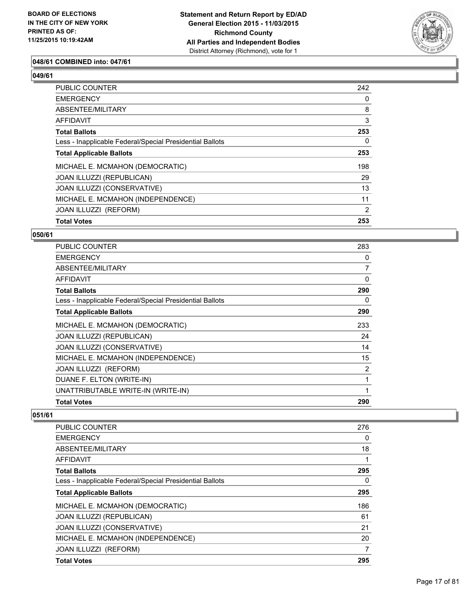

#### **048/61 COMBINED into: 047/61**

#### **049/61**

| PUBLIC COUNTER                                           | 242 |
|----------------------------------------------------------|-----|
| <b>EMERGENCY</b>                                         | 0   |
| ABSENTEE/MILITARY                                        | 8   |
| AFFIDAVIT                                                | 3   |
| <b>Total Ballots</b>                                     | 253 |
| Less - Inapplicable Federal/Special Presidential Ballots | 0   |
| <b>Total Applicable Ballots</b>                          | 253 |
| MICHAEL E. MCMAHON (DEMOCRATIC)                          | 198 |
| JOAN ILLUZZI (REPUBLICAN)                                | 29  |
| JOAN ILLUZZI (CONSERVATIVE)                              | 13  |
| MICHAEL E. MCMAHON (INDEPENDENCE)                        | 11  |
| JOAN ILLUZZI (REFORM)                                    | 2   |
| <b>Total Votes</b>                                       | 253 |

#### **050/61**

| PUBLIC COUNTER                                           | 283 |
|----------------------------------------------------------|-----|
| <b>EMERGENCY</b>                                         | 0   |
| ABSENTEE/MILITARY                                        | 7   |
| AFFIDAVIT                                                | 0   |
| <b>Total Ballots</b>                                     | 290 |
| Less - Inapplicable Federal/Special Presidential Ballots | 0   |
| <b>Total Applicable Ballots</b>                          | 290 |
| MICHAEL E. MCMAHON (DEMOCRATIC)                          | 233 |
| <b>JOAN ILLUZZI (REPUBLICAN)</b>                         | 24  |
| JOAN ILLUZZI (CONSERVATIVE)                              | 14  |
| MICHAEL E. MCMAHON (INDEPENDENCE)                        | 15  |
| JOAN ILLUZZI (REFORM)                                    | 2   |
| DUANE F. ELTON (WRITE-IN)                                | 1   |
| UNATTRIBUTABLE WRITE-IN (WRITE-IN)                       | 1   |
| <b>Total Votes</b>                                       | 290 |

| <b>PUBLIC COUNTER</b>                                    | 276 |
|----------------------------------------------------------|-----|
| EMERGENCY                                                | 0   |
| ABSENTEE/MILITARY                                        | 18  |
| AFFIDAVIT                                                | 1   |
| <b>Total Ballots</b>                                     | 295 |
| Less - Inapplicable Federal/Special Presidential Ballots | 0   |
| <b>Total Applicable Ballots</b>                          | 295 |
| MICHAEL E. MCMAHON (DEMOCRATIC)                          | 186 |
| JOAN ILLUZZI (REPUBLICAN)                                | 61  |
| JOAN ILLUZZI (CONSERVATIVE)                              | 21  |
| MICHAEL E. MCMAHON (INDEPENDENCE)                        | 20  |
| JOAN ILLUZZI (REFORM)                                    | 7   |
| <b>Total Votes</b>                                       | 295 |
|                                                          |     |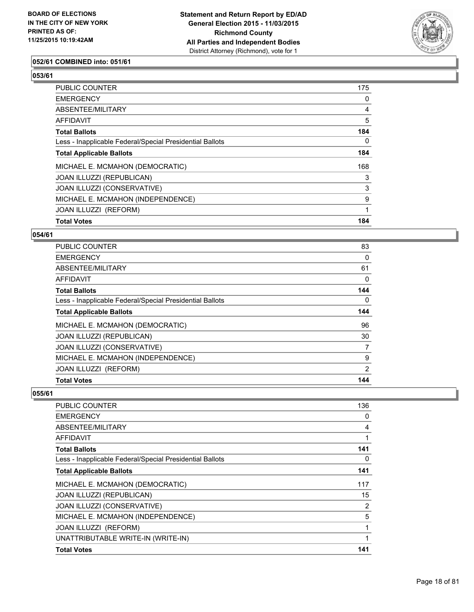

#### **052/61 COMBINED into: 051/61**

# **053/61**

| <b>Total Votes</b>                                       | 184 |
|----------------------------------------------------------|-----|
| JOAN ILLUZZI (REFORM)                                    | 1   |
| MICHAEL E. MCMAHON (INDEPENDENCE)                        | 9   |
| JOAN ILLUZZI (CONSERVATIVE)                              | 3   |
| JOAN ILLUZZI (REPUBLICAN)                                | 3   |
| MICHAEL E. MCMAHON (DEMOCRATIC)                          | 168 |
| <b>Total Applicable Ballots</b>                          | 184 |
| Less - Inapplicable Federal/Special Presidential Ballots | 0   |
| <b>Total Ballots</b>                                     | 184 |
| AFFIDAVIT                                                | 5   |
| ABSENTEE/MILITARY                                        | 4   |
| <b>EMERGENCY</b>                                         | 0   |
| PUBLIC COUNTER                                           | 175 |

#### **054/61**

| PUBLIC COUNTER                                           | 83       |
|----------------------------------------------------------|----------|
| <b>EMERGENCY</b>                                         | $\Omega$ |
| ABSENTEE/MILITARY                                        | 61       |
| <b>AFFIDAVIT</b>                                         | 0        |
| <b>Total Ballots</b>                                     | 144      |
| Less - Inapplicable Federal/Special Presidential Ballots | 0        |
| <b>Total Applicable Ballots</b>                          | 144      |
| MICHAEL E. MCMAHON (DEMOCRATIC)                          | 96       |
| JOAN ILLUZZI (REPUBLICAN)                                | 30       |
| JOAN ILLUZZI (CONSERVATIVE)                              | 7        |
| MICHAEL E. MCMAHON (INDEPENDENCE)                        | 9        |
| <b>JOAN ILLUZZI (REFORM)</b>                             | 2        |
| <b>Total Votes</b>                                       | 144      |

| PUBLIC COUNTER                                           | 136 |
|----------------------------------------------------------|-----|
| <b>EMERGENCY</b>                                         | 0   |
| ABSENTEE/MILITARY                                        | 4   |
| AFFIDAVIT                                                |     |
| <b>Total Ballots</b>                                     | 141 |
| Less - Inapplicable Federal/Special Presidential Ballots | 0   |
| <b>Total Applicable Ballots</b>                          | 141 |
| MICHAEL E. MCMAHON (DEMOCRATIC)                          | 117 |
| <b>JOAN ILLUZZI (REPUBLICAN)</b>                         | 15  |
| JOAN ILLUZZI (CONSERVATIVE)                              | 2   |
| MICHAEL E. MCMAHON (INDEPENDENCE)                        | 5   |
| JOAN ILLUZZI (REFORM)                                    |     |
| UNATTRIBUTABLE WRITE-IN (WRITE-IN)                       |     |
| <b>Total Votes</b>                                       | 141 |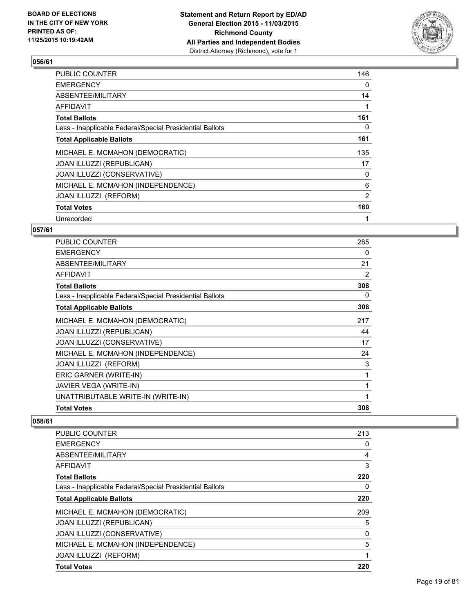

| 146 |
|-----|
| 0   |
| 14  |
|     |
| 161 |
| 0   |
| 161 |
| 135 |
| 17  |
| 0   |
| 6   |
| 2   |
| 160 |
|     |
|     |

#### **057/61**

| <b>PUBLIC COUNTER</b>                                    | 285          |
|----------------------------------------------------------|--------------|
| <b>EMERGENCY</b>                                         | 0            |
| ABSENTEE/MILITARY                                        | 21           |
| <b>AFFIDAVIT</b>                                         | 2            |
| <b>Total Ballots</b>                                     | 308          |
| Less - Inapplicable Federal/Special Presidential Ballots | 0            |
| <b>Total Applicable Ballots</b>                          | 308          |
| MICHAEL E. MCMAHON (DEMOCRATIC)                          | 217          |
| JOAN ILLUZZI (REPUBLICAN)                                | 44           |
| JOAN ILLUZZI (CONSERVATIVE)                              | 17           |
| MICHAEL E. MCMAHON (INDEPENDENCE)                        | 24           |
| JOAN ILLUZZI (REFORM)                                    | 3            |
| ERIC GARNER (WRITE-IN)                                   | 1            |
| JAVIER VEGA (WRITE-IN)                                   | 1            |
| UNATTRIBUTABLE WRITE-IN (WRITE-IN)                       | $\mathbf{1}$ |
| <b>Total Votes</b>                                       | 308          |

| <b>Total Votes</b>                                       | 220 |
|----------------------------------------------------------|-----|
| JOAN ILLUZZI (REFORM)                                    | 1   |
| MICHAEL E. MCMAHON (INDEPENDENCE)                        | 5   |
| JOAN ILLUZZI (CONSERVATIVE)                              | 0   |
| JOAN ILLUZZI (REPUBLICAN)                                | 5   |
| MICHAEL E. MCMAHON (DEMOCRATIC)                          | 209 |
| <b>Total Applicable Ballots</b>                          | 220 |
| Less - Inapplicable Federal/Special Presidential Ballots | 0   |
| <b>Total Ballots</b>                                     | 220 |
| AFFIDAVIT                                                | 3   |
| ABSENTEE/MILITARY                                        | 4   |
| <b>EMERGENCY</b>                                         | 0   |
| <b>PUBLIC COUNTER</b>                                    | 213 |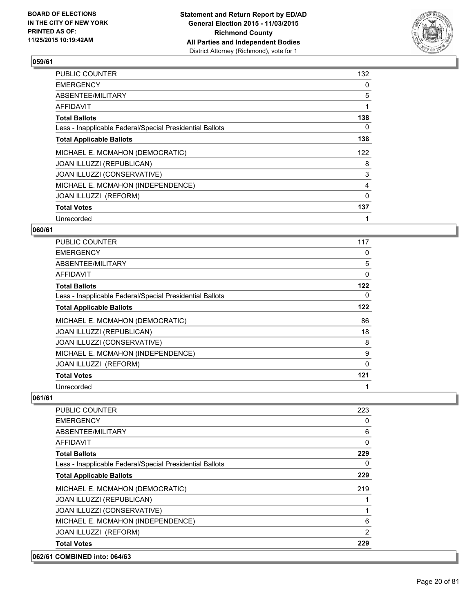

| PUBLIC COUNTER                                           | 132 |
|----------------------------------------------------------|-----|
| <b>EMERGENCY</b>                                         | 0   |
| ABSENTEE/MILITARY                                        | 5   |
| AFFIDAVIT                                                | 1   |
| <b>Total Ballots</b>                                     | 138 |
| Less - Inapplicable Federal/Special Presidential Ballots | 0   |
| <b>Total Applicable Ballots</b>                          | 138 |
| MICHAEL E. MCMAHON (DEMOCRATIC)                          | 122 |
| JOAN ILLUZZI (REPUBLICAN)                                | 8   |
| JOAN ILLUZZI (CONSERVATIVE)                              | 3   |
| MICHAEL E. MCMAHON (INDEPENDENCE)                        | 4   |
| JOAN ILLUZZI (REFORM)                                    | 0   |
| <b>Total Votes</b>                                       | 137 |
| Unrecorded                                               | 1   |

#### **060/61**

| <b>PUBLIC COUNTER</b>                                    | 117      |
|----------------------------------------------------------|----------|
| <b>EMERGENCY</b>                                         | 0        |
| ABSENTEE/MILITARY                                        | 5        |
| AFFIDAVIT                                                | $\Omega$ |
| <b>Total Ballots</b>                                     | 122      |
| Less - Inapplicable Federal/Special Presidential Ballots | 0        |
| <b>Total Applicable Ballots</b>                          | 122      |
| MICHAEL E. MCMAHON (DEMOCRATIC)                          | 86       |
| JOAN ILLUZZI (REPUBLICAN)                                | 18       |
| JOAN ILLUZZI (CONSERVATIVE)                              | 8        |
| MICHAEL E. MCMAHON (INDEPENDENCE)                        | 9        |
| JOAN ILLUZZI (REFORM)                                    | $\Omega$ |
| <b>Total Votes</b>                                       | 121      |
| Unrecorded                                               | 1        |

| 062/61 COMBINED into: 064/63                             |              |
|----------------------------------------------------------|--------------|
| <b>Total Votes</b>                                       | 229          |
| JOAN ILLUZZI (REFORM)                                    | 2            |
| MICHAEL E. MCMAHON (INDEPENDENCE)                        | 6            |
| JOAN ILLUZZI (CONSERVATIVE)                              |              |
| JOAN ILLUZZI (REPUBLICAN)                                |              |
| MICHAEL E. MCMAHON (DEMOCRATIC)                          | 219          |
| <b>Total Applicable Ballots</b>                          | 229          |
| Less - Inapplicable Federal/Special Presidential Ballots | 0            |
| <b>Total Ballots</b>                                     | 229          |
| AFFIDAVIT                                                | $\mathbf{0}$ |
| ABSENTEE/MILITARY                                        | 6            |
| <b>EMERGENCY</b>                                         | 0            |
| <b>PUBLIC COUNTER</b>                                    | 223          |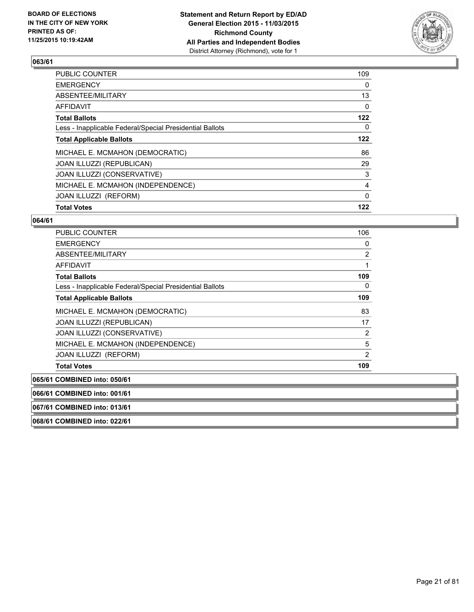

| <b>Total Votes</b>                                       | 122          |
|----------------------------------------------------------|--------------|
| JOAN ILLUZZI (REFORM)                                    | $\mathbf{0}$ |
| MICHAEL E. MCMAHON (INDEPENDENCE)                        | 4            |
| JOAN ILLUZZI (CONSERVATIVE)                              | 3            |
| JOAN ILLUZZI (REPUBLICAN)                                | 29           |
| MICHAEL E. MCMAHON (DEMOCRATIC)                          | 86           |
| <b>Total Applicable Ballots</b>                          | 122          |
| Less - Inapplicable Federal/Special Presidential Ballots | 0            |
| <b>Total Ballots</b>                                     | 122          |
| <b>AFFIDAVIT</b>                                         | 0            |
| ABSENTEE/MILITARY                                        | 13           |
| <b>EMERGENCY</b>                                         | 0            |
| PUBLIC COUNTER                                           | 109          |

#### **064/61**

| <b>PUBLIC COUNTER</b>                                    | 106            |
|----------------------------------------------------------|----------------|
| <b>EMERGENCY</b>                                         | 0              |
| ABSENTEE/MILITARY                                        | 2              |
| <b>AFFIDAVIT</b>                                         |                |
| <b>Total Ballots</b>                                     | 109            |
| Less - Inapplicable Federal/Special Presidential Ballots | 0              |
| <b>Total Applicable Ballots</b>                          | 109            |
| MICHAEL E. MCMAHON (DEMOCRATIC)                          | 83             |
| <b>JOAN ILLUZZI (REPUBLICAN)</b>                         | 17             |
| JOAN ILLUZZI (CONSERVATIVE)                              | 2              |
| MICHAEL E. MCMAHON (INDEPENDENCE)                        | 5              |
| JOAN ILLUZZI (REFORM)                                    | $\overline{2}$ |
| <b>Total Votes</b>                                       | 109            |
| 065/61 COMBINED into: 050/61                             |                |

**066/61 COMBINED into: 001/61 067/61 COMBINED into: 013/61 068/61 COMBINED into: 022/61**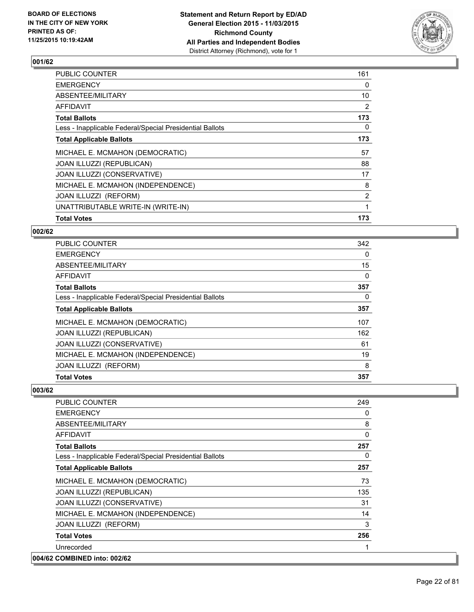

| <b>PUBLIC COUNTER</b>                                    | 161            |
|----------------------------------------------------------|----------------|
| <b>EMERGENCY</b>                                         | 0              |
| ABSENTEE/MILITARY                                        | 10             |
| AFFIDAVIT                                                | 2              |
| <b>Total Ballots</b>                                     | 173            |
| Less - Inapplicable Federal/Special Presidential Ballots | 0              |
| <b>Total Applicable Ballots</b>                          | 173            |
| MICHAEL E. MCMAHON (DEMOCRATIC)                          | 57             |
| JOAN ILLUZZI (REPUBLICAN)                                | 88             |
| <b>JOAN ILLUZZI (CONSERVATIVE)</b>                       | 17             |
| MICHAEL E. MCMAHON (INDEPENDENCE)                        | 8              |
| JOAN ILLUZZI (REFORM)                                    | $\overline{2}$ |
| UNATTRIBUTABLE WRITE-IN (WRITE-IN)                       |                |
| <b>Total Votes</b>                                       | 173            |

#### **002/62**

| PUBLIC COUNTER                                           | 342 |
|----------------------------------------------------------|-----|
| <b>EMERGENCY</b>                                         | 0   |
| ABSENTEE/MILITARY                                        | 15  |
| AFFIDAVIT                                                | 0   |
| <b>Total Ballots</b>                                     | 357 |
| Less - Inapplicable Federal/Special Presidential Ballots | 0   |
| <b>Total Applicable Ballots</b>                          | 357 |
| MICHAEL E. MCMAHON (DEMOCRATIC)                          | 107 |
| JOAN ILLUZZI (REPUBLICAN)                                | 162 |
| JOAN ILLUZZI (CONSERVATIVE)                              | 61  |
| MICHAEL E. MCMAHON (INDEPENDENCE)                        | 19  |
| JOAN ILLUZZI (REFORM)                                    | 8   |
| <b>Total Votes</b>                                       | 357 |

| <b>PUBLIC COUNTER</b>                                    | 249 |
|----------------------------------------------------------|-----|
| <b>EMERGENCY</b>                                         | 0   |
| ABSENTEE/MILITARY                                        | 8   |
| <b>AFFIDAVIT</b>                                         | 0   |
| <b>Total Ballots</b>                                     | 257 |
| Less - Inapplicable Federal/Special Presidential Ballots | 0   |
| <b>Total Applicable Ballots</b>                          | 257 |
| MICHAEL E. MCMAHON (DEMOCRATIC)                          | 73  |
| JOAN ILLUZZI (REPUBLICAN)                                | 135 |
| JOAN ILLUZZI (CONSERVATIVE)                              | 31  |
| MICHAEL E. MCMAHON (INDEPENDENCE)                        | 14  |
| JOAN ILLUZZI (REFORM)                                    | 3   |
| <b>Total Votes</b>                                       | 256 |
| Unrecorded                                               |     |
| 004/62 COMBINED into: 002/62                             |     |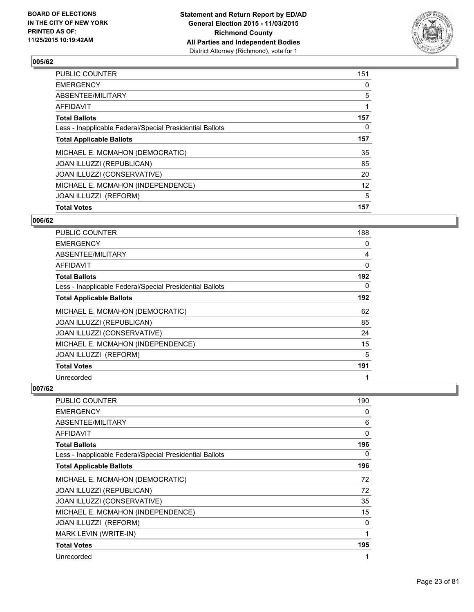

| <b>Total Votes</b>                                       | 157 |
|----------------------------------------------------------|-----|
| JOAN ILLUZZI (REFORM)                                    | 5   |
| MICHAEL E. MCMAHON (INDEPENDENCE)                        | 12  |
| JOAN ILLUZZI (CONSERVATIVE)                              | 20  |
| JOAN ILLUZZI (REPUBLICAN)                                | 85  |
| MICHAEL E. MCMAHON (DEMOCRATIC)                          | 35  |
| <b>Total Applicable Ballots</b>                          | 157 |
| Less - Inapplicable Federal/Special Presidential Ballots | 0   |
| <b>Total Ballots</b>                                     | 157 |
| <b>AFFIDAVIT</b>                                         |     |
| ABSENTEE/MILITARY                                        | 5   |
| <b>EMERGENCY</b>                                         | 0   |
| PUBLIC COUNTER                                           | 151 |

#### **006/62**

| PUBLIC COUNTER                                           | 188      |
|----------------------------------------------------------|----------|
| <b>EMERGENCY</b>                                         | 0        |
| ABSENTEE/MILITARY                                        | 4        |
| AFFIDAVIT                                                | $\Omega$ |
| <b>Total Ballots</b>                                     | 192      |
| Less - Inapplicable Federal/Special Presidential Ballots | 0        |
| <b>Total Applicable Ballots</b>                          | 192      |
| MICHAEL E. MCMAHON (DEMOCRATIC)                          | 62       |
| JOAN ILLUZZI (REPUBLICAN)                                | 85       |
| JOAN ILLUZZI (CONSERVATIVE)                              | 24       |
| MICHAEL E. MCMAHON (INDEPENDENCE)                        | 15       |
| JOAN ILLUZZI (REFORM)                                    | 5        |
| <b>Total Votes</b>                                       | 191      |
| Unrecorded                                               | 1        |

| <b>PUBLIC COUNTER</b>                                    | 190 |
|----------------------------------------------------------|-----|
| <b>EMERGENCY</b>                                         | 0   |
| ABSENTEE/MILITARY                                        | 6   |
| AFFIDAVIT                                                | 0   |
| <b>Total Ballots</b>                                     | 196 |
| Less - Inapplicable Federal/Special Presidential Ballots | 0   |
| <b>Total Applicable Ballots</b>                          | 196 |
| MICHAEL E. MCMAHON (DEMOCRATIC)                          | 72  |
| JOAN ILLUZZI (REPUBLICAN)                                | 72  |
| JOAN ILLUZZI (CONSERVATIVE)                              | 35  |
| MICHAEL E. MCMAHON (INDEPENDENCE)                        | 15  |
| JOAN ILLUZZI (REFORM)                                    | 0   |
| MARK LEVIN (WRITE-IN)                                    | 1   |
| <b>Total Votes</b>                                       | 195 |
| Unrecorded                                               | 1   |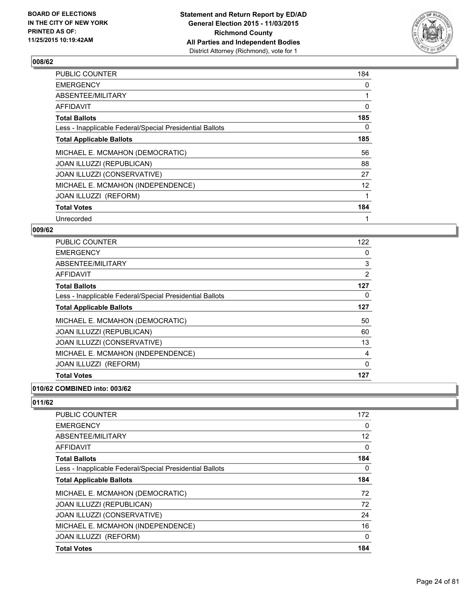

| PUBLIC COUNTER                                           | 184               |
|----------------------------------------------------------|-------------------|
| <b>EMERGENCY</b>                                         | 0                 |
| ABSENTEE/MILITARY                                        |                   |
| <b>AFFIDAVIT</b>                                         | 0                 |
| <b>Total Ballots</b>                                     | 185               |
| Less - Inapplicable Federal/Special Presidential Ballots | 0                 |
| <b>Total Applicable Ballots</b>                          | 185               |
| MICHAEL E. MCMAHON (DEMOCRATIC)                          | 56                |
| <b>JOAN ILLUZZI (REPUBLICAN)</b>                         | 88                |
| JOAN ILLUZZI (CONSERVATIVE)                              | 27                |
| MICHAEL E. MCMAHON (INDEPENDENCE)                        | $12 \overline{ }$ |
| JOAN ILLUZZI (REFORM)                                    | 1                 |
| <b>Total Votes</b>                                       | 184               |
| Unrecorded                                               | 1                 |

## **009/62**

| PUBLIC COUNTER                                           | 122      |
|----------------------------------------------------------|----------|
| <b>EMERGENCY</b>                                         | 0        |
| ABSENTEE/MILITARY                                        | 3        |
| AFFIDAVIT                                                | 2        |
| <b>Total Ballots</b>                                     | 127      |
| Less - Inapplicable Federal/Special Presidential Ballots | 0        |
| <b>Total Applicable Ballots</b>                          | 127      |
| MICHAEL E. MCMAHON (DEMOCRATIC)                          | 50       |
| JOAN ILLUZZI (REPUBLICAN)                                | 60       |
| JOAN ILLUZZI (CONSERVATIVE)                              | 13       |
| MICHAEL E. MCMAHON (INDEPENDENCE)                        | 4        |
| JOAN ILLUZZI (REFORM)                                    | $\Omega$ |
| <b>Total Votes</b>                                       | 127      |

#### **010/62 COMBINED into: 003/62**

| <b>PUBLIC COUNTER</b>                                    | 172 |
|----------------------------------------------------------|-----|
| <b>EMERGENCY</b>                                         | 0   |
| ABSENTEE/MILITARY                                        | 12  |
| AFFIDAVIT                                                | 0   |
| <b>Total Ballots</b>                                     | 184 |
| Less - Inapplicable Federal/Special Presidential Ballots | 0   |
| <b>Total Applicable Ballots</b>                          | 184 |
| MICHAEL E. MCMAHON (DEMOCRATIC)                          | 72  |
| <b>JOAN ILLUZZI (REPUBLICAN)</b>                         | 72  |
| JOAN ILLUZZI (CONSERVATIVE)                              | 24  |
| MICHAEL E. MCMAHON (INDEPENDENCE)                        | 16  |
| JOAN ILLUZZI (REFORM)                                    | 0   |
| <b>Total Votes</b>                                       | 184 |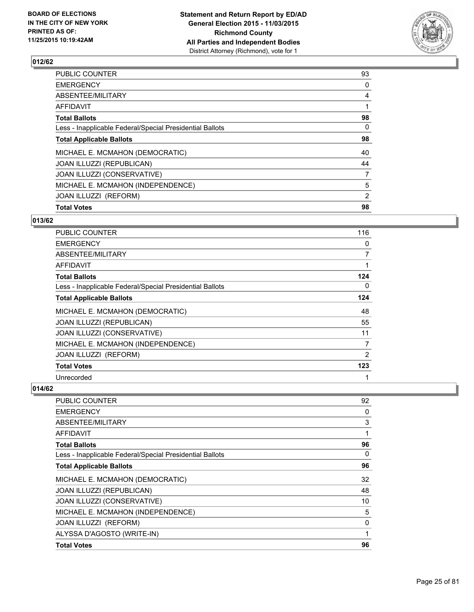

| <b>Total Votes</b>                                       | 98             |
|----------------------------------------------------------|----------------|
|                                                          |                |
| JOAN ILLUZZI (REFORM)                                    | $\overline{2}$ |
| MICHAEL E. MCMAHON (INDEPENDENCE)                        | 5              |
| JOAN ILLUZZI (CONSERVATIVE)                              | 7              |
| JOAN ILLUZZI (REPUBLICAN)                                | 44             |
| MICHAEL E. MCMAHON (DEMOCRATIC)                          | 40             |
| <b>Total Applicable Ballots</b>                          | 98             |
| Less - Inapplicable Federal/Special Presidential Ballots | 0              |
| <b>Total Ballots</b>                                     | 98             |
| <b>AFFIDAVIT</b>                                         |                |
| ABSENTEE/MILITARY                                        | 4              |
| <b>EMERGENCY</b>                                         | 0              |
| PUBLIC COUNTER                                           | 93             |

## **013/62**

| PUBLIC COUNTER                                           | 116 |
|----------------------------------------------------------|-----|
| <b>EMERGENCY</b>                                         | 0   |
| ABSENTEE/MILITARY                                        | 7   |
| AFFIDAVIT                                                |     |
| <b>Total Ballots</b>                                     | 124 |
| Less - Inapplicable Federal/Special Presidential Ballots | 0   |
| <b>Total Applicable Ballots</b>                          | 124 |
| MICHAEL E. MCMAHON (DEMOCRATIC)                          | 48  |
| JOAN ILLUZZI (REPUBLICAN)                                | 55  |
| JOAN ILLUZZI (CONSERVATIVE)                              | 11  |
| MICHAEL E. MCMAHON (INDEPENDENCE)                        | 7   |
| JOAN ILLUZZI (REFORM)                                    | 2   |
| <b>Total Votes</b>                                       | 123 |
| Unrecorded                                               |     |

| PUBLIC COUNTER                                           | 92 |
|----------------------------------------------------------|----|
| <b>EMERGENCY</b>                                         | 0  |
| ABSENTEE/MILITARY                                        | 3  |
| AFFIDAVIT                                                | 1  |
| <b>Total Ballots</b>                                     | 96 |
| Less - Inapplicable Federal/Special Presidential Ballots | 0  |
| <b>Total Applicable Ballots</b>                          | 96 |
| MICHAEL E. MCMAHON (DEMOCRATIC)                          | 32 |
| JOAN ILLUZZI (REPUBLICAN)                                | 48 |
| JOAN ILLUZZI (CONSERVATIVE)                              | 10 |
| MICHAEL E. MCMAHON (INDEPENDENCE)                        | 5  |
| JOAN ILLUZZI (REFORM)                                    | 0  |
| ALYSSA D'AGOSTO (WRITE-IN)                               | 1  |
| <b>Total Votes</b>                                       | 96 |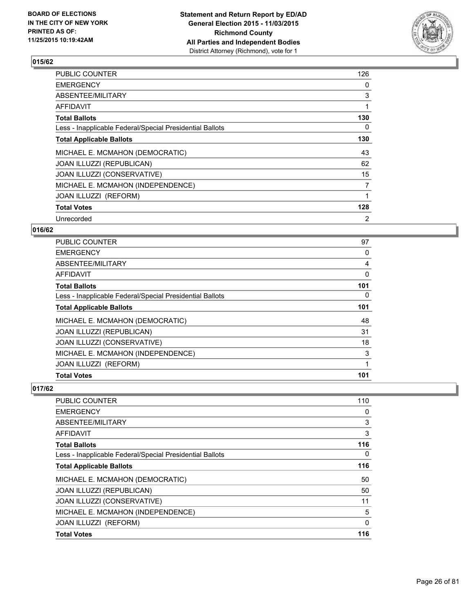

| PUBLIC COUNTER                                           | 126 |
|----------------------------------------------------------|-----|
| <b>EMERGENCY</b>                                         | 0   |
| ABSENTEE/MILITARY                                        | 3   |
| AFFIDAVIT                                                | 1   |
| <b>Total Ballots</b>                                     | 130 |
| Less - Inapplicable Federal/Special Presidential Ballots | 0   |
| <b>Total Applicable Ballots</b>                          | 130 |
| MICHAEL E. MCMAHON (DEMOCRATIC)                          | 43  |
| <b>JOAN ILLUZZI (REPUBLICAN)</b>                         | 62  |
| JOAN ILLUZZI (CONSERVATIVE)                              | 15  |
| MICHAEL E. MCMAHON (INDEPENDENCE)                        | 7   |
| JOAN ILLUZZI (REFORM)                                    | 1   |
| <b>Total Votes</b>                                       | 128 |
| Unrecorded                                               | 2   |

## **016/62**

| <b>Total Votes</b>                                       | 101 |
|----------------------------------------------------------|-----|
| JOAN ILLUZZI (REFORM)                                    | 1   |
| MICHAEL E. MCMAHON (INDEPENDENCE)                        | 3   |
| JOAN ILLUZZI (CONSERVATIVE)                              | 18  |
| JOAN ILLUZZI (REPUBLICAN)                                | 31  |
| MICHAEL E. MCMAHON (DEMOCRATIC)                          | 48  |
| <b>Total Applicable Ballots</b>                          | 101 |
| Less - Inapplicable Federal/Special Presidential Ballots | 0   |
| <b>Total Ballots</b>                                     | 101 |
| <b>AFFIDAVIT</b>                                         | 0   |
| ABSENTEE/MILITARY                                        | 4   |
| <b>EMERGENCY</b>                                         | 0   |
| PUBLIC COUNTER                                           | 97  |

| <b>Total Votes</b>                                       | 116      |
|----------------------------------------------------------|----------|
| JOAN ILLUZZI (REFORM)                                    | 0        |
| MICHAEL E. MCMAHON (INDEPENDENCE)                        | 5        |
| JOAN ILLUZZI (CONSERVATIVE)                              | 11       |
| JOAN ILLUZZI (REPUBLICAN)                                | 50       |
| MICHAEL E. MCMAHON (DEMOCRATIC)                          | 50       |
| <b>Total Applicable Ballots</b>                          | 116      |
| Less - Inapplicable Federal/Special Presidential Ballots | $\Omega$ |
| <b>Total Ballots</b>                                     | 116      |
| AFFIDAVIT                                                | 3        |
| ABSENTEE/MILITARY                                        | 3        |
| <b>EMERGENCY</b>                                         | 0        |
| PUBLIC COUNTER                                           | 110      |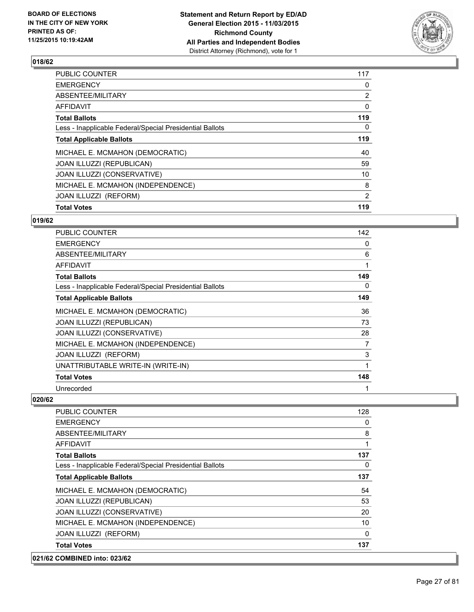

| <b>Total Votes</b>                                       |                |
|----------------------------------------------------------|----------------|
|                                                          | 119            |
| JOAN ILLUZZI (REFORM)                                    | $\overline{2}$ |
| MICHAEL E. MCMAHON (INDEPENDENCE)                        | 8              |
| JOAN ILLUZZI (CONSERVATIVE)                              | 10             |
| JOAN ILLUZZI (REPUBLICAN)                                | 59             |
| MICHAEL E. MCMAHON (DEMOCRATIC)                          | 40             |
| <b>Total Applicable Ballots</b>                          | 119            |
| Less - Inapplicable Federal/Special Presidential Ballots | 0              |
| <b>Total Ballots</b>                                     | 119            |
| <b>AFFIDAVIT</b>                                         | 0              |
| ABSENTEE/MILITARY                                        | $\overline{2}$ |
| <b>EMERGENCY</b>                                         | 0              |
| PUBLIC COUNTER                                           | 117            |

#### **019/62**

| PUBLIC COUNTER                                           | 142 |
|----------------------------------------------------------|-----|
| <b>EMERGENCY</b>                                         | 0   |
| ABSENTEE/MILITARY                                        | 6   |
| AFFIDAVIT                                                | 1   |
| <b>Total Ballots</b>                                     | 149 |
| Less - Inapplicable Federal/Special Presidential Ballots | 0   |
| <b>Total Applicable Ballots</b>                          | 149 |
| MICHAEL E. MCMAHON (DEMOCRATIC)                          | 36  |
| JOAN ILLUZZI (REPUBLICAN)                                | 73  |
| JOAN ILLUZZI (CONSERVATIVE)                              | 28  |
| MICHAEL E. MCMAHON (INDEPENDENCE)                        | 7   |
| JOAN ILLUZZI (REFORM)                                    | 3   |
| UNATTRIBUTABLE WRITE-IN (WRITE-IN)                       | 1   |
| <b>Total Votes</b>                                       | 148 |
| Unrecorded                                               | 1   |

| 021/62 COMBINED into: 023/62                             |          |
|----------------------------------------------------------|----------|
| <b>Total Votes</b>                                       | 137      |
| JOAN ILLUZZI (REFORM)                                    | $\Omega$ |
| MICHAEL E. MCMAHON (INDEPENDENCE)                        | 10       |
| JOAN ILLUZZI (CONSERVATIVE)                              | 20       |
| JOAN ILLUZZI (REPUBLICAN)                                | 53       |
| MICHAEL E. MCMAHON (DEMOCRATIC)                          | 54       |
| <b>Total Applicable Ballots</b>                          | 137      |
| Less - Inapplicable Federal/Special Presidential Ballots | 0        |
| <b>Total Ballots</b>                                     | 137      |
| <b>AFFIDAVIT</b>                                         | 1        |
| ABSENTEE/MILITARY                                        | 8        |
| <b>EMERGENCY</b>                                         | 0        |
| <b>PUBLIC COUNTER</b>                                    | 128      |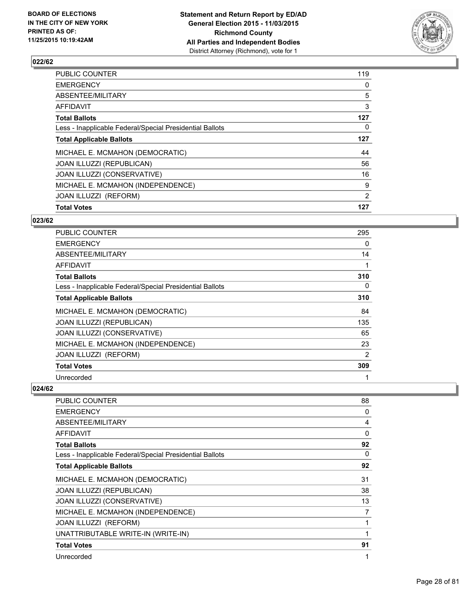

| <b>Total Votes</b>                                       | 127            |
|----------------------------------------------------------|----------------|
| JOAN ILLUZZI (REFORM)                                    | $\overline{2}$ |
| MICHAEL E. MCMAHON (INDEPENDENCE)                        | 9              |
| JOAN ILLUZZI (CONSERVATIVE)                              | 16             |
| <b>JOAN ILLUZZI (REPUBLICAN)</b>                         | 56             |
| MICHAEL E. MCMAHON (DEMOCRATIC)                          | 44             |
| <b>Total Applicable Ballots</b>                          | 127            |
| Less - Inapplicable Federal/Special Presidential Ballots | 0              |
| <b>Total Ballots</b>                                     | 127            |
| <b>AFFIDAVIT</b>                                         | 3              |
| ABSENTEE/MILITARY                                        | 5              |
| <b>EMERGENCY</b>                                         | 0              |
| <b>PUBLIC COUNTER</b>                                    | 119            |

#### **023/62**

| PUBLIC COUNTER                                           | 295            |
|----------------------------------------------------------|----------------|
| <b>EMERGENCY</b>                                         | 0              |
| ABSENTEE/MILITARY                                        | 14             |
| AFFIDAVIT                                                | 1              |
| <b>Total Ballots</b>                                     | 310            |
| Less - Inapplicable Federal/Special Presidential Ballots | 0              |
| <b>Total Applicable Ballots</b>                          | 310            |
| MICHAEL E. MCMAHON (DEMOCRATIC)                          | 84             |
| JOAN ILLUZZI (REPUBLICAN)                                | 135            |
| JOAN ILLUZZI (CONSERVATIVE)                              | 65             |
| MICHAEL E. MCMAHON (INDEPENDENCE)                        | 23             |
| JOAN ILLUZZI (REFORM)                                    | $\overline{2}$ |
| <b>Total Votes</b>                                       | 309            |
| Unrecorded                                               | 1              |

| PUBLIC COUNTER                                           | 88 |
|----------------------------------------------------------|----|
| <b>EMERGENCY</b>                                         | 0  |
| ABSENTEE/MILITARY                                        | 4  |
| AFFIDAVIT                                                | 0  |
| <b>Total Ballots</b>                                     | 92 |
| Less - Inapplicable Federal/Special Presidential Ballots | 0  |
| <b>Total Applicable Ballots</b>                          | 92 |
| MICHAEL E. MCMAHON (DEMOCRATIC)                          | 31 |
| JOAN ILLUZZI (REPUBLICAN)                                | 38 |
| JOAN ILLUZZI (CONSERVATIVE)                              | 13 |
| MICHAEL E. MCMAHON (INDEPENDENCE)                        | 7  |
| <b>JOAN ILLUZZI (REFORM)</b>                             |    |
| UNATTRIBUTABLE WRITE-IN (WRITE-IN)                       | 1  |
| <b>Total Votes</b>                                       | 91 |
| Unrecorded                                               | 1  |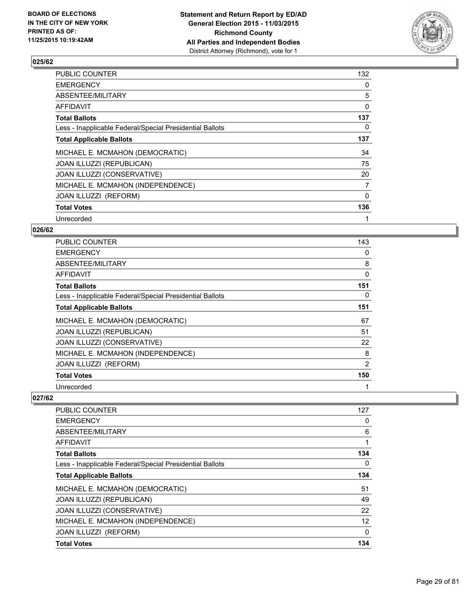

| PUBLIC COUNTER                                           | 132            |
|----------------------------------------------------------|----------------|
| <b>EMERGENCY</b>                                         | 0              |
| ABSENTEE/MILITARY                                        | 5              |
| AFFIDAVIT                                                | 0              |
| <b>Total Ballots</b>                                     | 137            |
| Less - Inapplicable Federal/Special Presidential Ballots | 0              |
| <b>Total Applicable Ballots</b>                          | 137            |
| MICHAEL E. MCMAHON (DEMOCRATIC)                          | 34             |
| JOAN ILLUZZI (REPUBLICAN)                                | 75             |
| JOAN ILLUZZI (CONSERVATIVE)                              | 20             |
| MICHAEL E. MCMAHON (INDEPENDENCE)                        | $\overline{7}$ |
| JOAN ILLUZZI (REFORM)                                    | 0              |
| <b>Total Votes</b>                                       | 136            |
| Unrecorded                                               | 1              |

## **026/62**

| <b>PUBLIC COUNTER</b>                                    | 143 |
|----------------------------------------------------------|-----|
| <b>EMERGENCY</b>                                         | 0   |
| ABSENTEE/MILITARY                                        | 8   |
| AFFIDAVIT                                                | 0   |
| <b>Total Ballots</b>                                     | 151 |
| Less - Inapplicable Federal/Special Presidential Ballots | 0   |
| <b>Total Applicable Ballots</b>                          | 151 |
| MICHAEL E. MCMAHON (DEMOCRATIC)                          | 67  |
| JOAN ILLUZZI (REPUBLICAN)                                | 51  |
| JOAN ILLUZZI (CONSERVATIVE)                              | 22  |
| MICHAEL E. MCMAHON (INDEPENDENCE)                        | 8   |
| JOAN ILLUZZI (REFORM)                                    | 2   |
| <b>Total Votes</b>                                       | 150 |
| Unrecorded                                               | 1   |

| <b>PUBLIC COUNTER</b>                                    | 127 |
|----------------------------------------------------------|-----|
| <b>EMERGENCY</b>                                         | 0   |
| ABSENTEE/MILITARY                                        | 6   |
| AFFIDAVIT                                                |     |
| <b>Total Ballots</b>                                     | 134 |
| Less - Inapplicable Federal/Special Presidential Ballots | 0   |
| <b>Total Applicable Ballots</b>                          | 134 |
| MICHAEL E. MCMAHON (DEMOCRATIC)                          | 51  |
| JOAN ILLUZZI (REPUBLICAN)                                | 49  |
| JOAN ILLUZZI (CONSERVATIVE)                              | 22  |
| MICHAEL E. MCMAHON (INDEPENDENCE)                        | 12  |
| JOAN ILLUZZI (REFORM)                                    | 0   |
| <b>Total Votes</b>                                       | 134 |
|                                                          |     |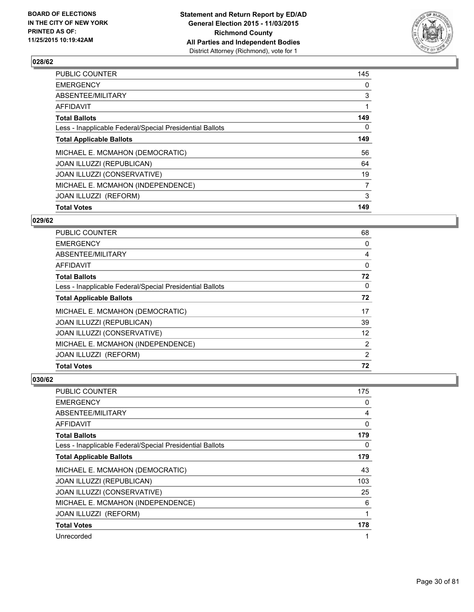

| <b>Total Votes</b>                                       | 149            |
|----------------------------------------------------------|----------------|
|                                                          |                |
| JOAN ILLUZZI (REFORM)                                    | 3              |
| MICHAEL E. MCMAHON (INDEPENDENCE)                        | $\overline{7}$ |
| JOAN ILLUZZI (CONSERVATIVE)                              | 19             |
| <b>JOAN ILLUZZI (REPUBLICAN)</b>                         | 64             |
| MICHAEL E. MCMAHON (DEMOCRATIC)                          | 56             |
| <b>Total Applicable Ballots</b>                          | 149            |
| Less - Inapplicable Federal/Special Presidential Ballots | 0              |
| <b>Total Ballots</b>                                     | 149            |
| <b>AFFIDAVIT</b>                                         |                |
| ABSENTEE/MILITARY                                        | 3              |
| <b>EMERGENCY</b>                                         | 0              |
| <b>PUBLIC COUNTER</b>                                    | 145            |

#### **029/62**

| <b>Total Votes</b>                                       | 72             |
|----------------------------------------------------------|----------------|
| JOAN ILLUZZI (REFORM)                                    | $\overline{2}$ |
| MICHAEL E. MCMAHON (INDEPENDENCE)                        | $\overline{2}$ |
| JOAN ILLUZZI (CONSERVATIVE)                              | 12             |
| <b>JOAN ILLUZZI (REPUBLICAN)</b>                         | 39             |
| MICHAEL E. MCMAHON (DEMOCRATIC)                          | 17             |
| <b>Total Applicable Ballots</b>                          | 72             |
| Less - Inapplicable Federal/Special Presidential Ballots | 0              |
| <b>Total Ballots</b>                                     | 72             |
| AFFIDAVIT                                                | 0              |
| ABSENTEE/MILITARY                                        | 4              |
| <b>EMERGENCY</b>                                         | 0              |
| <b>PUBLIC COUNTER</b>                                    | 68             |

| PUBLIC COUNTER                                           | 175      |
|----------------------------------------------------------|----------|
| <b>EMERGENCY</b>                                         | 0        |
| ABSENTEE/MILITARY                                        | 4        |
| <b>AFFIDAVIT</b>                                         | $\Omega$ |
| <b>Total Ballots</b>                                     | 179      |
| Less - Inapplicable Federal/Special Presidential Ballots | 0        |
| <b>Total Applicable Ballots</b>                          | 179      |
| MICHAEL E. MCMAHON (DEMOCRATIC)                          | 43       |
| JOAN ILLUZZI (REPUBLICAN)                                | 103      |
| JOAN ILLUZZI (CONSERVATIVE)                              | 25       |
| MICHAEL E. MCMAHON (INDEPENDENCE)                        | 6        |
| JOAN ILLUZZI (REFORM)                                    | 1        |
| <b>Total Votes</b>                                       | 178      |
| Unrecorded                                               | 1        |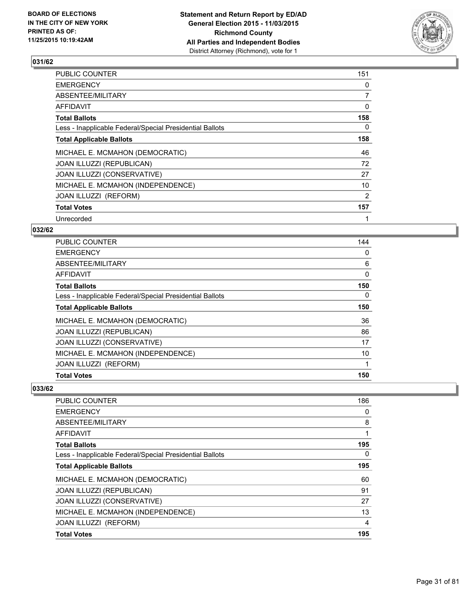

| PUBLIC COUNTER                                           | 151            |
|----------------------------------------------------------|----------------|
| <b>EMERGENCY</b>                                         | 0              |
| ABSENTEE/MILITARY                                        | $\overline{7}$ |
| AFFIDAVIT                                                | 0              |
| <b>Total Ballots</b>                                     | 158            |
| Less - Inapplicable Federal/Special Presidential Ballots | 0              |
| <b>Total Applicable Ballots</b>                          | 158            |
| MICHAEL E. MCMAHON (DEMOCRATIC)                          | 46             |
| JOAN ILLUZZI (REPUBLICAN)                                | 72             |
| JOAN ILLUZZI (CONSERVATIVE)                              | 27             |
| MICHAEL E. MCMAHON (INDEPENDENCE)                        | 10             |
| JOAN ILLUZZI (REFORM)                                    | 2              |
| <b>Total Votes</b>                                       | 157            |
| Unrecorded                                               | 1              |

## **032/62**

| <b>PUBLIC COUNTER</b>                                    | 144 |
|----------------------------------------------------------|-----|
| <b>EMERGENCY</b>                                         | 0   |
| ABSENTEE/MILITARY                                        | 6   |
| <b>AFFIDAVIT</b>                                         | 0   |
| <b>Total Ballots</b>                                     | 150 |
| Less - Inapplicable Federal/Special Presidential Ballots | 0   |
| <b>Total Applicable Ballots</b>                          | 150 |
| MICHAEL E. MCMAHON (DEMOCRATIC)                          | 36  |
| JOAN ILLUZZI (REPUBLICAN)                                | 86  |
| JOAN ILLUZZI (CONSERVATIVE)                              | 17  |
| MICHAEL E. MCMAHON (INDEPENDENCE)                        | 10  |
| JOAN ILLUZZI (REFORM)                                    | 1   |
| <b>Total Votes</b>                                       | 150 |

| <b>Total Votes</b>                                       | 195 |
|----------------------------------------------------------|-----|
| JOAN ILLUZZI (REFORM)                                    | 4   |
| MICHAEL E. MCMAHON (INDEPENDENCE)                        | 13  |
| JOAN ILLUZZI (CONSERVATIVE)                              | 27  |
| <b>JOAN ILLUZZI (REPUBLICAN)</b>                         | 91  |
| MICHAEL E. MCMAHON (DEMOCRATIC)                          | 60  |
| <b>Total Applicable Ballots</b>                          | 195 |
| Less - Inapplicable Federal/Special Presidential Ballots | 0   |
| <b>Total Ballots</b>                                     | 195 |
| AFFIDAVIT                                                | 1   |
| ABSENTEE/MILITARY                                        | 8   |
| <b>EMERGENCY</b>                                         | 0   |
| <b>PUBLIC COUNTER</b>                                    | 186 |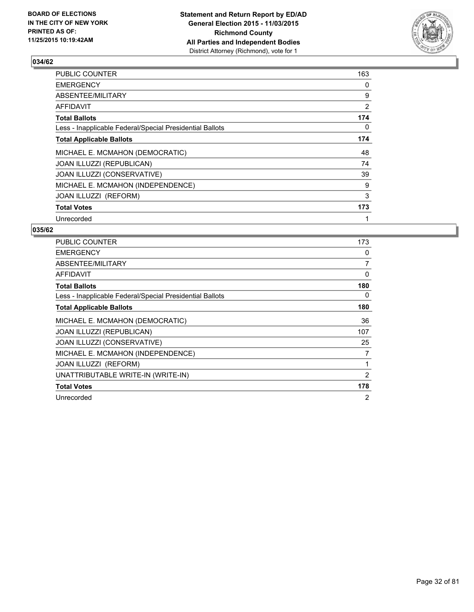

| PUBLIC COUNTER                                           | 163            |
|----------------------------------------------------------|----------------|
| <b>EMERGENCY</b>                                         | 0              |
| ABSENTEE/MILITARY                                        | 9              |
| AFFIDAVIT                                                | $\overline{2}$ |
| <b>Total Ballots</b>                                     | 174            |
| Less - Inapplicable Federal/Special Presidential Ballots | 0              |
| <b>Total Applicable Ballots</b>                          | 174            |
| MICHAEL E. MCMAHON (DEMOCRATIC)                          | 48             |
| <b>JOAN ILLUZZI (REPUBLICAN)</b>                         | 74             |
| JOAN ILLUZZI (CONSERVATIVE)                              | 39             |
| MICHAEL E. MCMAHON (INDEPENDENCE)                        | 9              |
| JOAN ILLUZZI (REFORM)                                    | 3              |
| <b>Total Votes</b>                                       | 173            |
| Unrecorded                                               | 1              |

| <b>PUBLIC COUNTER</b>                                    | 173 |
|----------------------------------------------------------|-----|
| <b>EMERGENCY</b>                                         | 0   |
| ABSENTEE/MILITARY                                        | 7   |
| <b>AFFIDAVIT</b>                                         | 0   |
| <b>Total Ballots</b>                                     | 180 |
| Less - Inapplicable Federal/Special Presidential Ballots | 0   |
| <b>Total Applicable Ballots</b>                          | 180 |
| MICHAEL E. MCMAHON (DEMOCRATIC)                          | 36  |
| <b>JOAN ILLUZZI (REPUBLICAN)</b>                         | 107 |
| JOAN ILLUZZI (CONSERVATIVE)                              | 25  |
| MICHAEL E. MCMAHON (INDEPENDENCE)                        | 7   |
| JOAN ILLUZZI (REFORM)                                    | 1   |
| UNATTRIBUTABLE WRITE-IN (WRITE-IN)                       | 2   |
| <b>Total Votes</b>                                       | 178 |
| Unrecorded                                               | 2   |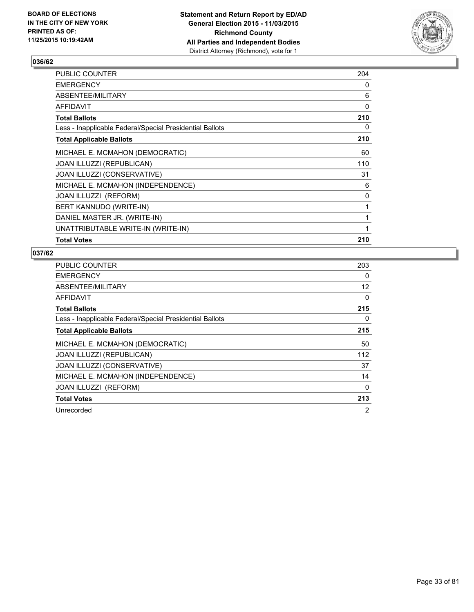

| PUBLIC COUNTER                                           | 204 |
|----------------------------------------------------------|-----|
| <b>EMERGENCY</b>                                         | 0   |
| ABSENTEE/MILITARY                                        | 6   |
| <b>AFFIDAVIT</b>                                         | 0   |
| <b>Total Ballots</b>                                     | 210 |
| Less - Inapplicable Federal/Special Presidential Ballots | 0   |
| <b>Total Applicable Ballots</b>                          | 210 |
| MICHAEL E. MCMAHON (DEMOCRATIC)                          | 60  |
| <b>JOAN ILLUZZI (REPUBLICAN)</b>                         | 110 |
| JOAN ILLUZZI (CONSERVATIVE)                              | 31  |
| MICHAEL E. MCMAHON (INDEPENDENCE)                        | 6   |
| JOAN ILLUZZI (REFORM)                                    | 0   |
| BERT KANNUDO (WRITE-IN)                                  | 1   |
| DANIEL MASTER JR. (WRITE-IN)                             | 1   |
| UNATTRIBUTABLE WRITE-IN (WRITE-IN)                       | 1   |
| <b>Total Votes</b>                                       | 210 |

| <b>PUBLIC COUNTER</b>                                    | 203 |
|----------------------------------------------------------|-----|
| <b>EMERGENCY</b>                                         | 0   |
| ABSENTEE/MILITARY                                        | 12  |
| AFFIDAVIT                                                | 0   |
| <b>Total Ballots</b>                                     | 215 |
| Less - Inapplicable Federal/Special Presidential Ballots | 0   |
| <b>Total Applicable Ballots</b>                          | 215 |
| MICHAEL E. MCMAHON (DEMOCRATIC)                          | 50  |
| JOAN ILLUZZI (REPUBLICAN)                                | 112 |
| <b>JOAN ILLUZZI (CONSERVATIVE)</b>                       | 37  |
| MICHAEL E. MCMAHON (INDEPENDENCE)                        | 14  |
| <b>JOAN ILLUZZI (REFORM)</b>                             | 0   |
| <b>Total Votes</b>                                       | 213 |
| Unrecorded                                               | 2   |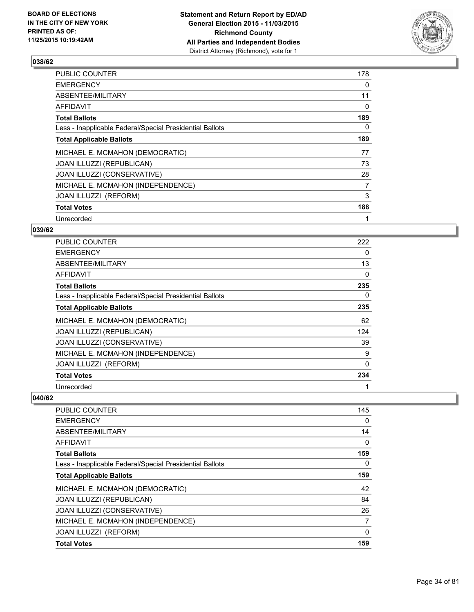

| PUBLIC COUNTER                                           | 178            |
|----------------------------------------------------------|----------------|
| <b>EMERGENCY</b>                                         | $\Omega$       |
| ABSENTEE/MILITARY                                        | 11             |
| AFFIDAVIT                                                | 0              |
| <b>Total Ballots</b>                                     | 189            |
| Less - Inapplicable Federal/Special Presidential Ballots | 0              |
| <b>Total Applicable Ballots</b>                          | 189            |
| MICHAEL E. MCMAHON (DEMOCRATIC)                          | 77             |
| JOAN ILLUZZI (REPUBLICAN)                                | 73             |
| JOAN ILLUZZI (CONSERVATIVE)                              | 28             |
| MICHAEL E. MCMAHON (INDEPENDENCE)                        | $\overline{7}$ |
| JOAN ILLUZZI (REFORM)                                    | 3              |
| <b>Total Votes</b>                                       | 188            |
| Unrecorded                                               | 1              |

## **039/62**

| PUBLIC COUNTER                                           | 222      |
|----------------------------------------------------------|----------|
| <b>EMERGENCY</b>                                         | 0        |
| ABSENTEE/MILITARY                                        | 13       |
| AFFIDAVIT                                                | 0        |
| <b>Total Ballots</b>                                     | 235      |
| Less - Inapplicable Federal/Special Presidential Ballots | 0        |
| <b>Total Applicable Ballots</b>                          | 235      |
| MICHAEL E. MCMAHON (DEMOCRATIC)                          | 62       |
| JOAN ILLUZZI (REPUBLICAN)                                | 124      |
| JOAN ILLUZZI (CONSERVATIVE)                              | 39       |
| MICHAEL E. MCMAHON (INDEPENDENCE)                        | 9        |
| JOAN ILLUZZI (REFORM)                                    | $\Omega$ |
| <b>Total Votes</b>                                       | 234      |
| Unrecorded                                               | 1        |

| <b>PUBLIC COUNTER</b>                                    | 145 |
|----------------------------------------------------------|-----|
| <b>EMERGENCY</b>                                         | 0   |
| ABSENTEE/MILITARY                                        | 14  |
| AFFIDAVIT                                                | 0   |
| <b>Total Ballots</b>                                     | 159 |
| Less - Inapplicable Federal/Special Presidential Ballots | 0   |
| <b>Total Applicable Ballots</b>                          | 159 |
| MICHAEL E. MCMAHON (DEMOCRATIC)                          | 42  |
| JOAN ILLUZZI (REPUBLICAN)                                | 84  |
| JOAN ILLUZZI (CONSERVATIVE)                              | 26  |
| MICHAEL E. MCMAHON (INDEPENDENCE)                        | 7   |
| JOAN ILLUZZI (REFORM)                                    | 0   |
| <b>Total Votes</b>                                       | 159 |
|                                                          |     |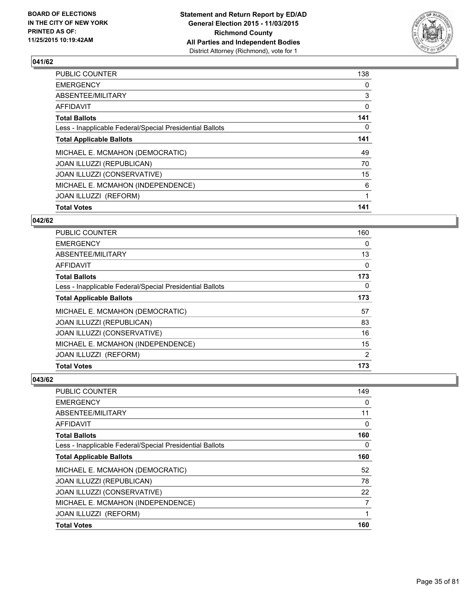

| <b>Total Votes</b>                                       | 141 |
|----------------------------------------------------------|-----|
|                                                          |     |
| JOAN ILLUZZI (REFORM)                                    | 1   |
| MICHAEL E. MCMAHON (INDEPENDENCE)                        | 6   |
| JOAN ILLUZZI (CONSERVATIVE)                              | 15  |
| JOAN ILLUZZI (REPUBLICAN)                                | 70  |
| MICHAEL E. MCMAHON (DEMOCRATIC)                          | 49  |
| <b>Total Applicable Ballots</b>                          | 141 |
| Less - Inapplicable Federal/Special Presidential Ballots | 0   |
| <b>Total Ballots</b>                                     | 141 |
| <b>AFFIDAVIT</b>                                         | 0   |
| ABSENTEE/MILITARY                                        | 3   |
| <b>EMERGENCY</b>                                         | 0   |
| PUBLIC COUNTER                                           | 138 |

#### **042/62**

| <b>PUBLIC COUNTER</b>                                    | 160 |
|----------------------------------------------------------|-----|
| <b>EMERGENCY</b>                                         | 0   |
| ABSENTEE/MILITARY                                        | 13  |
| AFFIDAVIT                                                | 0   |
| <b>Total Ballots</b>                                     | 173 |
| Less - Inapplicable Federal/Special Presidential Ballots | 0   |
| <b>Total Applicable Ballots</b>                          | 173 |
| MICHAEL E. MCMAHON (DEMOCRATIC)                          | 57  |
| <b>JOAN ILLUZZI (REPUBLICAN)</b>                         | 83  |
| JOAN ILLUZZI (CONSERVATIVE)                              | 16  |
| MICHAEL E. MCMAHON (INDEPENDENCE)                        | 15  |
| JOAN ILLUZZI (REFORM)                                    | 2   |
| <b>Total Votes</b>                                       | 173 |

| PUBLIC COUNTER                                           | 149 |
|----------------------------------------------------------|-----|
| <b>EMERGENCY</b>                                         | 0   |
| ABSENTEE/MILITARY                                        | 11  |
| AFFIDAVIT                                                | 0   |
| <b>Total Ballots</b>                                     | 160 |
| Less - Inapplicable Federal/Special Presidential Ballots | 0   |
| <b>Total Applicable Ballots</b>                          | 160 |
| MICHAEL E. MCMAHON (DEMOCRATIC)                          | 52  |
| <b>JOAN ILLUZZI (REPUBLICAN)</b>                         | 78  |
| JOAN ILLUZZI (CONSERVATIVE)                              | 22  |
| MICHAEL E. MCMAHON (INDEPENDENCE)                        | 7   |
| JOAN ILLUZZI (REFORM)                                    | 1   |
| <b>Total Votes</b>                                       | 160 |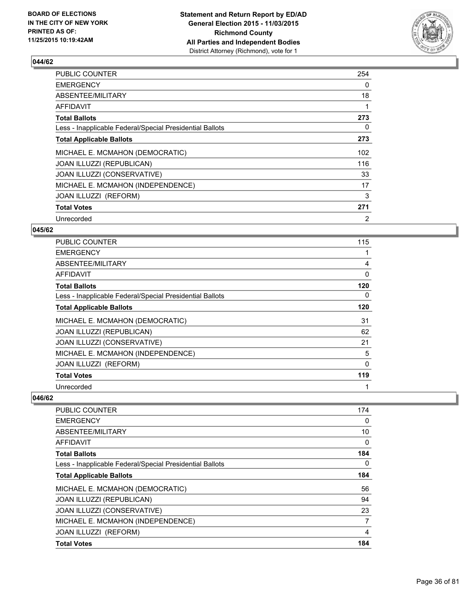

| PUBLIC COUNTER                                           | 254 |
|----------------------------------------------------------|-----|
| <b>EMERGENCY</b>                                         | 0   |
| ABSENTEE/MILITARY                                        | 18  |
| AFFIDAVIT                                                |     |
| <b>Total Ballots</b>                                     | 273 |
| Less - Inapplicable Federal/Special Presidential Ballots | 0   |
| <b>Total Applicable Ballots</b>                          | 273 |
| MICHAEL E. MCMAHON (DEMOCRATIC)                          | 102 |
| <b>JOAN ILLUZZI (REPUBLICAN)</b>                         | 116 |
| JOAN ILLUZZI (CONSERVATIVE)                              | 33  |
| MICHAEL E. MCMAHON (INDEPENDENCE)                        | 17  |
| JOAN ILLUZZI (REFORM)                                    | 3   |
| <b>Total Votes</b>                                       | 271 |
| Unrecorded                                               | 2   |

## **045/62**

| PUBLIC COUNTER                                           | 115      |
|----------------------------------------------------------|----------|
| <b>EMERGENCY</b>                                         |          |
| ABSENTEE/MILITARY                                        | 4        |
| AFFIDAVIT                                                | $\Omega$ |
| <b>Total Ballots</b>                                     | 120      |
| Less - Inapplicable Federal/Special Presidential Ballots | 0        |
| <b>Total Applicable Ballots</b>                          | 120      |
| MICHAEL E. MCMAHON (DEMOCRATIC)                          | 31       |
| JOAN ILLUZZI (REPUBLICAN)                                | 62       |
| JOAN ILLUZZI (CONSERVATIVE)                              | 21       |
| MICHAEL E. MCMAHON (INDEPENDENCE)                        | 5        |
| JOAN ILLUZZI (REFORM)                                    | $\Omega$ |
| <b>Total Votes</b>                                       | 119      |
| Unrecorded                                               | 1        |

| <b>PUBLIC COUNTER</b>                                    | 174 |
|----------------------------------------------------------|-----|
| <b>EMERGENCY</b>                                         | 0   |
| ABSENTEE/MILITARY                                        | 10  |
| AFFIDAVIT                                                | 0   |
| <b>Total Ballots</b>                                     | 184 |
| Less - Inapplicable Federal/Special Presidential Ballots | 0   |
| <b>Total Applicable Ballots</b>                          | 184 |
| MICHAEL E. MCMAHON (DEMOCRATIC)                          | 56  |
| JOAN ILLUZZI (REPUBLICAN)                                | 94  |
| JOAN ILLUZZI (CONSERVATIVE)                              | 23  |
| MICHAEL E. MCMAHON (INDEPENDENCE)                        | 7   |
| JOAN ILLUZZI (REFORM)                                    | 4   |
| <b>Total Votes</b>                                       | 184 |
|                                                          |     |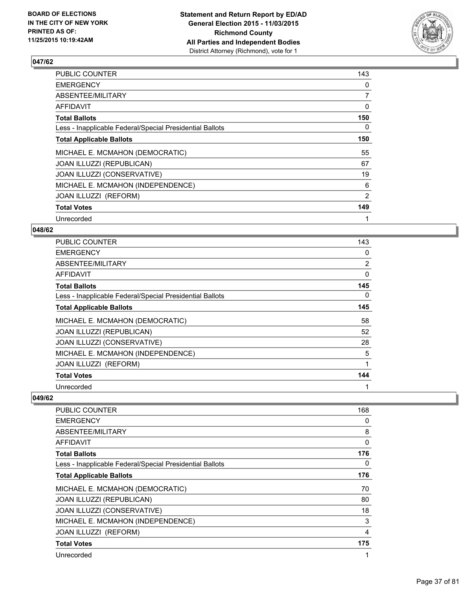

| PUBLIC COUNTER                                           | 143            |
|----------------------------------------------------------|----------------|
| <b>EMERGENCY</b>                                         | 0              |
| ABSENTEE/MILITARY                                        | $\overline{7}$ |
| AFFIDAVIT                                                | 0              |
| <b>Total Ballots</b>                                     | 150            |
| Less - Inapplicable Federal/Special Presidential Ballots | 0              |
| <b>Total Applicable Ballots</b>                          | 150            |
| MICHAEL E. MCMAHON (DEMOCRATIC)                          | 55             |
| JOAN ILLUZZI (REPUBLICAN)                                | 67             |
| JOAN ILLUZZI (CONSERVATIVE)                              | 19             |
| MICHAEL E. MCMAHON (INDEPENDENCE)                        | 6              |
| JOAN ILLUZZI (REFORM)                                    | 2              |
| <b>Total Votes</b>                                       | 149            |
| Unrecorded                                               | 1              |

# **048/62**

| PUBLIC COUNTER                                           | 143            |
|----------------------------------------------------------|----------------|
| <b>EMERGENCY</b>                                         | 0              |
| ABSENTEE/MILITARY                                        | $\overline{2}$ |
| AFFIDAVIT                                                | 0              |
| <b>Total Ballots</b>                                     | 145            |
| Less - Inapplicable Federal/Special Presidential Ballots | 0              |
| <b>Total Applicable Ballots</b>                          | 145            |
| MICHAEL E. MCMAHON (DEMOCRATIC)                          | 58             |
| <b>JOAN ILLUZZI (REPUBLICAN)</b>                         | 52             |
| JOAN ILLUZZI (CONSERVATIVE)                              | 28             |
| MICHAEL E. MCMAHON (INDEPENDENCE)                        | 5              |
| JOAN ILLUZZI (REFORM)                                    |                |
| <b>Total Votes</b>                                       | 144            |
| Unrecorded                                               | 1              |

| <b>PUBLIC COUNTER</b>                                    | 168 |
|----------------------------------------------------------|-----|
| <b>EMERGENCY</b>                                         | 0   |
| ABSENTEE/MILITARY                                        | 8   |
| AFFIDAVIT                                                | 0   |
| <b>Total Ballots</b>                                     | 176 |
| Less - Inapplicable Federal/Special Presidential Ballots | 0   |
| <b>Total Applicable Ballots</b>                          | 176 |
| MICHAEL E. MCMAHON (DEMOCRATIC)                          | 70  |
| JOAN ILLUZZI (REPUBLICAN)                                | 80  |
| JOAN ILLUZZI (CONSERVATIVE)                              | 18  |
| MICHAEL E. MCMAHON (INDEPENDENCE)                        | 3   |
| JOAN ILLUZZI (REFORM)                                    | 4   |
| <b>Total Votes</b>                                       | 175 |
| Unrecorded                                               | 1   |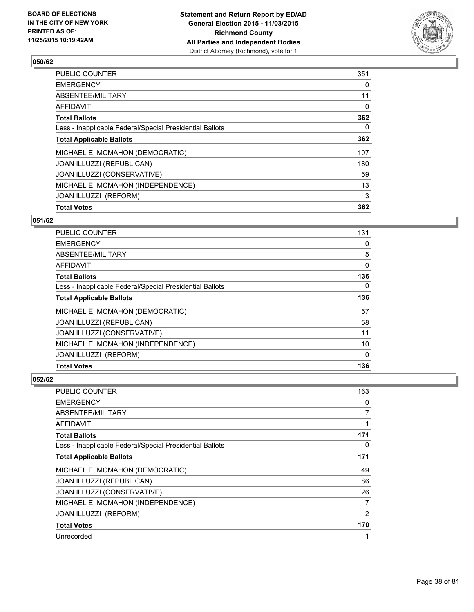

| <b>Total Votes</b>                                       | 362      |
|----------------------------------------------------------|----------|
| JOAN ILLUZZI (REFORM)                                    | 3        |
| MICHAEL E. MCMAHON (INDEPENDENCE)                        | 13       |
| JOAN ILLUZZI (CONSERVATIVE)                              | 59       |
| <b>JOAN ILLUZZI (REPUBLICAN)</b>                         | 180      |
| MICHAEL E. MCMAHON (DEMOCRATIC)                          | 107      |
| <b>Total Applicable Ballots</b>                          | 362      |
| Less - Inapplicable Federal/Special Presidential Ballots | 0        |
| <b>Total Ballots</b>                                     | 362      |
| <b>AFFIDAVIT</b>                                         | $\Omega$ |
| ABSENTEE/MILITARY                                        | 11       |
| <b>EMERGENCY</b>                                         | 0        |
| <b>PUBLIC COUNTER</b>                                    | 351      |

#### **051/62**

| <b>Total Votes</b>                                       | 136      |
|----------------------------------------------------------|----------|
| JOAN ILLUZZI (REFORM)                                    | $\Omega$ |
| MICHAEL E. MCMAHON (INDEPENDENCE)                        | 10       |
| JOAN ILLUZZI (CONSERVATIVE)                              | 11       |
| <b>JOAN ILLUZZI (REPUBLICAN)</b>                         | 58       |
| MICHAEL E. MCMAHON (DEMOCRATIC)                          | 57       |
| <b>Total Applicable Ballots</b>                          | 136      |
| Less - Inapplicable Federal/Special Presidential Ballots | 0        |
| <b>Total Ballots</b>                                     | 136      |
| AFFIDAVIT                                                | 0        |
| ABSENTEE/MILITARY                                        | 5        |
| <b>EMERGENCY</b>                                         | 0        |
| <b>PUBLIC COUNTER</b>                                    | 131      |

| <b>PUBLIC COUNTER</b>                                    | 163 |
|----------------------------------------------------------|-----|
| <b>EMERGENCY</b>                                         | 0   |
| ABSENTEE/MILITARY                                        | 7   |
| AFFIDAVIT                                                | 1   |
| <b>Total Ballots</b>                                     | 171 |
| Less - Inapplicable Federal/Special Presidential Ballots | 0   |
| <b>Total Applicable Ballots</b>                          | 171 |
| MICHAEL E. MCMAHON (DEMOCRATIC)                          | 49  |
| JOAN ILLUZZI (REPUBLICAN)                                | 86  |
| JOAN ILLUZZI (CONSERVATIVE)                              | 26  |
| MICHAEL E. MCMAHON (INDEPENDENCE)                        | 7   |
| <b>JOAN ILLUZZI (REFORM)</b>                             | 2   |
| <b>Total Votes</b>                                       | 170 |
| Unrecorded                                               | 1   |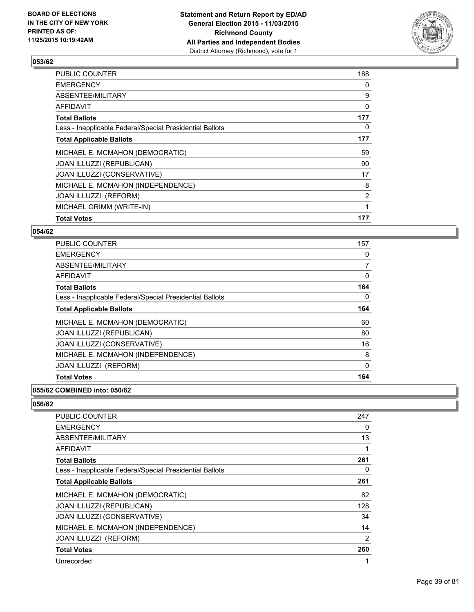

| PUBLIC COUNTER                                           | 168            |
|----------------------------------------------------------|----------------|
| <b>EMERGENCY</b>                                         | 0              |
| ABSENTEE/MILITARY                                        | 9              |
| <b>AFFIDAVIT</b>                                         | 0              |
| <b>Total Ballots</b>                                     | 177            |
| Less - Inapplicable Federal/Special Presidential Ballots | 0              |
| <b>Total Applicable Ballots</b>                          | 177            |
| MICHAEL E. MCMAHON (DEMOCRATIC)                          | 59             |
| JOAN ILLUZZI (REPUBLICAN)                                | 90             |
| <b>JOAN ILLUZZI (CONSERVATIVE)</b>                       | 17             |
| MICHAEL E. MCMAHON (INDEPENDENCE)                        | 8              |
| <b>JOAN ILLUZZI (REFORM)</b>                             | $\overline{2}$ |
| MICHAEL GRIMM (WRITE-IN)                                 |                |
| <b>Total Votes</b>                                       | 177            |

#### **054/62**

| <b>PUBLIC COUNTER</b>                                    | 157 |
|----------------------------------------------------------|-----|
| <b>EMERGENCY</b>                                         | 0   |
| ABSENTEE/MILITARY                                        | 7   |
| AFFIDAVIT                                                | 0   |
| <b>Total Ballots</b>                                     | 164 |
| Less - Inapplicable Federal/Special Presidential Ballots | 0   |
| <b>Total Applicable Ballots</b>                          | 164 |
| MICHAEL E. MCMAHON (DEMOCRATIC)                          | 60  |
| <b>JOAN ILLUZZI (REPUBLICAN)</b>                         | 80  |
| JOAN ILLUZZI (CONSERVATIVE)                              | 16  |
| MICHAEL E. MCMAHON (INDEPENDENCE)                        | 8   |
| <b>JOAN ILLUZZI (REFORM)</b>                             | 0   |
| <b>Total Votes</b>                                       | 164 |

#### **055/62 COMBINED into: 050/62**

| PUBLIC COUNTER                                           | 247 |
|----------------------------------------------------------|-----|
| <b>EMERGENCY</b>                                         | 0   |
| ABSENTEE/MILITARY                                        | 13  |
| AFFIDAVIT                                                | 1   |
| <b>Total Ballots</b>                                     | 261 |
| Less - Inapplicable Federal/Special Presidential Ballots | 0   |
| <b>Total Applicable Ballots</b>                          | 261 |
| MICHAEL E. MCMAHON (DEMOCRATIC)                          | 82  |
| JOAN ILLUZZI (REPUBLICAN)                                | 128 |
| JOAN ILLUZZI (CONSERVATIVE)                              | 34  |
| MICHAEL E. MCMAHON (INDEPENDENCE)                        | 14  |
| JOAN ILLUZZI (REFORM)                                    | 2   |
| <b>Total Votes</b>                                       | 260 |
| Unrecorded                                               |     |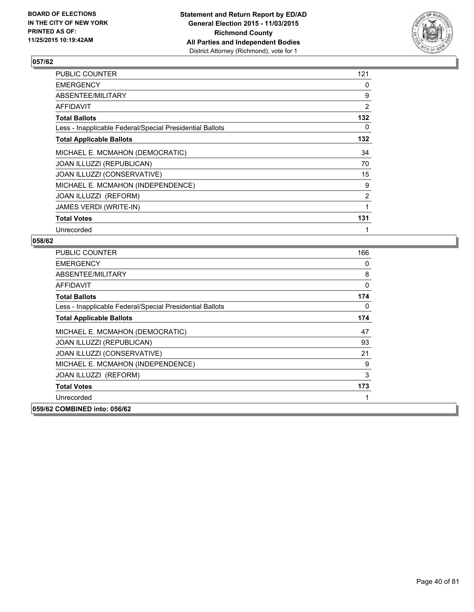

| PUBLIC COUNTER                                           | 121            |
|----------------------------------------------------------|----------------|
| <b>EMERGENCY</b>                                         | 0              |
| ABSENTEE/MILITARY                                        | 9              |
| AFFIDAVIT                                                | $\overline{2}$ |
| <b>Total Ballots</b>                                     | 132            |
| Less - Inapplicable Federal/Special Presidential Ballots | 0              |
| <b>Total Applicable Ballots</b>                          | 132            |
| MICHAEL E. MCMAHON (DEMOCRATIC)                          | 34             |
| JOAN ILLUZZI (REPUBLICAN)                                | 70             |
| JOAN ILLUZZI (CONSERVATIVE)                              | 15             |
| MICHAEL E. MCMAHON (INDEPENDENCE)                        | 9              |
| JOAN ILLUZZI (REFORM)                                    | $\overline{2}$ |
| JAMES VERDI (WRITE-IN)                                   | 1              |
| <b>Total Votes</b>                                       | 131            |
| Unrecorded                                               |                |

| <b>PUBLIC COUNTER</b>                                    | 166 |
|----------------------------------------------------------|-----|
| <b>EMERGENCY</b>                                         | 0   |
| ABSENTEE/MILITARY                                        | 8   |
| AFFIDAVIT                                                | 0   |
| <b>Total Ballots</b>                                     | 174 |
| Less - Inapplicable Federal/Special Presidential Ballots | 0   |
| <b>Total Applicable Ballots</b>                          | 174 |
| MICHAEL E. MCMAHON (DEMOCRATIC)                          | 47  |
| JOAN ILLUZZI (REPUBLICAN)                                | 93  |
| JOAN ILLUZZI (CONSERVATIVE)                              | 21  |
| MICHAEL E. MCMAHON (INDEPENDENCE)                        | 9   |
| JOAN ILLUZZI (REFORM)                                    | 3   |
| <b>Total Votes</b>                                       | 173 |
| Unrecorded                                               |     |
| 059/62 COMBINED into: 056/62                             |     |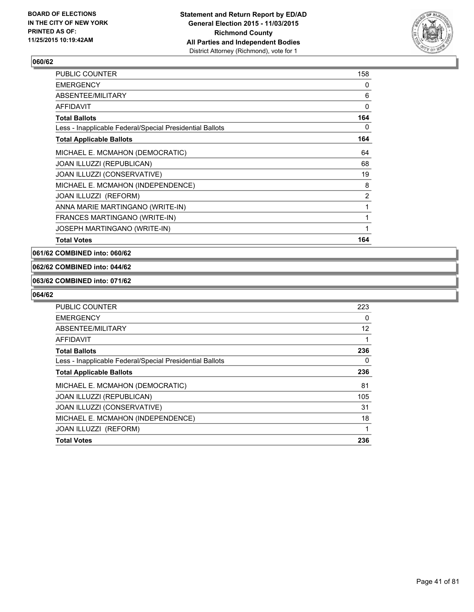

| <b>PUBLIC COUNTER</b>                                    | 158 |
|----------------------------------------------------------|-----|
| <b>EMERGENCY</b>                                         | 0   |
| ABSENTEE/MILITARY                                        | 6   |
| <b>AFFIDAVIT</b>                                         | 0   |
| <b>Total Ballots</b>                                     | 164 |
| Less - Inapplicable Federal/Special Presidential Ballots | 0   |
| <b>Total Applicable Ballots</b>                          | 164 |
| MICHAEL E. MCMAHON (DEMOCRATIC)                          | 64  |
| JOAN ILLUZZI (REPUBLICAN)                                | 68  |
| <b>JOAN ILLUZZI (CONSERVATIVE)</b>                       | 19  |
| MICHAEL E. MCMAHON (INDEPENDENCE)                        | 8   |
| JOAN ILLUZZI (REFORM)                                    | 2   |
| ANNA MARIE MARTINGANO (WRITE-IN)                         | 1   |
| FRANCES MARTINGANO (WRITE-IN)                            | 1   |
| JOSEPH MARTINGANO (WRITE-IN)                             | 1   |
| <b>Total Votes</b>                                       | 164 |

**061/62 COMBINED into: 060/62**

#### **062/62 COMBINED into: 044/62**

#### **063/62 COMBINED into: 071/62**

| <b>PUBLIC COUNTER</b>                                    | 223 |
|----------------------------------------------------------|-----|
| <b>EMERGENCY</b>                                         | 0   |
| ABSENTEE/MILITARY                                        | 12  |
| AFFIDAVIT                                                |     |
| <b>Total Ballots</b>                                     | 236 |
| Less - Inapplicable Federal/Special Presidential Ballots | 0   |
| <b>Total Applicable Ballots</b>                          | 236 |
| MICHAEL E. MCMAHON (DEMOCRATIC)                          | 81  |
| JOAN ILLUZZI (REPUBLICAN)                                | 105 |
| JOAN ILLUZZI (CONSERVATIVE)                              | 31  |
| MICHAEL E. MCMAHON (INDEPENDENCE)                        | 18  |
| JOAN ILLUZZI (REFORM)                                    | 1   |
| <b>Total Votes</b>                                       | 236 |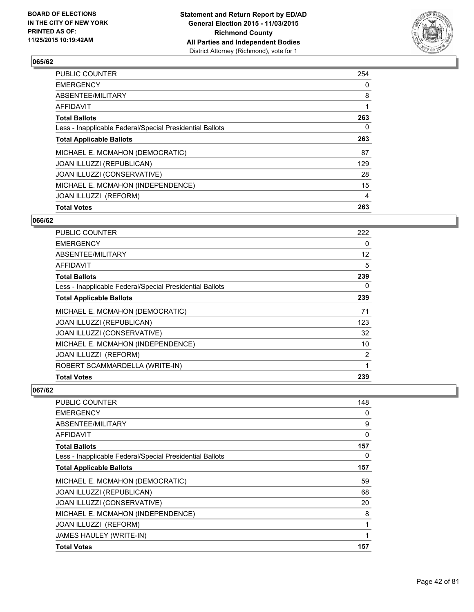

| <b>Total Votes</b>                                       | 263 |
|----------------------------------------------------------|-----|
| JOAN ILLUZZI (REFORM)                                    | 4   |
| MICHAEL E. MCMAHON (INDEPENDENCE)                        | 15  |
| JOAN ILLUZZI (CONSERVATIVE)                              | 28  |
| <b>JOAN ILLUZZI (REPUBLICAN)</b>                         | 129 |
| MICHAEL E. MCMAHON (DEMOCRATIC)                          | 87  |
| <b>Total Applicable Ballots</b>                          | 263 |
| Less - Inapplicable Federal/Special Presidential Ballots | 0   |
| <b>Total Ballots</b>                                     | 263 |
| <b>AFFIDAVIT</b>                                         |     |
| ABSENTEE/MILITARY                                        | 8   |
| <b>EMERGENCY</b>                                         | 0   |
| <b>PUBLIC COUNTER</b>                                    | 254 |

#### **066/62**

| PUBLIC COUNTER                                           | 222               |
|----------------------------------------------------------|-------------------|
| <b>EMERGENCY</b>                                         | 0                 |
| ABSENTEE/MILITARY                                        | $12 \overline{ }$ |
| AFFIDAVIT                                                | 5                 |
| <b>Total Ballots</b>                                     | 239               |
| Less - Inapplicable Federal/Special Presidential Ballots | 0                 |
| <b>Total Applicable Ballots</b>                          | 239               |
| MICHAEL E. MCMAHON (DEMOCRATIC)                          | 71                |
| JOAN ILLUZZI (REPUBLICAN)                                | 123               |
| JOAN ILLUZZI (CONSERVATIVE)                              | 32                |
| MICHAEL E. MCMAHON (INDEPENDENCE)                        | 10                |
| <b>JOAN ILLUZZI (REFORM)</b>                             | 2                 |
| ROBERT SCAMMARDELLA (WRITE-IN)                           | 1                 |
| <b>Total Votes</b>                                       | 239               |

| PUBLIC COUNTER                                           | 148 |
|----------------------------------------------------------|-----|
| <b>EMERGENCY</b>                                         | 0   |
| ABSENTEE/MILITARY                                        | 9   |
| AFFIDAVIT                                                | 0   |
| <b>Total Ballots</b>                                     | 157 |
| Less - Inapplicable Federal/Special Presidential Ballots | 0   |
| <b>Total Applicable Ballots</b>                          | 157 |
| MICHAEL E. MCMAHON (DEMOCRATIC)                          | 59  |
| JOAN ILLUZZI (REPUBLICAN)                                | 68  |
| JOAN ILLUZZI (CONSERVATIVE)                              | 20  |
| MICHAEL E. MCMAHON (INDEPENDENCE)                        | 8   |
| JOAN ILLUZZI (REFORM)                                    | 1   |
| JAMES HAULEY (WRITE-IN)                                  | 1   |
| <b>Total Votes</b>                                       | 157 |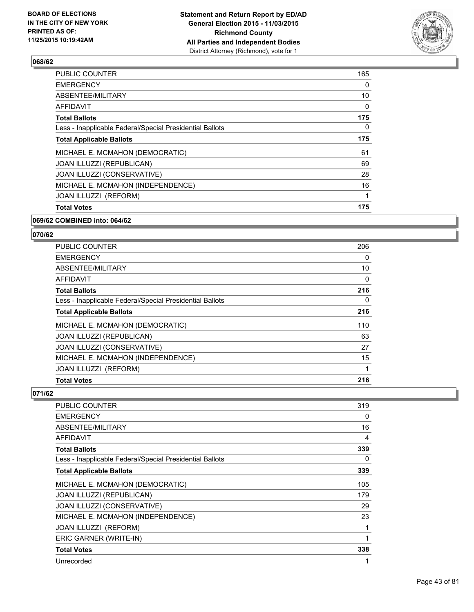

| <b>Total Votes</b>                                       | 175 |
|----------------------------------------------------------|-----|
| JOAN ILLUZZI (REFORM)                                    | 1   |
| MICHAEL E. MCMAHON (INDEPENDENCE)                        | 16  |
| JOAN ILLUZZI (CONSERVATIVE)                              | 28  |
| JOAN ILLUZZI (REPUBLICAN)                                | 69  |
| MICHAEL E. MCMAHON (DEMOCRATIC)                          | 61  |
| <b>Total Applicable Ballots</b>                          | 175 |
| Less - Inapplicable Federal/Special Presidential Ballots | 0   |
| <b>Total Ballots</b>                                     | 175 |
| <b>AFFIDAVIT</b>                                         | 0   |
| ABSENTEE/MILITARY                                        | 10  |
| <b>EMERGENCY</b>                                         | 0   |
| <b>PUBLIC COUNTER</b>                                    | 165 |

#### **069/62 COMBINED into: 064/62**

# **070/62**

| <b>Total Votes</b>                                       | 216 |
|----------------------------------------------------------|-----|
| JOAN ILLUZZI (REFORM)                                    | 1   |
| MICHAEL E. MCMAHON (INDEPENDENCE)                        | 15  |
| JOAN ILLUZZI (CONSERVATIVE)                              | 27  |
| <b>JOAN ILLUZZI (REPUBLICAN)</b>                         | 63  |
| MICHAEL E. MCMAHON (DEMOCRATIC)                          | 110 |
| <b>Total Applicable Ballots</b>                          | 216 |
| Less - Inapplicable Federal/Special Presidential Ballots | 0   |
| <b>Total Ballots</b>                                     | 216 |
| AFFIDAVIT                                                | 0   |
| ABSENTEE/MILITARY                                        | 10  |
| <b>EMERGENCY</b>                                         | 0   |
| <b>PUBLIC COUNTER</b>                                    | 206 |

| <b>PUBLIC COUNTER</b>                                    | 319 |
|----------------------------------------------------------|-----|
| <b>EMERGENCY</b>                                         | 0   |
| ABSENTEE/MILITARY                                        | 16  |
| AFFIDAVIT                                                | 4   |
| <b>Total Ballots</b>                                     | 339 |
| Less - Inapplicable Federal/Special Presidential Ballots | 0   |
| <b>Total Applicable Ballots</b>                          | 339 |
| MICHAEL E. MCMAHON (DEMOCRATIC)                          | 105 |
| JOAN ILLUZZI (REPUBLICAN)                                | 179 |
| JOAN ILLUZZI (CONSERVATIVE)                              | 29  |
| MICHAEL E. MCMAHON (INDEPENDENCE)                        | 23  |
| JOAN ILLUZZI (REFORM)                                    | 1   |
| ERIC GARNER (WRITE-IN)                                   | 1   |
| <b>Total Votes</b>                                       | 338 |
| Unrecorded                                               |     |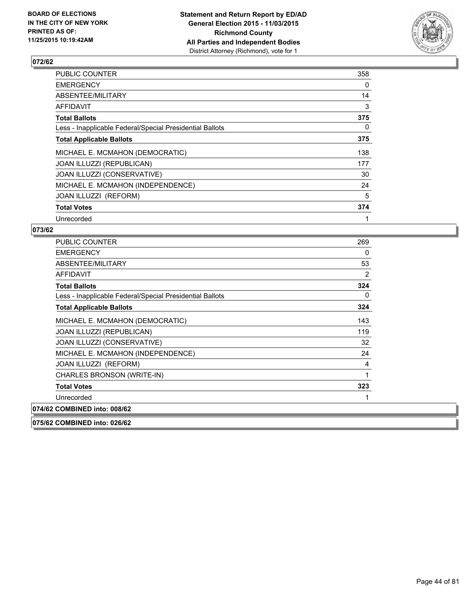

| <b>PUBLIC COUNTER</b>                                    | 358 |
|----------------------------------------------------------|-----|
| <b>EMERGENCY</b>                                         | 0   |
| ABSENTEE/MILITARY                                        | 14  |
| AFFIDAVIT                                                | 3   |
| <b>Total Ballots</b>                                     | 375 |
| Less - Inapplicable Federal/Special Presidential Ballots | 0   |
| <b>Total Applicable Ballots</b>                          | 375 |
| MICHAEL E. MCMAHON (DEMOCRATIC)                          | 138 |
| <b>JOAN ILLUZZI (REPUBLICAN)</b>                         | 177 |
| JOAN ILLUZZI (CONSERVATIVE)                              | 30  |
| MICHAEL E. MCMAHON (INDEPENDENCE)                        | 24  |
| JOAN ILLUZZI (REFORM)                                    | 5   |
| <b>Total Votes</b>                                       | 374 |
| Unrecorded                                               | 1   |

# **073/62**

| PUBLIC COUNTER                                           | 269 |
|----------------------------------------------------------|-----|
| <b>EMERGENCY</b>                                         | 0   |
| ABSENTEE/MILITARY                                        | 53  |
| AFFIDAVIT                                                | 2   |
| <b>Total Ballots</b>                                     | 324 |
| Less - Inapplicable Federal/Special Presidential Ballots | 0   |
| <b>Total Applicable Ballots</b>                          | 324 |
| MICHAEL E. MCMAHON (DEMOCRATIC)                          | 143 |
| JOAN ILLUZZI (REPUBLICAN)                                | 119 |
| JOAN ILLUZZI (CONSERVATIVE)                              | 32  |
| MICHAEL E. MCMAHON (INDEPENDENCE)                        | 24  |
| JOAN ILLUZZI (REFORM)                                    | 4   |
| CHARLES BRONSON (WRITE-IN)                               | 1   |
| <b>Total Votes</b>                                       | 323 |
| Unrecorded                                               | 1   |
| 074/62 COMBINED into: 008/62                             |     |
| 075/62 COMBINED into: 026/62                             |     |

Page 44 of 81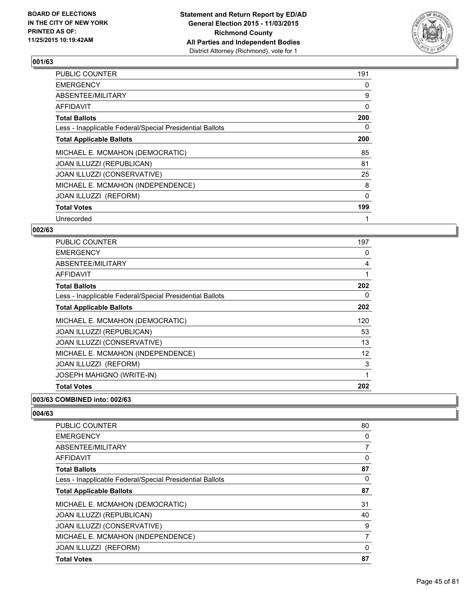

| <b>PUBLIC COUNTER</b>                                    | 191 |
|----------------------------------------------------------|-----|
| <b>EMERGENCY</b>                                         | 0   |
| ABSENTEE/MILITARY                                        | 9   |
| AFFIDAVIT                                                | 0   |
| <b>Total Ballots</b>                                     | 200 |
| Less - Inapplicable Federal/Special Presidential Ballots | 0   |
| <b>Total Applicable Ballots</b>                          | 200 |
| MICHAEL E. MCMAHON (DEMOCRATIC)                          | 85  |
| <b>JOAN ILLUZZI (REPUBLICAN)</b>                         | 81  |
| JOAN ILLUZZI (CONSERVATIVE)                              | 25  |
| MICHAEL E. MCMAHON (INDEPENDENCE)                        | 8   |
| JOAN ILLUZZI (REFORM)                                    | 0   |
| <b>Total Votes</b>                                       | 199 |
| Unrecorded                                               | 1   |

### **002/63**

| <b>PUBLIC COUNTER</b>                                    | 197 |
|----------------------------------------------------------|-----|
| <b>EMERGENCY</b>                                         | 0   |
| ABSENTEE/MILITARY                                        | 4   |
| AFFIDAVIT                                                | 1   |
| <b>Total Ballots</b>                                     | 202 |
| Less - Inapplicable Federal/Special Presidential Ballots | 0   |
| <b>Total Applicable Ballots</b>                          | 202 |
| MICHAEL E. MCMAHON (DEMOCRATIC)                          | 120 |
| <b>JOAN ILLUZZI (REPUBLICAN)</b>                         | 53  |
| JOAN ILLUZZI (CONSERVATIVE)                              | 13  |
| MICHAEL E. MCMAHON (INDEPENDENCE)                        | 12  |
| JOAN ILLUZZI (REFORM)                                    | 3   |
| JOSEPH MAHIGNO (WRITE-IN)                                | 1   |
| <b>Total Votes</b>                                       | 202 |

### **003/63 COMBINED into: 002/63**

| <b>PUBLIC COUNTER</b>                                    | 80       |
|----------------------------------------------------------|----------|
| <b>EMERGENCY</b>                                         | 0        |
| ABSENTEE/MILITARY                                        | 7        |
| <b>AFFIDAVIT</b>                                         | 0        |
| <b>Total Ballots</b>                                     | 87       |
| Less - Inapplicable Federal/Special Presidential Ballots | 0        |
| <b>Total Applicable Ballots</b>                          | 87       |
| MICHAEL E. MCMAHON (DEMOCRATIC)                          | 31       |
| JOAN ILLUZZI (REPUBLICAN)                                | 40       |
| JOAN ILLUZZI (CONSERVATIVE)                              | 9        |
| MICHAEL E. MCMAHON (INDEPENDENCE)                        | 7        |
| JOAN ILLUZZI (REFORM)                                    | $\Omega$ |
| <b>Total Votes</b>                                       | 87       |
|                                                          |          |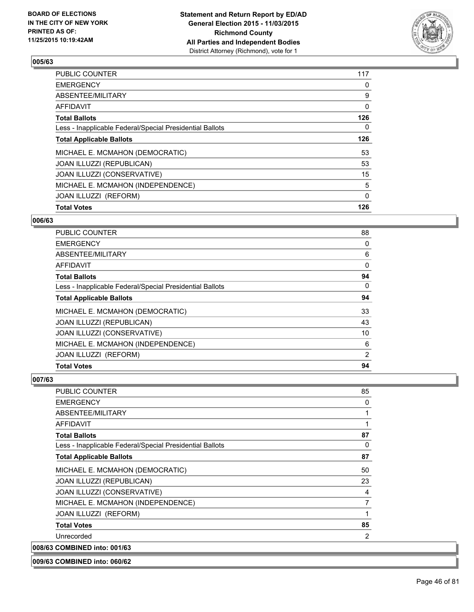

| <b>PUBLIC COUNTER</b>                                    | 117          |
|----------------------------------------------------------|--------------|
| <b>EMERGENCY</b>                                         | 0            |
| ABSENTEE/MILITARY                                        | 9            |
| <b>AFFIDAVIT</b>                                         | 0            |
| <b>Total Ballots</b>                                     | 126          |
| Less - Inapplicable Federal/Special Presidential Ballots | $\mathbf{0}$ |
| <b>Total Applicable Ballots</b>                          | 126          |
| MICHAEL E. MCMAHON (DEMOCRATIC)                          | 53           |
| <b>JOAN ILLUZZI (REPUBLICAN)</b>                         | 53           |
| JOAN ILLUZZI (CONSERVATIVE)                              | 15           |
| MICHAEL E. MCMAHON (INDEPENDENCE)                        | 5            |
| JOAN ILLUZZI (REFORM)                                    | $\Omega$     |
| <b>Total Votes</b>                                       | 126          |
|                                                          |              |

#### **006/63**

| <b>Total Votes</b>                                       | 94 |
|----------------------------------------------------------|----|
|                                                          |    |
| JOAN ILLUZZI (REFORM)                                    | 2  |
| MICHAEL E. MCMAHON (INDEPENDENCE)                        | 6  |
| JOAN ILLUZZI (CONSERVATIVE)                              | 10 |
| <b>JOAN ILLUZZI (REPUBLICAN)</b>                         | 43 |
| MICHAEL E. MCMAHON (DEMOCRATIC)                          | 33 |
| <b>Total Applicable Ballots</b>                          | 94 |
| Less - Inapplicable Federal/Special Presidential Ballots | 0  |
| <b>Total Ballots</b>                                     | 94 |
| AFFIDAVIT                                                | 0  |
| ABSENTEE/MILITARY                                        | 6  |
| <b>EMERGENCY</b>                                         | 0  |
| <b>PUBLIC COUNTER</b>                                    | 88 |

# **007/63**

| <b>PUBLIC COUNTER</b>                                    | 85 |
|----------------------------------------------------------|----|
| <b>EMERGENCY</b>                                         | 0  |
| ABSENTEE/MILITARY                                        | 1  |
| AFFIDAVIT                                                |    |
| <b>Total Ballots</b>                                     | 87 |
| Less - Inapplicable Federal/Special Presidential Ballots | 0  |
| <b>Total Applicable Ballots</b>                          | 87 |
| MICHAEL E. MCMAHON (DEMOCRATIC)                          | 50 |
| JOAN ILLUZZI (REPUBLICAN)                                | 23 |
| JOAN ILLUZZI (CONSERVATIVE)                              | 4  |
| MICHAEL E. MCMAHON (INDEPENDENCE)                        | 7  |
| JOAN ILLUZZI (REFORM)                                    |    |
| <b>Total Votes</b>                                       | 85 |
| Unrecorded                                               | 2  |
| 008/63 COMBINED into: 001/63                             |    |

**009/63 COMBINED into: 060/62**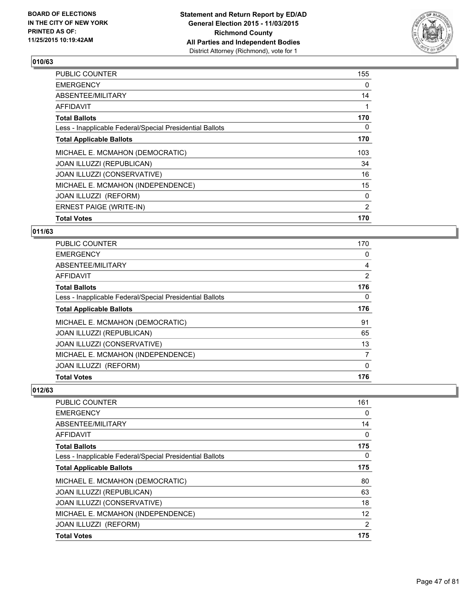

| <b>PUBLIC COUNTER</b>                                    | 155 |
|----------------------------------------------------------|-----|
| <b>EMERGENCY</b>                                         | 0   |
| ABSENTEE/MILITARY                                        | 14  |
| AFFIDAVIT                                                |     |
| <b>Total Ballots</b>                                     | 170 |
| Less - Inapplicable Federal/Special Presidential Ballots | 0   |
| <b>Total Applicable Ballots</b>                          | 170 |
| MICHAEL E. MCMAHON (DEMOCRATIC)                          | 103 |
| JOAN ILLUZZI (REPUBLICAN)                                | 34  |
| <b>JOAN ILLUZZI (CONSERVATIVE)</b>                       | 16  |
| MICHAEL E. MCMAHON (INDEPENDENCE)                        | 15  |
| <b>JOAN ILLUZZI (REFORM)</b>                             | 0   |
| <b>ERNEST PAIGE (WRITE-IN)</b>                           | 2   |
| <b>Total Votes</b>                                       | 170 |

#### **011/63**

| <b>Total Votes</b>                                       | 176 |
|----------------------------------------------------------|-----|
| JOAN ILLUZZI (REFORM)                                    | 0   |
| MICHAEL E. MCMAHON (INDEPENDENCE)                        | 7   |
| JOAN ILLUZZI (CONSERVATIVE)                              | 13  |
| JOAN ILLUZZI (REPUBLICAN)                                | 65  |
| MICHAEL E. MCMAHON (DEMOCRATIC)                          | 91  |
| <b>Total Applicable Ballots</b>                          | 176 |
| Less - Inapplicable Federal/Special Presidential Ballots | 0   |
| <b>Total Ballots</b>                                     | 176 |
| AFFIDAVIT                                                | 2   |
| ABSENTEE/MILITARY                                        | 4   |
| <b>EMERGENCY</b>                                         | 0   |
| <b>PUBLIC COUNTER</b>                                    | 170 |

| <b>PUBLIC COUNTER</b>                                    | 161 |
|----------------------------------------------------------|-----|
| <b>EMERGENCY</b>                                         | 0   |
| ABSENTEE/MILITARY                                        | 14  |
| AFFIDAVIT                                                | 0   |
| <b>Total Ballots</b>                                     | 175 |
| Less - Inapplicable Federal/Special Presidential Ballots | 0   |
| <b>Total Applicable Ballots</b>                          | 175 |
| MICHAEL E. MCMAHON (DEMOCRATIC)                          | 80  |
| JOAN ILLUZZI (REPUBLICAN)                                | 63  |
| JOAN ILLUZZI (CONSERVATIVE)                              | 18  |
| MICHAEL E. MCMAHON (INDEPENDENCE)                        | 12  |
| JOAN ILLUZZI (REFORM)                                    | 2   |
| <b>Total Votes</b>                                       | 175 |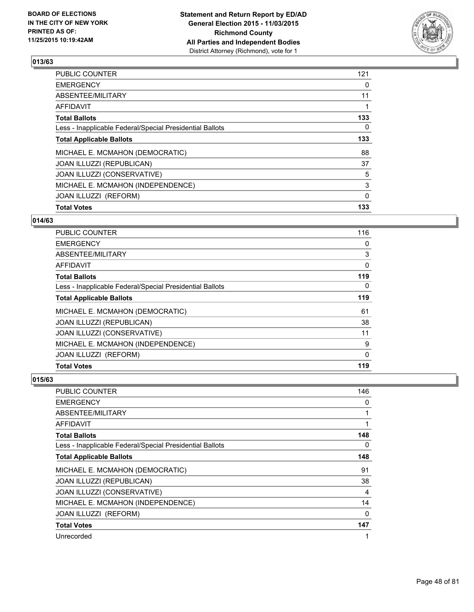

| <b>Total Votes</b>                                       | 133 |
|----------------------------------------------------------|-----|
| JOAN ILLUZZI (REFORM)                                    | 0   |
| MICHAEL E. MCMAHON (INDEPENDENCE)                        | 3   |
| JOAN ILLUZZI (CONSERVATIVE)                              | 5   |
| JOAN ILLUZZI (REPUBLICAN)                                | 37  |
| MICHAEL E. MCMAHON (DEMOCRATIC)                          | 88  |
| <b>Total Applicable Ballots</b>                          | 133 |
| Less - Inapplicable Federal/Special Presidential Ballots | 0   |
| <b>Total Ballots</b>                                     | 133 |
| <b>AFFIDAVIT</b>                                         |     |
| ABSENTEE/MILITARY                                        | 11  |
| <b>EMERGENCY</b>                                         | 0   |
| <b>PUBLIC COUNTER</b>                                    | 121 |

# **014/63**

| <b>PUBLIC COUNTER</b>                                    | 116 |
|----------------------------------------------------------|-----|
| <b>EMERGENCY</b>                                         | 0   |
| ABSENTEE/MILITARY                                        | 3   |
| AFFIDAVIT                                                | 0   |
| <b>Total Ballots</b>                                     | 119 |
| Less - Inapplicable Federal/Special Presidential Ballots | 0   |
| <b>Total Applicable Ballots</b>                          | 119 |
| MICHAEL E. MCMAHON (DEMOCRATIC)                          | 61  |
| JOAN ILLUZZI (REPUBLICAN)                                | 38  |
| JOAN ILLUZZI (CONSERVATIVE)                              | 11  |
| MICHAEL E. MCMAHON (INDEPENDENCE)                        | 9   |
| JOAN ILLUZZI (REFORM)                                    | 0   |
| <b>Total Votes</b>                                       | 119 |

| <b>PUBLIC COUNTER</b>                                    | 146 |
|----------------------------------------------------------|-----|
| <b>EMERGENCY</b>                                         | 0   |
| ABSENTEE/MILITARY                                        |     |
| AFFIDAVIT                                                | 1   |
| <b>Total Ballots</b>                                     | 148 |
| Less - Inapplicable Federal/Special Presidential Ballots | 0   |
| <b>Total Applicable Ballots</b>                          | 148 |
| MICHAEL E. MCMAHON (DEMOCRATIC)                          | 91  |
| JOAN ILLUZZI (REPUBLICAN)                                | 38  |
| JOAN ILLUZZI (CONSERVATIVE)                              | 4   |
| MICHAEL E. MCMAHON (INDEPENDENCE)                        | 14  |
| JOAN ILLUZZI (REFORM)                                    | 0   |
| <b>Total Votes</b>                                       | 147 |
| Unrecorded                                               | 1   |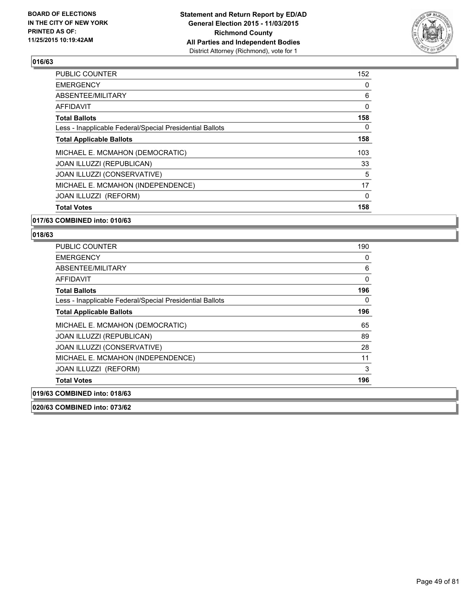

| 152 |
|-----|
| 0   |
| 6   |
| 0   |
| 158 |
| 0   |
| 158 |
| 103 |
| 33  |
| 5   |
| 17  |
| 0   |
| 158 |
|     |

#### **017/63 COMBINED into: 010/63**

# **018/63**

| <b>PUBLIC COUNTER</b>                                    | 190      |
|----------------------------------------------------------|----------|
| <b>EMERGENCY</b>                                         | 0        |
| ABSENTEE/MILITARY                                        | 6        |
| <b>AFFIDAVIT</b>                                         | $\Omega$ |
| <b>Total Ballots</b>                                     | 196      |
| Less - Inapplicable Federal/Special Presidential Ballots | 0        |
| <b>Total Applicable Ballots</b>                          | 196      |
| MICHAEL E. MCMAHON (DEMOCRATIC)                          | 65       |
| JOAN ILLUZZI (REPUBLICAN)                                | 89       |
| JOAN ILLUZZI (CONSERVATIVE)                              | 28       |
| MICHAEL E. MCMAHON (INDEPENDENCE)                        | 11       |
| JOAN ILLUZZI (REFORM)                                    | 3        |
| <b>Total Votes</b>                                       | 196      |
| 019/63 COMBINED into: 018/63                             |          |

**020/63 COMBINED into: 073/62**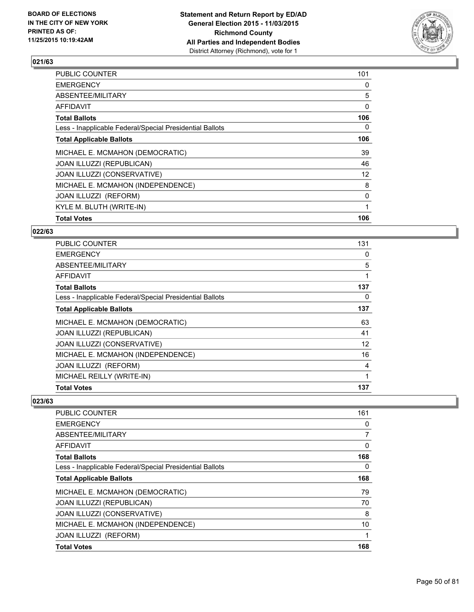

| <b>PUBLIC COUNTER</b>                                    | 101 |
|----------------------------------------------------------|-----|
| <b>EMERGENCY</b>                                         | 0   |
| ABSENTEE/MILITARY                                        | 5   |
| <b>AFFIDAVIT</b>                                         | 0   |
| <b>Total Ballots</b>                                     | 106 |
| Less - Inapplicable Federal/Special Presidential Ballots | 0   |
| <b>Total Applicable Ballots</b>                          | 106 |
| MICHAEL E. MCMAHON (DEMOCRATIC)                          | 39  |
| JOAN ILLUZZI (REPUBLICAN)                                | 46  |
| JOAN ILLUZZI (CONSERVATIVE)                              | 12  |
| MICHAEL E. MCMAHON (INDEPENDENCE)                        | 8   |
| JOAN ILLUZZI (REFORM)                                    | 0   |
| KYLE M. BLUTH (WRITE-IN)                                 |     |
| <b>Total Votes</b>                                       | 106 |

### **022/63**

| <b>PUBLIC COUNTER</b>                                    | 131 |
|----------------------------------------------------------|-----|
| <b>EMERGENCY</b>                                         | 0   |
| ABSENTEE/MILITARY                                        | 5   |
| <b>AFFIDAVIT</b>                                         | 1   |
| <b>Total Ballots</b>                                     | 137 |
| Less - Inapplicable Federal/Special Presidential Ballots | 0   |
| <b>Total Applicable Ballots</b>                          | 137 |
| MICHAEL E. MCMAHON (DEMOCRATIC)                          | 63  |
| JOAN ILLUZZI (REPUBLICAN)                                | 41  |
| JOAN ILLUZZI (CONSERVATIVE)                              | 12  |
| MICHAEL E. MCMAHON (INDEPENDENCE)                        | 16  |
| JOAN ILLUZZI (REFORM)                                    | 4   |
| MICHAEL REILLY (WRITE-IN)                                | 1   |
| <b>Total Votes</b>                                       | 137 |

| <b>PUBLIC COUNTER</b>                                    | 161 |
|----------------------------------------------------------|-----|
| <b>EMERGENCY</b>                                         | 0   |
| ABSENTEE/MILITARY                                        | 7   |
| AFFIDAVIT                                                | 0   |
| <b>Total Ballots</b>                                     | 168 |
| Less - Inapplicable Federal/Special Presidential Ballots | 0   |
| <b>Total Applicable Ballots</b>                          | 168 |
| MICHAEL E. MCMAHON (DEMOCRATIC)                          | 79  |
| <b>JOAN ILLUZZI (REPUBLICAN)</b>                         | 70  |
| JOAN ILLUZZI (CONSERVATIVE)                              | 8   |
| MICHAEL E. MCMAHON (INDEPENDENCE)                        | 10  |
| JOAN ILLUZZI (REFORM)                                    | 1   |
| <b>Total Votes</b>                                       | 168 |
|                                                          |     |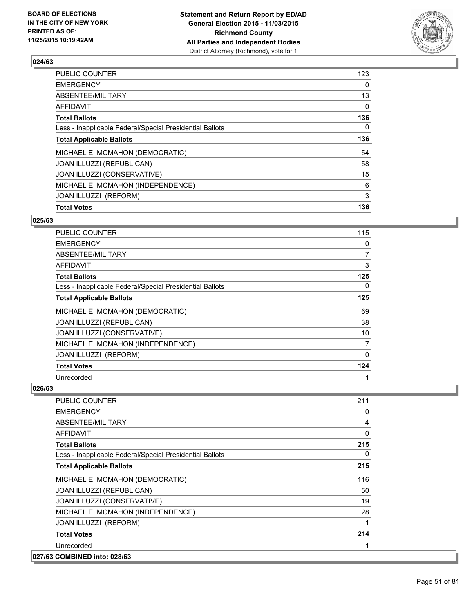

| <b>PUBLIC COUNTER</b>                                    | 123      |
|----------------------------------------------------------|----------|
| <b>EMERGENCY</b>                                         | 0        |
| ABSENTEE/MILITARY                                        | 13       |
| <b>AFFIDAVIT</b>                                         | $\Omega$ |
| <b>Total Ballots</b>                                     | 136      |
| Less - Inapplicable Federal/Special Presidential Ballots | 0        |
| <b>Total Applicable Ballots</b>                          | 136      |
| MICHAEL E. MCMAHON (DEMOCRATIC)                          | 54       |
| JOAN ILLUZZI (REPUBLICAN)                                | 58       |
| JOAN ILLUZZI (CONSERVATIVE)                              | 15       |
| MICHAEL E. MCMAHON (INDEPENDENCE)                        | 6        |
| JOAN ILLUZZI (REFORM)                                    | 3        |
| <b>Total Votes</b>                                       | 136      |
|                                                          |          |

# **025/63**

| <b>PUBLIC COUNTER</b>                                    | 115         |
|----------------------------------------------------------|-------------|
| <b>EMERGENCY</b>                                         | 0           |
| ABSENTEE/MILITARY                                        | 7           |
| <b>AFFIDAVIT</b>                                         | 3           |
| <b>Total Ballots</b>                                     | 125         |
| Less - Inapplicable Federal/Special Presidential Ballots | 0           |
| <b>Total Applicable Ballots</b>                          | 125         |
| MICHAEL E. MCMAHON (DEMOCRATIC)                          | 69          |
| JOAN ILLUZZI (REPUBLICAN)                                | 38          |
| JOAN ILLUZZI (CONSERVATIVE)                              | 10          |
| MICHAEL E. MCMAHON (INDEPENDENCE)                        | 7           |
| JOAN ILLUZZI (REFORM)                                    | $\mathbf 0$ |
| <b>Total Votes</b>                                       | 124         |
| Unrecorded                                               | 1           |

| PUBLIC COUNTER                                           | 211 |
|----------------------------------------------------------|-----|
| <b>EMERGENCY</b>                                         | 0   |
| ABSENTEE/MILITARY                                        | 4   |
| <b>AFFIDAVIT</b>                                         | 0   |
| <b>Total Ballots</b>                                     | 215 |
| Less - Inapplicable Federal/Special Presidential Ballots | 0   |
| <b>Total Applicable Ballots</b>                          | 215 |
| MICHAEL E. MCMAHON (DEMOCRATIC)                          | 116 |
| <b>JOAN ILLUZZI (REPUBLICAN)</b>                         | 50  |
| JOAN ILLUZZI (CONSERVATIVE)                              | 19  |
| MICHAEL E. MCMAHON (INDEPENDENCE)                        | 28  |
| JOAN ILLUZZI (REFORM)                                    | 1   |
| <b>Total Votes</b>                                       | 214 |
| Unrecorded                                               |     |
| 027/63 COMBINED into: 028/63                             |     |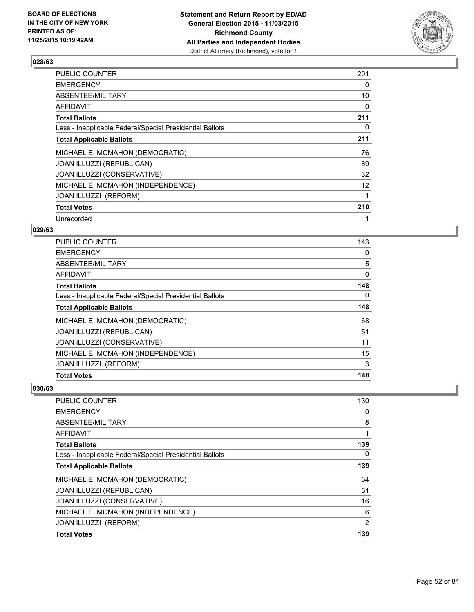

| <b>PUBLIC COUNTER</b>                                    | 201               |
|----------------------------------------------------------|-------------------|
| <b>EMERGENCY</b>                                         | 0                 |
| ABSENTEE/MILITARY                                        | 10                |
| AFFIDAVIT                                                | 0                 |
| <b>Total Ballots</b>                                     | 211               |
| Less - Inapplicable Federal/Special Presidential Ballots | 0                 |
| <b>Total Applicable Ballots</b>                          | 211               |
| MICHAEL E. MCMAHON (DEMOCRATIC)                          | 76                |
| <b>JOAN ILLUZZI (REPUBLICAN)</b>                         | 89                |
| JOAN ILLUZZI (CONSERVATIVE)                              | 32                |
| MICHAEL E. MCMAHON (INDEPENDENCE)                        | $12 \overline{ }$ |
| JOAN ILLUZZI (REFORM)                                    | 1                 |
| <b>Total Votes</b>                                       | 210               |
| Unrecorded                                               | 1                 |

# **029/63**

| <b>Total Votes</b>                                       | 148 |
|----------------------------------------------------------|-----|
| JOAN ILLUZZI (REFORM)                                    | 3   |
| MICHAEL E. MCMAHON (INDEPENDENCE)                        | 15  |
| JOAN ILLUZZI (CONSERVATIVE)                              | 11  |
| JOAN ILLUZZI (REPUBLICAN)                                | 51  |
| MICHAEL E. MCMAHON (DEMOCRATIC)                          | 68  |
| <b>Total Applicable Ballots</b>                          | 148 |
| Less - Inapplicable Federal/Special Presidential Ballots | 0   |
| <b>Total Ballots</b>                                     | 148 |
| AFFIDAVIT                                                | 0   |
| ABSENTEE/MILITARY                                        | 5   |
| <b>EMERGENCY</b>                                         | 0   |
| <b>PUBLIC COUNTER</b>                                    | 143 |

| <b>Total Votes</b>                                       | 139 |
|----------------------------------------------------------|-----|
| JOAN ILLUZZI (REFORM)                                    | 2   |
| MICHAEL E. MCMAHON (INDEPENDENCE)                        | 6   |
| JOAN ILLUZZI (CONSERVATIVE)                              | 16  |
| <b>JOAN ILLUZZI (REPUBLICAN)</b>                         | 51  |
| MICHAEL E. MCMAHON (DEMOCRATIC)                          | 64  |
| <b>Total Applicable Ballots</b>                          | 139 |
| Less - Inapplicable Federal/Special Presidential Ballots | 0   |
| <b>Total Ballots</b>                                     | 139 |
| AFFIDAVIT                                                | 1   |
| ABSENTEE/MILITARY                                        | 8   |
| <b>EMERGENCY</b>                                         | 0   |
| PUBLIC COUNTER                                           | 130 |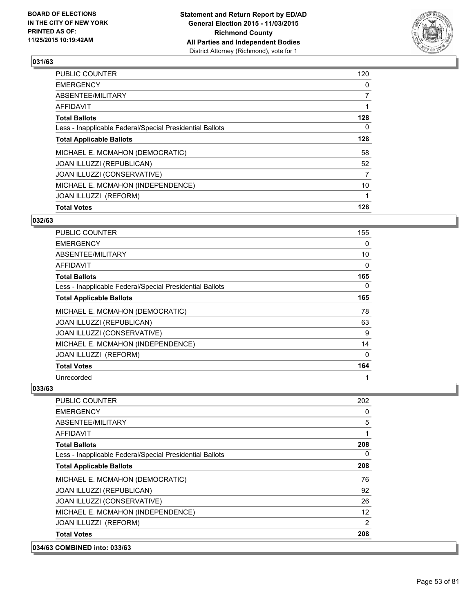

| <b>Total Votes</b>                                       | 128            |
|----------------------------------------------------------|----------------|
| JOAN ILLUZZI (REFORM)                                    |                |
| MICHAEL E. MCMAHON (INDEPENDENCE)                        | 10             |
| JOAN ILLUZZI (CONSERVATIVE)                              | 7              |
| <b>JOAN ILLUZZI (REPUBLICAN)</b>                         | 52             |
| MICHAEL E. MCMAHON (DEMOCRATIC)                          | 58             |
| <b>Total Applicable Ballots</b>                          | 128            |
| Less - Inapplicable Federal/Special Presidential Ballots | 0              |
| <b>Total Ballots</b>                                     | 128            |
| <b>AFFIDAVIT</b>                                         |                |
| ABSENTEE/MILITARY                                        | $\overline{7}$ |
| <b>EMERGENCY</b>                                         | 0              |
| <b>PUBLIC COUNTER</b>                                    | 120            |

# **032/63**

| <b>PUBLIC COUNTER</b>                                    | 155 |
|----------------------------------------------------------|-----|
| <b>EMERGENCY</b>                                         | 0   |
| ABSENTEE/MILITARY                                        | 10  |
| <b>AFFIDAVIT</b>                                         | 0   |
| <b>Total Ballots</b>                                     | 165 |
| Less - Inapplicable Federal/Special Presidential Ballots | 0   |
| <b>Total Applicable Ballots</b>                          | 165 |
| MICHAEL E. MCMAHON (DEMOCRATIC)                          | 78  |
| JOAN ILLUZZI (REPUBLICAN)                                | 63  |
| JOAN ILLUZZI (CONSERVATIVE)                              | 9   |
| MICHAEL E. MCMAHON (INDEPENDENCE)                        | 14  |
| JOAN ILLUZZI (REFORM)                                    | 0   |
| <b>Total Votes</b>                                       | 164 |
| Unrecorded                                               | 1   |

| 034/63 COMBINED into: 033/63                             |     |
|----------------------------------------------------------|-----|
| <b>Total Votes</b>                                       | 208 |
| JOAN ILLUZZI (REFORM)                                    | 2   |
| MICHAEL E. MCMAHON (INDEPENDENCE)                        | 12  |
| JOAN ILLUZZI (CONSERVATIVE)                              | 26  |
| JOAN ILLUZZI (REPUBLICAN)                                | 92  |
| MICHAEL E. MCMAHON (DEMOCRATIC)                          | 76  |
| <b>Total Applicable Ballots</b>                          | 208 |
| Less - Inapplicable Federal/Special Presidential Ballots | 0   |
| <b>Total Ballots</b>                                     | 208 |
| AFFIDAVIT                                                | 1   |
| ABSENTEE/MILITARY                                        | 5   |
| <b>EMERGENCY</b>                                         | 0   |
| <b>PUBLIC COUNTER</b>                                    | 202 |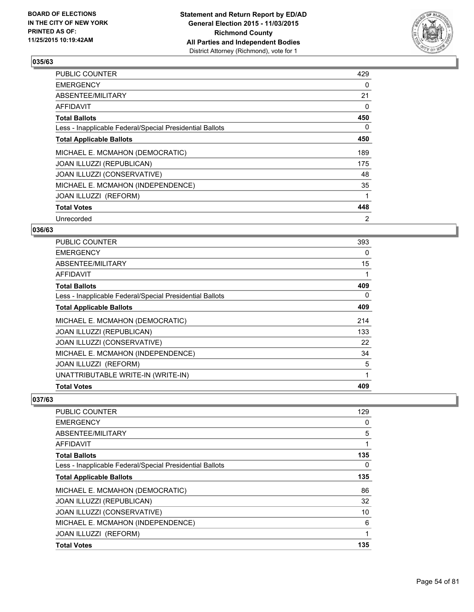

| <b>PUBLIC COUNTER</b>                                    | 429 |
|----------------------------------------------------------|-----|
| <b>EMERGENCY</b>                                         | 0   |
| ABSENTEE/MILITARY                                        | 21  |
| AFFIDAVIT                                                | 0   |
| <b>Total Ballots</b>                                     | 450 |
| Less - Inapplicable Federal/Special Presidential Ballots | 0   |
| <b>Total Applicable Ballots</b>                          | 450 |
| MICHAEL E. MCMAHON (DEMOCRATIC)                          | 189 |
| JOAN ILLUZZI (REPUBLICAN)                                | 175 |
| JOAN ILLUZZI (CONSERVATIVE)                              | 48  |
| MICHAEL E. MCMAHON (INDEPENDENCE)                        | 35  |
| JOAN ILLUZZI (REFORM)                                    | 1   |
| <b>Total Votes</b>                                       | 448 |
| Unrecorded                                               | 2   |

# **036/63**

| <b>PUBLIC COUNTER</b>                                    | 393 |
|----------------------------------------------------------|-----|
| <b>EMERGENCY</b>                                         | 0   |
| ABSENTEE/MILITARY                                        | 15  |
| AFFIDAVIT                                                | 1   |
| <b>Total Ballots</b>                                     | 409 |
| Less - Inapplicable Federal/Special Presidential Ballots | 0   |
| <b>Total Applicable Ballots</b>                          | 409 |
| MICHAEL E. MCMAHON (DEMOCRATIC)                          | 214 |
| JOAN ILLUZZI (REPUBLICAN)                                | 133 |
| JOAN ILLUZZI (CONSERVATIVE)                              | 22  |
| MICHAEL E. MCMAHON (INDEPENDENCE)                        | 34  |
| <b>JOAN ILLUZZI (REFORM)</b>                             | 5   |
| UNATTRIBUTABLE WRITE-IN (WRITE-IN)                       | 1   |
| <b>Total Votes</b>                                       | 409 |

| PUBLIC COUNTER                                           | 129 |
|----------------------------------------------------------|-----|
| <b>EMERGENCY</b>                                         | 0   |
| ABSENTEE/MILITARY                                        | 5   |
| AFFIDAVIT                                                | 1   |
| <b>Total Ballots</b>                                     | 135 |
| Less - Inapplicable Federal/Special Presidential Ballots | 0   |
| <b>Total Applicable Ballots</b>                          | 135 |
| MICHAEL E. MCMAHON (DEMOCRATIC)                          | 86  |
| JOAN ILLUZZI (REPUBLICAN)                                | 32  |
| JOAN ILLUZZI (CONSERVATIVE)                              | 10  |
| MICHAEL E. MCMAHON (INDEPENDENCE)                        | 6   |
| JOAN ILLUZZI (REFORM)                                    | 1   |
| <b>Total Votes</b>                                       | 135 |
|                                                          |     |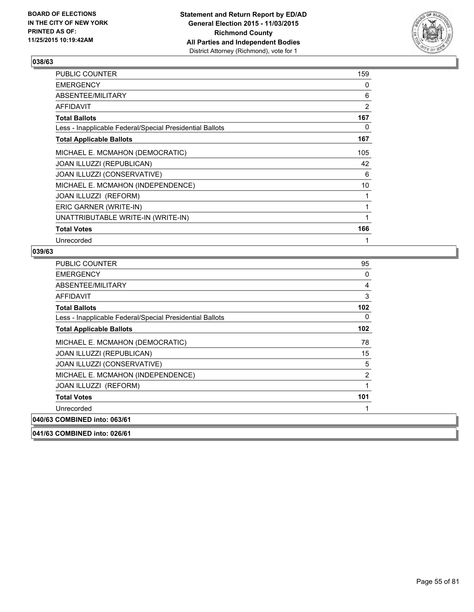

| PUBLIC COUNTER                                           | 159            |
|----------------------------------------------------------|----------------|
| <b>EMERGENCY</b>                                         | 0              |
| ABSENTEE/MILITARY                                        | 6              |
| <b>AFFIDAVIT</b>                                         | $\overline{2}$ |
| <b>Total Ballots</b>                                     | 167            |
| Less - Inapplicable Federal/Special Presidential Ballots | 0              |
| <b>Total Applicable Ballots</b>                          | 167            |
| MICHAEL E. MCMAHON (DEMOCRATIC)                          | 105            |
| JOAN ILLUZZI (REPUBLICAN)                                | 42             |
| JOAN ILLUZZI (CONSERVATIVE)                              | 6              |
| MICHAEL E. MCMAHON (INDEPENDENCE)                        | 10             |
| <b>JOAN ILLUZZI (REFORM)</b>                             | 1              |
| ERIC GARNER (WRITE-IN)                                   |                |
| UNATTRIBUTABLE WRITE-IN (WRITE-IN)                       | 1              |
| <b>Total Votes</b>                                       | 166            |
| Unrecorded                                               |                |

| PUBLIC COUNTER                                           | 95  |
|----------------------------------------------------------|-----|
| <b>EMERGENCY</b>                                         | 0   |
| ABSENTEE/MILITARY                                        | 4   |
| <b>AFFIDAVIT</b>                                         | 3   |
| <b>Total Ballots</b>                                     | 102 |
| Less - Inapplicable Federal/Special Presidential Ballots | 0   |
| <b>Total Applicable Ballots</b>                          | 102 |
| MICHAEL E. MCMAHON (DEMOCRATIC)                          | 78  |
| JOAN ILLUZZI (REPUBLICAN)                                | 15  |
| JOAN ILLUZZI (CONSERVATIVE)                              | 5   |
| MICHAEL E. MCMAHON (INDEPENDENCE)                        | 2   |
| JOAN ILLUZZI (REFORM)                                    | 1   |
| <b>Total Votes</b>                                       | 101 |
| Unrecorded                                               |     |
| 040/63 COMBINED into: 063/61                             |     |
| 041/63 COMBINED into: 026/61                             |     |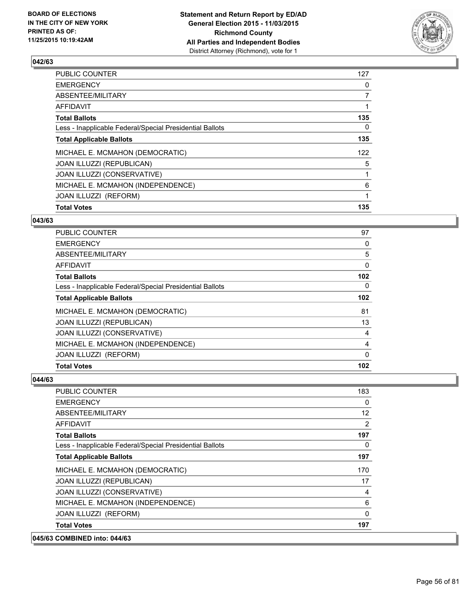

| <b>Total Votes</b>                                       | 135            |
|----------------------------------------------------------|----------------|
| JOAN ILLUZZI (REFORM)                                    | 1              |
| MICHAEL E. MCMAHON (INDEPENDENCE)                        | 6              |
| JOAN ILLUZZI (CONSERVATIVE)                              |                |
| JOAN ILLUZZI (REPUBLICAN)                                | 5              |
| MICHAEL E. MCMAHON (DEMOCRATIC)                          | 122            |
| <b>Total Applicable Ballots</b>                          | 135            |
| Less - Inapplicable Federal/Special Presidential Ballots | 0              |
| <b>Total Ballots</b>                                     | 135            |
| <b>AFFIDAVIT</b>                                         |                |
| ABSENTEE/MILITARY                                        | $\overline{7}$ |
| <b>EMERGENCY</b>                                         | 0              |
| <b>PUBLIC COUNTER</b>                                    | 127            |

#### **043/63**

| <b>Total Votes</b>                                       | 102 |
|----------------------------------------------------------|-----|
| <b>JOAN ILLUZZI (REFORM)</b>                             | 0   |
| MICHAEL E. MCMAHON (INDEPENDENCE)                        | 4   |
| JOAN ILLUZZI (CONSERVATIVE)                              | 4   |
| <b>JOAN ILLUZZI (REPUBLICAN)</b>                         | 13  |
| MICHAEL E. MCMAHON (DEMOCRATIC)                          | 81  |
| <b>Total Applicable Ballots</b>                          | 102 |
| Less - Inapplicable Federal/Special Presidential Ballots | 0   |
| <b>Total Ballots</b>                                     | 102 |
| AFFIDAVIT                                                | 0   |
| ABSENTEE/MILITARY                                        | 5   |
| <b>EMERGENCY</b>                                         | 0   |
| <b>PUBLIC COUNTER</b>                                    | 97  |

| 045/63 COMBINED into: 044/63                             |          |
|----------------------------------------------------------|----------|
| <b>Total Votes</b>                                       | 197      |
| JOAN ILLUZZI (REFORM)                                    | $\Omega$ |
| MICHAEL E. MCMAHON (INDEPENDENCE)                        | 6        |
| JOAN ILLUZZI (CONSERVATIVE)                              | 4        |
| JOAN ILLUZZI (REPUBLICAN)                                | 17       |
| MICHAEL E. MCMAHON (DEMOCRATIC)                          | 170      |
| <b>Total Applicable Ballots</b>                          | 197      |
| Less - Inapplicable Federal/Special Presidential Ballots | $\Omega$ |
| <b>Total Ballots</b>                                     | 197      |
| AFFIDAVIT                                                | 2        |
| ABSENTEE/MILITARY                                        | 12       |
| <b>EMERGENCY</b>                                         | 0        |
| PUBLIC COUNTER                                           | 183      |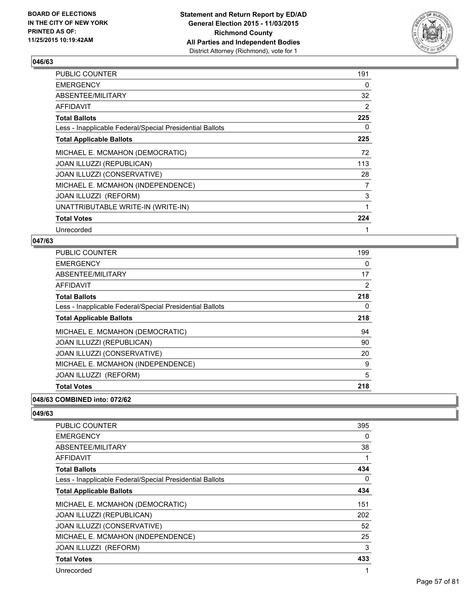

| PUBLIC COUNTER                                           | 191 |
|----------------------------------------------------------|-----|
| <b>EMERGENCY</b>                                         | 0   |
| ABSENTEE/MILITARY                                        | 32  |
| AFFIDAVIT                                                | 2   |
| <b>Total Ballots</b>                                     | 225 |
| Less - Inapplicable Federal/Special Presidential Ballots | 0   |
| <b>Total Applicable Ballots</b>                          | 225 |
| MICHAEL E. MCMAHON (DEMOCRATIC)                          | 72  |
| JOAN ILLUZZI (REPUBLICAN)                                | 113 |
| JOAN ILLUZZI (CONSERVATIVE)                              | 28  |
| MICHAEL E. MCMAHON (INDEPENDENCE)                        | 7   |
| JOAN ILLUZZI (REFORM)                                    | 3   |
| UNATTRIBUTABLE WRITE-IN (WRITE-IN)                       | 1   |
| <b>Total Votes</b>                                       | 224 |
| Unrecorded                                               |     |

#### **047/63**

| <b>PUBLIC COUNTER</b>                                    | 199 |
|----------------------------------------------------------|-----|
| <b>EMERGENCY</b>                                         | 0   |
| ABSENTEE/MILITARY                                        | 17  |
| AFFIDAVIT                                                | 2   |
| <b>Total Ballots</b>                                     | 218 |
| Less - Inapplicable Federal/Special Presidential Ballots | 0   |
| <b>Total Applicable Ballots</b>                          | 218 |
| MICHAEL E. MCMAHON (DEMOCRATIC)                          | 94  |
| JOAN ILLUZZI (REPUBLICAN)                                | 90  |
| JOAN ILLUZZI (CONSERVATIVE)                              | 20  |
| MICHAEL E. MCMAHON (INDEPENDENCE)                        | 9   |
| <b>JOAN ILLUZZI (REFORM)</b>                             | 5   |
| <b>Total Votes</b>                                       | 218 |

# **048/63 COMBINED into: 072/62**

| <b>PUBLIC COUNTER</b>                                    | 395 |
|----------------------------------------------------------|-----|
| <b>EMERGENCY</b>                                         | 0   |
| ABSENTEE/MILITARY                                        | 38  |
| AFFIDAVIT                                                | 1   |
| <b>Total Ballots</b>                                     | 434 |
| Less - Inapplicable Federal/Special Presidential Ballots | 0   |
| <b>Total Applicable Ballots</b>                          | 434 |
| MICHAEL E. MCMAHON (DEMOCRATIC)                          | 151 |
| JOAN ILLUZZI (REPUBLICAN)                                | 202 |
| JOAN ILLUZZI (CONSERVATIVE)                              | 52  |
| MICHAEL E. MCMAHON (INDEPENDENCE)                        | 25  |
| <b>JOAN ILLUZZI (REFORM)</b>                             | 3   |
| <b>Total Votes</b>                                       | 433 |
| Unrecorded                                               | 1   |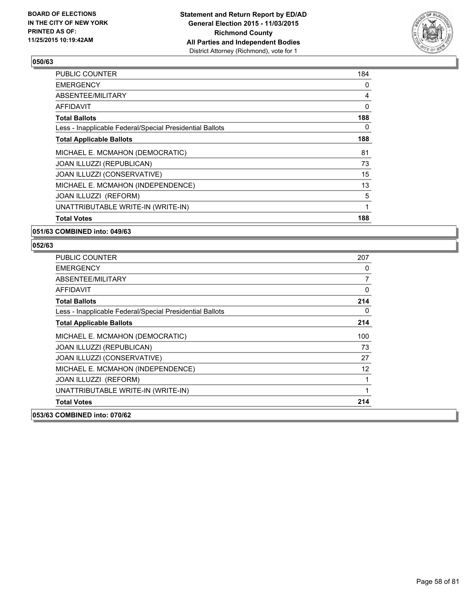

| <b>PUBLIC COUNTER</b>                                    | 184 |
|----------------------------------------------------------|-----|
| <b>EMERGENCY</b>                                         | 0   |
| ABSENTEE/MILITARY                                        | 4   |
| AFFIDAVIT                                                | 0   |
| <b>Total Ballots</b>                                     | 188 |
| Less - Inapplicable Federal/Special Presidential Ballots | 0   |
| <b>Total Applicable Ballots</b>                          | 188 |
| MICHAEL E. MCMAHON (DEMOCRATIC)                          | 81  |
| JOAN ILLUZZI (REPUBLICAN)                                | 73  |
| JOAN ILLUZZI (CONSERVATIVE)                              | 15  |
| MICHAEL E. MCMAHON (INDEPENDENCE)                        | 13  |
| JOAN ILLUZZI (REFORM)                                    | 5   |
| UNATTRIBUTABLE WRITE-IN (WRITE-IN)                       | 1   |
| <b>Total Votes</b>                                       | 188 |

#### **051/63 COMBINED into: 049/63**

| <b>PUBLIC COUNTER</b>                                    | 207      |
|----------------------------------------------------------|----------|
| <b>EMERGENCY</b>                                         | 0        |
| ABSENTEE/MILITARY                                        | 7        |
| <b>AFFIDAVIT</b>                                         | $\Omega$ |
| <b>Total Ballots</b>                                     | 214      |
| Less - Inapplicable Federal/Special Presidential Ballots | 0        |
| <b>Total Applicable Ballots</b>                          | 214      |
| MICHAEL E. MCMAHON (DEMOCRATIC)                          | 100      |
| JOAN ILLUZZI (REPUBLICAN)                                | 73       |
| JOAN ILLUZZI (CONSERVATIVE)                              | 27       |
| MICHAEL E. MCMAHON (INDEPENDENCE)                        | 12       |
| JOAN ILLUZZI (REFORM)                                    | 1        |
| UNATTRIBUTABLE WRITE-IN (WRITE-IN)                       | 1        |
| <b>Total Votes</b>                                       | 214      |
| 053/63 COMBINED into: 070/62                             |          |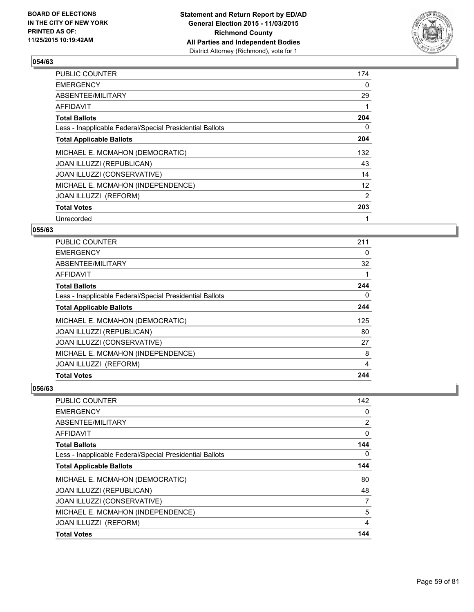

| <b>PUBLIC COUNTER</b>                                    | 174               |
|----------------------------------------------------------|-------------------|
| <b>EMERGENCY</b>                                         | 0                 |
| ABSENTEE/MILITARY                                        | 29                |
| AFFIDAVIT                                                |                   |
| <b>Total Ballots</b>                                     | 204               |
| Less - Inapplicable Federal/Special Presidential Ballots | 0                 |
| <b>Total Applicable Ballots</b>                          | 204               |
| MICHAEL E. MCMAHON (DEMOCRATIC)                          | 132               |
| <b>JOAN ILLUZZI (REPUBLICAN)</b>                         | 43                |
| JOAN ILLUZZI (CONSERVATIVE)                              | 14                |
| MICHAEL E. MCMAHON (INDEPENDENCE)                        | $12 \overline{ }$ |
| JOAN ILLUZZI (REFORM)                                    | 2                 |
| <b>Total Votes</b>                                       | 203               |
| Unrecorded                                               | 1                 |

### **055/63**

| <b>Total Votes</b>                                       | 244 |
|----------------------------------------------------------|-----|
| JOAN ILLUZZI (REFORM)                                    | 4   |
| MICHAEL E. MCMAHON (INDEPENDENCE)                        | 8   |
| JOAN ILLUZZI (CONSERVATIVE)                              | 27  |
| <b>JOAN ILLUZZI (REPUBLICAN)</b>                         | 80  |
| MICHAEL E. MCMAHON (DEMOCRATIC)                          | 125 |
| <b>Total Applicable Ballots</b>                          | 244 |
| Less - Inapplicable Federal/Special Presidential Ballots | 0   |
| <b>Total Ballots</b>                                     | 244 |
| <b>AFFIDAVIT</b>                                         |     |
| ABSENTEE/MILITARY                                        | 32  |
| <b>EMERGENCY</b>                                         | 0   |
| <b>PUBLIC COUNTER</b>                                    | 211 |

| <b>Total Votes</b>                                       | 144            |
|----------------------------------------------------------|----------------|
| JOAN ILLUZZI (REFORM)                                    | 4              |
| MICHAEL E. MCMAHON (INDEPENDENCE)                        | 5              |
| JOAN ILLUZZI (CONSERVATIVE)                              | 7              |
| JOAN ILLUZZI (REPUBLICAN)                                | 48             |
| MICHAEL E. MCMAHON (DEMOCRATIC)                          | 80             |
| <b>Total Applicable Ballots</b>                          | 144            |
| Less - Inapplicable Federal/Special Presidential Ballots | $\Omega$       |
| <b>Total Ballots</b>                                     | 144            |
| AFFIDAVIT                                                | 0              |
| ABSENTEE/MILITARY                                        | $\overline{2}$ |
| <b>EMERGENCY</b>                                         | 0              |
| <b>PUBLIC COUNTER</b>                                    | 142            |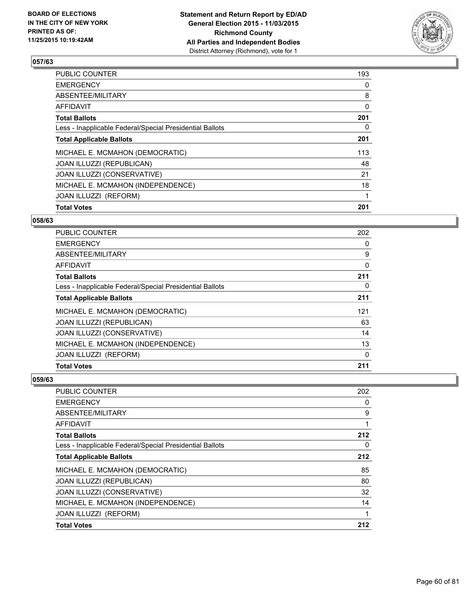

| <b>Total Votes</b>                                       | 201          |
|----------------------------------------------------------|--------------|
| JOAN ILLUZZI (REFORM)                                    | 1            |
| MICHAEL E. MCMAHON (INDEPENDENCE)                        | 18           |
| JOAN ILLUZZI (CONSERVATIVE)                              | 21           |
| <b>JOAN ILLUZZI (REPUBLICAN)</b>                         | 48           |
| MICHAEL E. MCMAHON (DEMOCRATIC)                          | 113          |
| <b>Total Applicable Ballots</b>                          | 201          |
| Less - Inapplicable Federal/Special Presidential Ballots | 0            |
| <b>Total Ballots</b>                                     | 201          |
| <b>AFFIDAVIT</b>                                         | $\mathbf{0}$ |
| ABSENTEE/MILITARY                                        | 8            |
| <b>EMERGENCY</b>                                         | 0            |
| <b>PUBLIC COUNTER</b>                                    | 193          |

#### **058/63**

| <b>PUBLIC COUNTER</b>                                    | 202 |
|----------------------------------------------------------|-----|
| <b>EMERGENCY</b>                                         | 0   |
| ABSENTEE/MILITARY                                        | 9   |
| AFFIDAVIT                                                | 0   |
| <b>Total Ballots</b>                                     | 211 |
| Less - Inapplicable Federal/Special Presidential Ballots | 0   |
| <b>Total Applicable Ballots</b>                          | 211 |
| MICHAEL E. MCMAHON (DEMOCRATIC)                          | 121 |
| JOAN ILLUZZI (REPUBLICAN)                                | 63  |
| JOAN ILLUZZI (CONSERVATIVE)                              | 14  |
| MICHAEL E. MCMAHON (INDEPENDENCE)                        | 13  |
| JOAN ILLUZZI (REFORM)                                    | 0   |
| <b>Total Votes</b>                                       | 211 |

| <b>PUBLIC COUNTER</b>                                    | 202 |
|----------------------------------------------------------|-----|
| <b>EMERGENCY</b>                                         | 0   |
| ABSENTEE/MILITARY                                        | 9   |
| <b>AFFIDAVIT</b>                                         |     |
| <b>Total Ballots</b>                                     | 212 |
| Less - Inapplicable Federal/Special Presidential Ballots | 0   |
| <b>Total Applicable Ballots</b>                          | 212 |
| MICHAEL E. MCMAHON (DEMOCRATIC)                          | 85  |
| <b>JOAN ILLUZZI (REPUBLICAN)</b>                         | 80  |
| JOAN ILLUZZI (CONSERVATIVE)                              | 32  |
| MICHAEL E. MCMAHON (INDEPENDENCE)                        | 14  |
| JOAN ILLUZZI (REFORM)                                    | 1   |
| <b>Total Votes</b>                                       | 212 |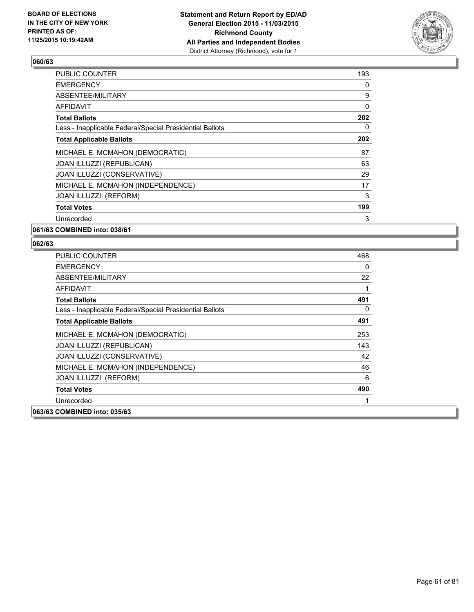

| 193 |
|-----|
| 0   |
| 9   |
| 0   |
| 202 |
| 0   |
| 202 |
| 87  |
| 63  |
| 29  |
| 17  |
| 3   |
| 199 |
| 3   |
|     |

**061/63 COMBINED into: 038/61**

| <b>PUBLIC COUNTER</b>                                    | 468 |
|----------------------------------------------------------|-----|
| <b>EMERGENCY</b>                                         | 0   |
| ABSENTEE/MILITARY                                        | 22  |
| AFFIDAVIT                                                |     |
| <b>Total Ballots</b>                                     | 491 |
| Less - Inapplicable Federal/Special Presidential Ballots | 0   |
| <b>Total Applicable Ballots</b>                          | 491 |
| MICHAEL E. MCMAHON (DEMOCRATIC)                          | 253 |
| JOAN ILLUZZI (REPUBLICAN)                                | 143 |
| JOAN ILLUZZI (CONSERVATIVE)                              | 42  |
| MICHAEL E. MCMAHON (INDEPENDENCE)                        | 46  |
| <b>JOAN ILLUZZI (REFORM)</b>                             | 6   |
| <b>Total Votes</b>                                       | 490 |
| Unrecorded                                               |     |
| 063/63 COMBINED into: 035/63                             |     |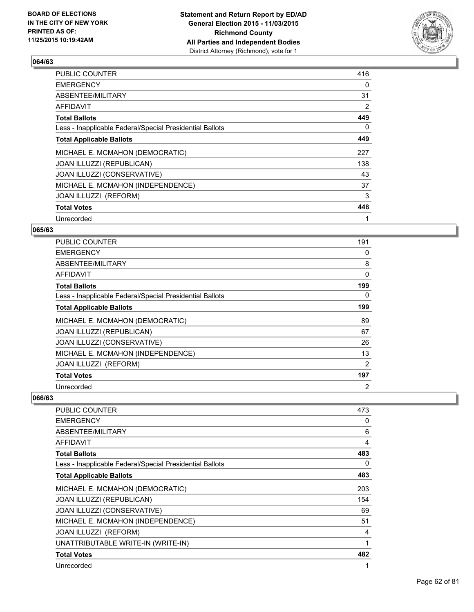

| <b>PUBLIC COUNTER</b>                                    | 416 |
|----------------------------------------------------------|-----|
| <b>EMERGENCY</b>                                         | 0   |
| ABSENTEE/MILITARY                                        | 31  |
| AFFIDAVIT                                                | 2   |
| <b>Total Ballots</b>                                     | 449 |
| Less - Inapplicable Federal/Special Presidential Ballots | 0   |
| <b>Total Applicable Ballots</b>                          | 449 |
| MICHAEL E. MCMAHON (DEMOCRATIC)                          | 227 |
| <b>JOAN ILLUZZI (REPUBLICAN)</b>                         | 138 |
| JOAN ILLUZZI (CONSERVATIVE)                              | 43  |
| MICHAEL E. MCMAHON (INDEPENDENCE)                        | 37  |
| JOAN ILLUZZI (REFORM)                                    | 3   |
| <b>Total Votes</b>                                       | 448 |
| Unrecorded                                               | 1   |

# **065/63**

| <b>PUBLIC COUNTER</b>                                    | 191            |
|----------------------------------------------------------|----------------|
| <b>EMERGENCY</b>                                         | 0              |
| ABSENTEE/MILITARY                                        | 8              |
| <b>AFFIDAVIT</b>                                         | 0              |
| <b>Total Ballots</b>                                     | 199            |
| Less - Inapplicable Federal/Special Presidential Ballots | 0              |
| <b>Total Applicable Ballots</b>                          | 199            |
| MICHAEL E. MCMAHON (DEMOCRATIC)                          | 89             |
| <b>JOAN ILLUZZI (REPUBLICAN)</b>                         | 67             |
| JOAN ILLUZZI (CONSERVATIVE)                              | 26             |
| MICHAEL E. MCMAHON (INDEPENDENCE)                        | 13             |
| JOAN ILLUZZI (REFORM)                                    | 2              |
| <b>Total Votes</b>                                       | 197            |
| Unrecorded                                               | $\overline{2}$ |

| PUBLIC COUNTER                                           | 473 |
|----------------------------------------------------------|-----|
| <b>EMERGENCY</b>                                         | 0   |
| ABSENTEE/MILITARY                                        | 6   |
| <b>AFFIDAVIT</b>                                         | 4   |
| <b>Total Ballots</b>                                     | 483 |
| Less - Inapplicable Federal/Special Presidential Ballots | 0   |
| <b>Total Applicable Ballots</b>                          | 483 |
| MICHAEL E. MCMAHON (DEMOCRATIC)                          | 203 |
| JOAN ILLUZZI (REPUBLICAN)                                | 154 |
| JOAN ILLUZZI (CONSERVATIVE)                              | 69  |
| MICHAEL E. MCMAHON (INDEPENDENCE)                        | 51  |
| JOAN ILLUZZI (REFORM)                                    | 4   |
| UNATTRIBUTABLE WRITE-IN (WRITE-IN)                       | 1   |
| <b>Total Votes</b>                                       | 482 |
| Unrecorded                                               | 1   |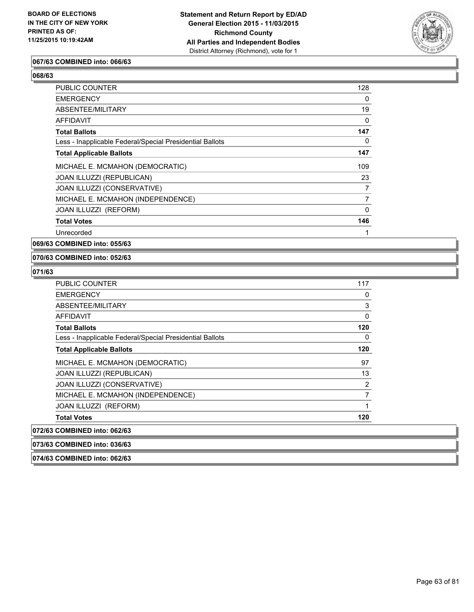

### **067/63 COMBINED into: 066/63**

| PUBLIC COUNTER                                           | 128            |
|----------------------------------------------------------|----------------|
| <b>EMERGENCY</b>                                         | 0              |
| ABSENTEE/MILITARY                                        | 19             |
| AFFIDAVIT                                                | 0              |
| <b>Total Ballots</b>                                     | 147            |
| Less - Inapplicable Federal/Special Presidential Ballots | 0              |
| <b>Total Applicable Ballots</b>                          | 147            |
| MICHAEL E. MCMAHON (DEMOCRATIC)                          | 109            |
| JOAN ILLUZZI (REPUBLICAN)                                | 23             |
| JOAN ILLUZZI (CONSERVATIVE)                              | 7              |
| MICHAEL E. MCMAHON (INDEPENDENCE)                        | $\overline{7}$ |
| JOAN ILLUZZI (REFORM)                                    | 0              |
| <b>Total Votes</b>                                       | 146            |
| Unrecorded                                               |                |
|                                                          |                |

**069/63 COMBINED into: 055/63**

#### **070/63 COMBINED into: 052/63**

**074/63 COMBINED into: 062/63**

| <b>PUBLIC COUNTER</b>                                    | 117          |
|----------------------------------------------------------|--------------|
| <b>EMERGENCY</b>                                         | 0            |
| ABSENTEE/MILITARY                                        | 3            |
| <b>AFFIDAVIT</b>                                         | $\mathbf{0}$ |
| <b>Total Ballots</b>                                     | 120          |
| Less - Inapplicable Federal/Special Presidential Ballots | 0            |
| <b>Total Applicable Ballots</b>                          | 120          |
| MICHAEL E. MCMAHON (DEMOCRATIC)                          | 97           |
| JOAN ILLUZZI (REPUBLICAN)                                | 13           |
| JOAN ILLUZZI (CONSERVATIVE)                              | 2            |
| MICHAEL E. MCMAHON (INDEPENDENCE)                        | 7            |
| JOAN ILLUZZI (REFORM)                                    | 1            |
| <b>Total Votes</b>                                       | 120          |
| 072/63 COMBINED into: 062/63                             |              |
| 073/63 COMBINED into: 036/63                             |              |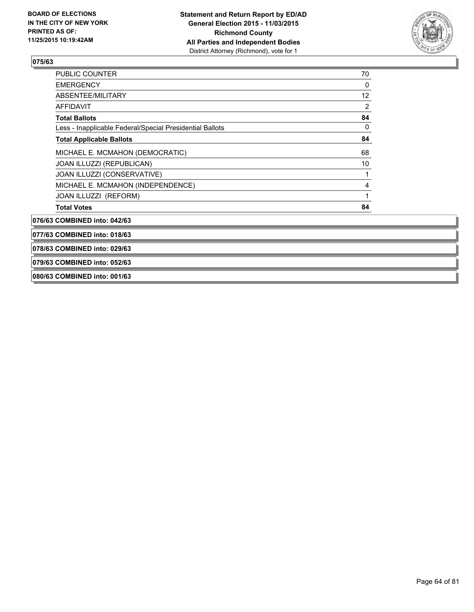

| 079/63 COMBINED into: 052/63                             |    |
|----------------------------------------------------------|----|
| 078/63 COMBINED into: 029/63                             |    |
| 077/63 COMBINED into: 018/63                             |    |
| 076/63 COMBINED into: 042/63                             |    |
| <b>Total Votes</b>                                       | 84 |
| JOAN ILLUZZI (REFORM)                                    |    |
| MICHAEL E. MCMAHON (INDEPENDENCE)                        | 4  |
| JOAN ILLUZZI (CONSERVATIVE)                              |    |
| JOAN ILLUZZI (REPUBLICAN)                                | 10 |
| MICHAEL E. MCMAHON (DEMOCRATIC)                          | 68 |
| <b>Total Applicable Ballots</b>                          | 84 |
| Less - Inapplicable Federal/Special Presidential Ballots | 0  |
| <b>Total Ballots</b>                                     | 84 |
| <b>AFFIDAVIT</b>                                         | 2  |
| ABSENTEE/MILITARY                                        | 12 |
| <b>EMERGENCY</b>                                         | 0  |
| PUBLIC COUNTER                                           | 70 |

**080/63 COMBINED into: 001/63**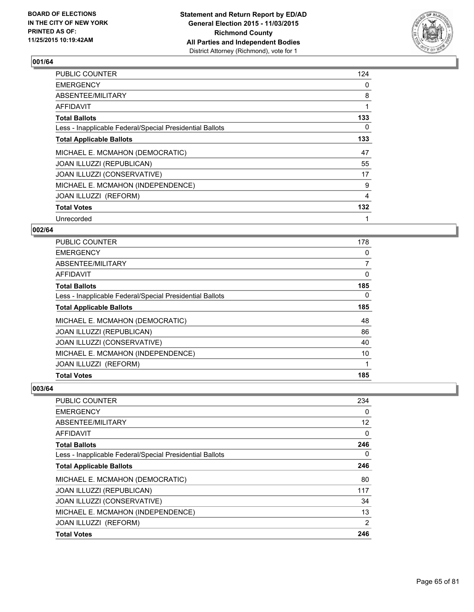

| <b>PUBLIC COUNTER</b>                                    | 124 |
|----------------------------------------------------------|-----|
| <b>EMERGENCY</b>                                         | 0   |
| ABSENTEE/MILITARY                                        | 8   |
| AFFIDAVIT                                                | 1   |
| <b>Total Ballots</b>                                     | 133 |
| Less - Inapplicable Federal/Special Presidential Ballots | 0   |
| <b>Total Applicable Ballots</b>                          | 133 |
| MICHAEL E. MCMAHON (DEMOCRATIC)                          | 47  |
| <b>JOAN ILLUZZI (REPUBLICAN)</b>                         | 55  |
| JOAN ILLUZZI (CONSERVATIVE)                              | 17  |
| MICHAEL E. MCMAHON (INDEPENDENCE)                        | 9   |
| <b>JOAN ILLUZZI (REFORM)</b>                             | 4   |
| <b>Total Votes</b>                                       | 132 |
| Unrecorded                                               | 1   |

### **002/64**

| Less - Inapplicable Federal/Special Presidential Ballots<br><b>Total Applicable Ballots</b> | 0<br>185 |
|---------------------------------------------------------------------------------------------|----------|
|                                                                                             |          |
| MICHAEL E. MCMAHON (DEMOCRATIC)                                                             | 48       |
| JOAN ILLUZZI (REPUBLICAN)                                                                   | 86       |
| JOAN ILLUZZI (CONSERVATIVE)                                                                 | 40       |
| MICHAEL E. MCMAHON (INDEPENDENCE)                                                           | 10       |
|                                                                                             |          |
| JOAN ILLUZZI (REFORM)                                                                       | 1        |
| <b>Total Votes</b>                                                                          | 185      |

| <b>Total Votes</b>                                       | 246 |
|----------------------------------------------------------|-----|
| JOAN ILLUZZI (REFORM)                                    | 2   |
| MICHAEL E. MCMAHON (INDEPENDENCE)                        | 13  |
| JOAN ILLUZZI (CONSERVATIVE)                              | 34  |
| <b>JOAN ILLUZZI (REPUBLICAN)</b>                         | 117 |
| MICHAEL E. MCMAHON (DEMOCRATIC)                          | 80  |
| <b>Total Applicable Ballots</b>                          | 246 |
| Less - Inapplicable Federal/Special Presidential Ballots | 0   |
| <b>Total Ballots</b>                                     | 246 |
| <b>AFFIDAVIT</b>                                         | 0   |
| ABSENTEE/MILITARY                                        | 12  |
| <b>EMERGENCY</b>                                         | 0   |
| <b>PUBLIC COUNTER</b>                                    | 234 |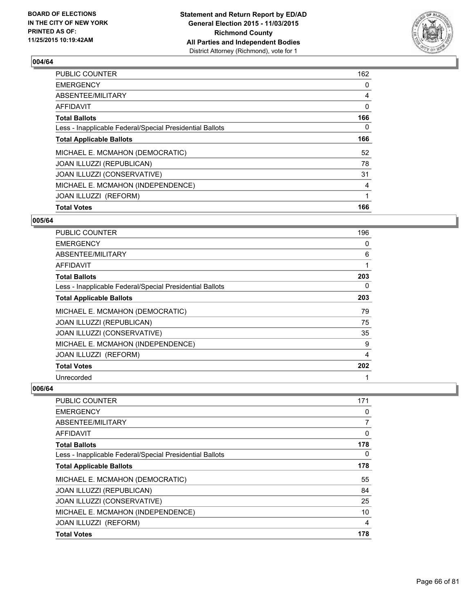

| <b>Total Votes</b>                                       |              |
|----------------------------------------------------------|--------------|
|                                                          | 166          |
| JOAN ILLUZZI (REFORM)                                    | 1            |
| MICHAEL E. MCMAHON (INDEPENDENCE)                        | 4            |
| JOAN ILLUZZI (CONSERVATIVE)                              | 31           |
| JOAN ILLUZZI (REPUBLICAN)                                | 78           |
| MICHAEL E. MCMAHON (DEMOCRATIC)                          | 52           |
| <b>Total Applicable Ballots</b>                          | 166          |
| Less - Inapplicable Federal/Special Presidential Ballots | 0            |
| <b>Total Ballots</b>                                     | 166          |
| <b>AFFIDAVIT</b>                                         | $\mathbf{0}$ |
| ABSENTEE/MILITARY                                        | 4            |
| <b>EMERGENCY</b>                                         | 0            |
| <b>PUBLIC COUNTER</b>                                    | 162          |

#### **005/64**

| <b>PUBLIC COUNTER</b>                                    | 196 |
|----------------------------------------------------------|-----|
| <b>EMERGENCY</b>                                         | 0   |
| ABSENTEE/MILITARY                                        | 6   |
| <b>AFFIDAVIT</b>                                         | 1   |
| <b>Total Ballots</b>                                     | 203 |
| Less - Inapplicable Federal/Special Presidential Ballots | 0   |
| <b>Total Applicable Ballots</b>                          | 203 |
| MICHAEL E. MCMAHON (DEMOCRATIC)                          | 79  |
| <b>JOAN ILLUZZI (REPUBLICAN)</b>                         | 75  |
| JOAN ILLUZZI (CONSERVATIVE)                              | 35  |
| MICHAEL E. MCMAHON (INDEPENDENCE)                        | 9   |
| JOAN ILLUZZI (REFORM)                                    | 4   |
| <b>Total Votes</b>                                       | 202 |
| Unrecorded                                               |     |

| <b>PUBLIC COUNTER</b>                                    | 171      |
|----------------------------------------------------------|----------|
| <b>EMERGENCY</b>                                         | 0        |
| ABSENTEE/MILITARY                                        | 7        |
| <b>AFFIDAVIT</b>                                         | 0        |
| <b>Total Ballots</b>                                     | 178      |
| Less - Inapplicable Federal/Special Presidential Ballots | $\Omega$ |
| <b>Total Applicable Ballots</b>                          | 178      |
| MICHAEL E. MCMAHON (DEMOCRATIC)                          | 55       |
| <b>JOAN ILLUZZI (REPUBLICAN)</b>                         | 84       |
| JOAN ILLUZZI (CONSERVATIVE)                              | 25       |
| MICHAEL E. MCMAHON (INDEPENDENCE)                        | 10       |
| <b>JOAN ILLUZZI (REFORM)</b>                             | 4        |
| <b>Total Votes</b>                                       | 178      |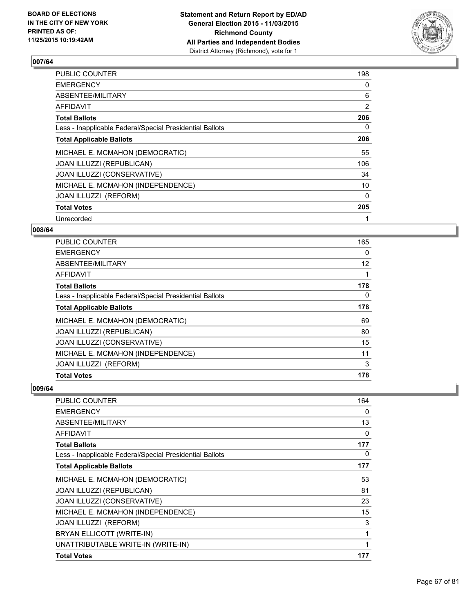

| <b>PUBLIC COUNTER</b>                                    | 198            |
|----------------------------------------------------------|----------------|
| <b>EMERGENCY</b>                                         | 0              |
| ABSENTEE/MILITARY                                        | 6              |
| AFFIDAVIT                                                | $\overline{2}$ |
| <b>Total Ballots</b>                                     | 206            |
| Less - Inapplicable Federal/Special Presidential Ballots | 0              |
| <b>Total Applicable Ballots</b>                          | 206            |
| MICHAEL E. MCMAHON (DEMOCRATIC)                          | 55             |
| JOAN ILLUZZI (REPUBLICAN)                                | 106            |
| JOAN ILLUZZI (CONSERVATIVE)                              | 34             |
| MICHAEL E. MCMAHON (INDEPENDENCE)                        | 10             |
| JOAN ILLUZZI (REFORM)                                    | 0              |
| <b>Total Votes</b>                                       | 205            |
| Unrecorded                                               | 1              |

# **008/64**

| <b>PUBLIC COUNTER</b>                                    | 165 |
|----------------------------------------------------------|-----|
| <b>EMERGENCY</b>                                         | 0   |
| ABSENTEE/MILITARY                                        | 12  |
| AFFIDAVIT                                                | 1   |
| <b>Total Ballots</b>                                     | 178 |
| Less - Inapplicable Federal/Special Presidential Ballots | 0   |
| <b>Total Applicable Ballots</b>                          | 178 |
| MICHAEL E. MCMAHON (DEMOCRATIC)                          | 69  |
| JOAN ILLUZZI (REPUBLICAN)                                | 80  |
| JOAN ILLUZZI (CONSERVATIVE)                              | 15  |
| MICHAEL E. MCMAHON (INDEPENDENCE)                        | 11  |
| JOAN ILLUZZI (REFORM)                                    | 3   |
| <b>Total Votes</b>                                       | 178 |

| <b>PUBLIC COUNTER</b>                                    | 164 |
|----------------------------------------------------------|-----|
| <b>EMERGENCY</b>                                         | 0   |
| ABSENTEE/MILITARY                                        | 13  |
| AFFIDAVIT                                                | 0   |
| <b>Total Ballots</b>                                     | 177 |
| Less - Inapplicable Federal/Special Presidential Ballots | 0   |
| <b>Total Applicable Ballots</b>                          | 177 |
| MICHAEL E. MCMAHON (DEMOCRATIC)                          | 53  |
| JOAN ILLUZZI (REPUBLICAN)                                | 81  |
| JOAN ILLUZZI (CONSERVATIVE)                              | 23  |
| MICHAEL E. MCMAHON (INDEPENDENCE)                        | 15  |
| <b>JOAN ILLUZZI (REFORM)</b>                             | 3   |
| BRYAN ELLICOTT (WRITE-IN)                                | 1   |
| UNATTRIBUTABLE WRITE-IN (WRITE-IN)                       | 1   |
| <b>Total Votes</b>                                       | 177 |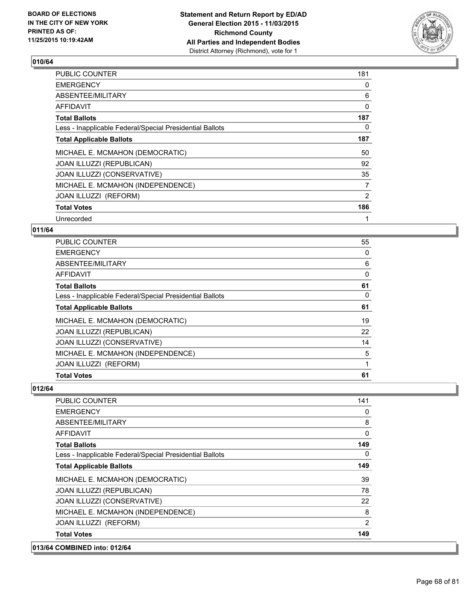

| <b>PUBLIC COUNTER</b>                                    | 181            |
|----------------------------------------------------------|----------------|
| <b>EMERGENCY</b>                                         | 0              |
| ABSENTEE/MILITARY                                        | 6              |
| AFFIDAVIT                                                | 0              |
| <b>Total Ballots</b>                                     | 187            |
| Less - Inapplicable Federal/Special Presidential Ballots | 0              |
| <b>Total Applicable Ballots</b>                          | 187            |
| MICHAEL E. MCMAHON (DEMOCRATIC)                          | 50             |
| JOAN ILLUZZI (REPUBLICAN)                                | 92             |
| JOAN ILLUZZI (CONSERVATIVE)                              | 35             |
| MICHAEL E. MCMAHON (INDEPENDENCE)                        | 7              |
| JOAN ILLUZZI (REFORM)                                    | $\overline{2}$ |
| <b>Total Votes</b>                                       | 186            |
| Unrecorded                                               | 1              |

# **011/64**

| <b>Total Votes</b>                                       | 61       |
|----------------------------------------------------------|----------|
| JOAN ILLUZZI (REFORM)                                    | 1        |
| MICHAEL E. MCMAHON (INDEPENDENCE)                        | 5        |
| JOAN ILLUZZI (CONSERVATIVE)                              | 14       |
| JOAN ILLUZZI (REPUBLICAN)                                | 22       |
| MICHAEL E. MCMAHON (DEMOCRATIC)                          | 19       |
| <b>Total Applicable Ballots</b>                          | 61       |
| Less - Inapplicable Federal/Special Presidential Ballots | $\Omega$ |
| <b>Total Ballots</b>                                     | 61       |
| <b>AFFIDAVIT</b>                                         | 0        |
| ABSENTEE/MILITARY                                        | 6        |
| <b>EMERGENCY</b>                                         | 0        |
| PUBLIC COUNTER                                           | 55       |

# **012/64**

| <b>COMBINED into: 012/64</b>                             |          |
|----------------------------------------------------------|----------|
| <b>Total Votes</b>                                       | 149      |
| JOAN ILLUZZI (REFORM)                                    | 2        |
| MICHAEL E. MCMAHON (INDEPENDENCE)                        | 8        |
| JOAN ILLUZZI (CONSERVATIVE)                              | 22       |
| JOAN ILLUZZI (REPUBLICAN)                                | 78       |
| MICHAEL E. MCMAHON (DEMOCRATIC)                          | 39       |
| <b>Total Applicable Ballots</b>                          | 149      |
| Less - Inapplicable Federal/Special Presidential Ballots | 0        |
| <b>Total Ballots</b>                                     | 149      |
| <b>AFFIDAVIT</b>                                         | $\Omega$ |
| ABSENTEE/MILITARY                                        | 8        |
| <b>EMERGENCY</b>                                         | 0        |
| PUBLIC COUNTER                                           | 141      |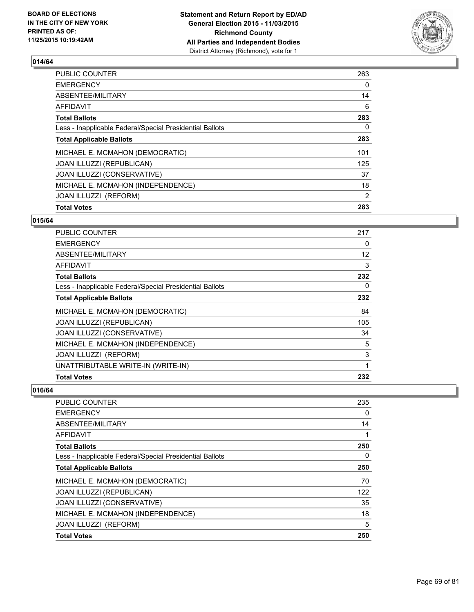

| <b>Total Votes</b>                                       | 283            |
|----------------------------------------------------------|----------------|
| JOAN ILLUZZI (REFORM)                                    | $\overline{2}$ |
| MICHAEL E. MCMAHON (INDEPENDENCE)                        | 18             |
| JOAN ILLUZZI (CONSERVATIVE)                              | 37             |
| JOAN ILLUZZI (REPUBLICAN)                                | 125            |
| MICHAEL E. MCMAHON (DEMOCRATIC)                          | 101            |
| <b>Total Applicable Ballots</b>                          | 283            |
| Less - Inapplicable Federal/Special Presidential Ballots | 0              |
| <b>Total Ballots</b>                                     | 283            |
| <b>AFFIDAVIT</b>                                         | 6              |
| ABSENTEE/MILITARY                                        | 14             |
| <b>EMERGENCY</b>                                         | 0              |
| PUBLIC COUNTER                                           | 263            |

# **015/64**

| <b>PUBLIC COUNTER</b>                                    | 217 |
|----------------------------------------------------------|-----|
| <b>EMERGENCY</b>                                         | 0   |
| ABSENTEE/MILITARY                                        | 12  |
| <b>AFFIDAVIT</b>                                         | 3   |
| <b>Total Ballots</b>                                     | 232 |
| Less - Inapplicable Federal/Special Presidential Ballots | 0   |
| <b>Total Applicable Ballots</b>                          | 232 |
| MICHAEL E. MCMAHON (DEMOCRATIC)                          | 84  |
| JOAN ILLUZZI (REPUBLICAN)                                | 105 |
| <b>JOAN ILLUZZI (CONSERVATIVE)</b>                       | 34  |
| MICHAEL E. MCMAHON (INDEPENDENCE)                        | 5   |
| JOAN ILLUZZI (REFORM)                                    | 3   |
| UNATTRIBUTABLE WRITE-IN (WRITE-IN)                       | 1   |
| <b>Total Votes</b>                                       | 232 |

| PUBLIC COUNTER                                           | 235 |
|----------------------------------------------------------|-----|
| <b>EMERGENCY</b>                                         | 0   |
| ABSENTEE/MILITARY                                        | 14  |
| AFFIDAVIT                                                |     |
| <b>Total Ballots</b>                                     | 250 |
| Less - Inapplicable Federal/Special Presidential Ballots | 0   |
| <b>Total Applicable Ballots</b>                          | 250 |
| MICHAEL E. MCMAHON (DEMOCRATIC)                          | 70  |
| <b>JOAN ILLUZZI (REPUBLICAN)</b>                         | 122 |
| JOAN ILLUZZI (CONSERVATIVE)                              | 35  |
| MICHAEL E. MCMAHON (INDEPENDENCE)                        | 18  |
| <b>JOAN ILLUZZI (REFORM)</b>                             | 5   |
| <b>Total Votes</b>                                       | 250 |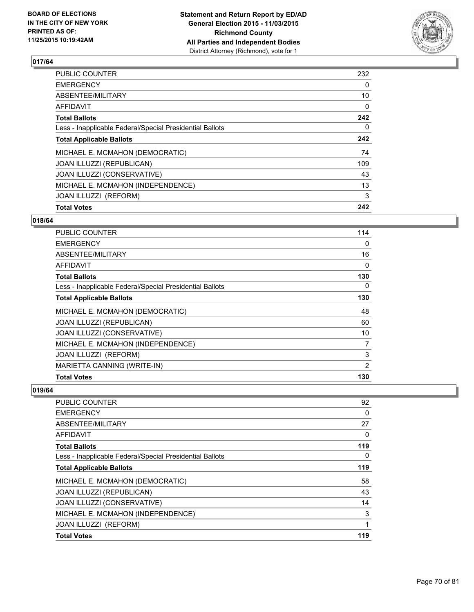

| <b>Total Votes</b>                                       | 242 |
|----------------------------------------------------------|-----|
| JOAN ILLUZZI (REFORM)                                    | 3   |
| MICHAEL E. MCMAHON (INDEPENDENCE)                        | 13  |
| JOAN ILLUZZI (CONSERVATIVE)                              | 43  |
| JOAN ILLUZZI (REPUBLICAN)                                | 109 |
| MICHAEL E. MCMAHON (DEMOCRATIC)                          | 74  |
| <b>Total Applicable Ballots</b>                          | 242 |
| Less - Inapplicable Federal/Special Presidential Ballots | 0   |
| <b>Total Ballots</b>                                     | 242 |
| <b>AFFIDAVIT</b>                                         | 0   |
| ABSENTEE/MILITARY                                        | 10  |
| <b>EMERGENCY</b>                                         | 0   |
| PUBLIC COUNTER                                           | 232 |

# **018/64**

| <b>PUBLIC COUNTER</b>                                    | 114            |
|----------------------------------------------------------|----------------|
| <b>EMERGENCY</b>                                         | 0              |
| ABSENTEE/MILITARY                                        | 16             |
| <b>AFFIDAVIT</b>                                         | 0              |
| <b>Total Ballots</b>                                     | 130            |
| Less - Inapplicable Federal/Special Presidential Ballots | 0              |
| <b>Total Applicable Ballots</b>                          | 130            |
| MICHAEL E. MCMAHON (DEMOCRATIC)                          | 48             |
| JOAN ILLUZZI (REPUBLICAN)                                | 60             |
| JOAN ILLUZZI (CONSERVATIVE)                              | 10             |
| MICHAEL E. MCMAHON (INDEPENDENCE)                        | 7              |
| JOAN ILLUZZI (REFORM)                                    | 3              |
| MARIETTA CANNING (WRITE-IN)                              | $\overline{2}$ |
| <b>Total Votes</b>                                       | 130            |

| PUBLIC COUNTER                                           | 92  |
|----------------------------------------------------------|-----|
| <b>EMERGENCY</b>                                         | 0   |
| ABSENTEE/MILITARY                                        | 27  |
| AFFIDAVIT                                                | 0   |
| <b>Total Ballots</b>                                     | 119 |
| Less - Inapplicable Federal/Special Presidential Ballots | 0   |
| <b>Total Applicable Ballots</b>                          | 119 |
| MICHAEL E. MCMAHON (DEMOCRATIC)                          | 58  |
| JOAN ILLUZZI (REPUBLICAN)                                | 43  |
| JOAN ILLUZZI (CONSERVATIVE)                              | 14  |
| MICHAEL E. MCMAHON (INDEPENDENCE)                        | 3   |
| JOAN ILLUZZI (REFORM)                                    | 1   |
| <b>Total Votes</b>                                       | 119 |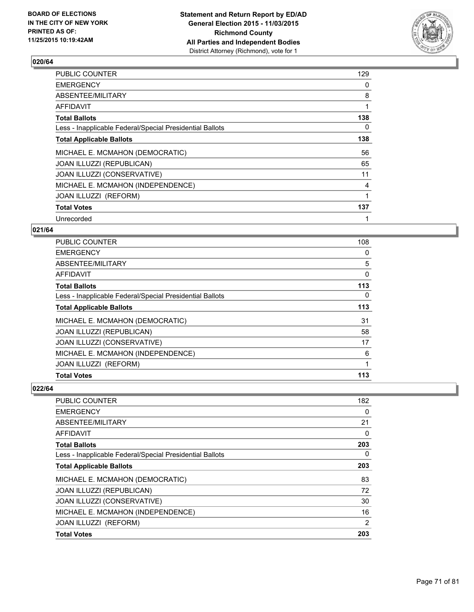

| PUBLIC COUNTER                                           | 129 |
|----------------------------------------------------------|-----|
| <b>EMERGENCY</b>                                         | 0   |
| ABSENTEE/MILITARY                                        | 8   |
| AFFIDAVIT                                                | 1   |
| <b>Total Ballots</b>                                     | 138 |
| Less - Inapplicable Federal/Special Presidential Ballots | 0   |
| <b>Total Applicable Ballots</b>                          | 138 |
| MICHAEL E. MCMAHON (DEMOCRATIC)                          | 56  |
| JOAN ILLUZZI (REPUBLICAN)                                | 65  |
| JOAN ILLUZZI (CONSERVATIVE)                              | 11  |
| MICHAEL E. MCMAHON (INDEPENDENCE)                        | 4   |
| JOAN ILLUZZI (REFORM)                                    | 1   |
| <b>Total Votes</b>                                       | 137 |
| Unrecorded                                               | 1   |

### **021/64**

| <b>PUBLIC COUNTER</b>                                    | 108 |
|----------------------------------------------------------|-----|
| <b>EMERGENCY</b>                                         | 0   |
| ABSENTEE/MILITARY                                        | 5   |
| AFFIDAVIT                                                | 0   |
| <b>Total Ballots</b>                                     | 113 |
| Less - Inapplicable Federal/Special Presidential Ballots | 0   |
| <b>Total Applicable Ballots</b>                          | 113 |
| MICHAEL E. MCMAHON (DEMOCRATIC)                          | 31  |
| JOAN ILLUZZI (REPUBLICAN)                                | 58  |
| JOAN ILLUZZI (CONSERVATIVE)                              | 17  |
| MICHAEL E. MCMAHON (INDEPENDENCE)                        | 6   |
| JOAN ILLUZZI (REFORM)                                    | 1   |
| <b>Total Votes</b>                                       | 113 |

| <b>Total Votes</b>                                       | 203 |
|----------------------------------------------------------|-----|
| JOAN ILLUZZI (REFORM)                                    | 2   |
| MICHAEL E. MCMAHON (INDEPENDENCE)                        | 16  |
| <b>JOAN ILLUZZI (CONSERVATIVE)</b>                       | 30  |
| JOAN ILLUZZI (REPUBLICAN)                                | 72  |
| MICHAEL E. MCMAHON (DEMOCRATIC)                          | 83  |
| <b>Total Applicable Ballots</b>                          | 203 |
| Less - Inapplicable Federal/Special Presidential Ballots | 0   |
| <b>Total Ballots</b>                                     | 203 |
| AFFIDAVIT                                                | 0   |
| ABSENTEE/MILITARY                                        | 21  |
| <b>EMERGENCY</b>                                         | 0   |
| PUBLIC COUNTER                                           | 182 |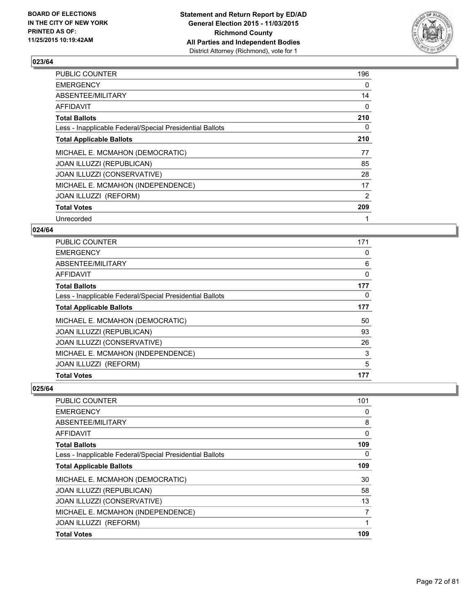

| PUBLIC COUNTER                                           | 196 |
|----------------------------------------------------------|-----|
| <b>EMERGENCY</b>                                         | 0   |
| ABSENTEE/MILITARY                                        | 14  |
| AFFIDAVIT                                                | 0   |
| <b>Total Ballots</b>                                     | 210 |
| Less - Inapplicable Federal/Special Presidential Ballots | 0   |
| <b>Total Applicable Ballots</b>                          | 210 |
| MICHAEL E. MCMAHON (DEMOCRATIC)                          | 77  |
| <b>JOAN ILLUZZI (REPUBLICAN)</b>                         | 85  |
| JOAN ILLUZZI (CONSERVATIVE)                              | 28  |
| MICHAEL E. MCMAHON (INDEPENDENCE)                        | 17  |
| JOAN ILLUZZI (REFORM)                                    | 2   |
| <b>Total Votes</b>                                       | 209 |
| Unrecorded                                               | 1   |

# **024/64**

| <b>Total Votes</b>                                       | 177 |
|----------------------------------------------------------|-----|
| JOAN ILLUZZI (REFORM)                                    | 5   |
| MICHAEL E. MCMAHON (INDEPENDENCE)                        | 3   |
| JOAN ILLUZZI (CONSERVATIVE)                              | 26  |
| JOAN ILLUZZI (REPUBLICAN)                                | 93  |
| MICHAEL E. MCMAHON (DEMOCRATIC)                          | 50  |
| <b>Total Applicable Ballots</b>                          | 177 |
| Less - Inapplicable Federal/Special Presidential Ballots | 0   |
| <b>Total Ballots</b>                                     | 177 |
| AFFIDAVIT                                                | 0   |
| ABSENTEE/MILITARY                                        | 6   |
| <b>EMERGENCY</b>                                         | 0   |
| <b>PUBLIC COUNTER</b>                                    | 171 |

| <b>Total Votes</b>                                       | 109      |
|----------------------------------------------------------|----------|
| JOAN ILLUZZI (REFORM)                                    | 1        |
| MICHAEL E. MCMAHON (INDEPENDENCE)                        | 7        |
| JOAN ILLUZZI (CONSERVATIVE)                              | 13       |
| <b>JOAN ILLUZZI (REPUBLICAN)</b>                         | 58       |
| MICHAEL E. MCMAHON (DEMOCRATIC)                          | 30       |
| <b>Total Applicable Ballots</b>                          | 109      |
| Less - Inapplicable Federal/Special Presidential Ballots | $\Omega$ |
| <b>Total Ballots</b>                                     | 109      |
| AFFIDAVIT                                                | 0        |
| ABSENTEE/MILITARY                                        | 8        |
| <b>EMERGENCY</b>                                         | 0        |
| <b>PUBLIC COUNTER</b>                                    | 101      |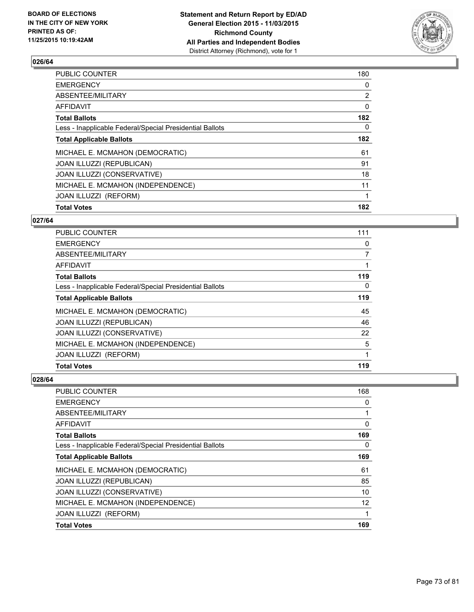

| <b>Total Votes</b>                                       | 182            |
|----------------------------------------------------------|----------------|
| JOAN ILLUZZI (REFORM)                                    | 1              |
| MICHAEL E. MCMAHON (INDEPENDENCE)                        | 11             |
| JOAN ILLUZZI (CONSERVATIVE)                              | 18             |
| JOAN ILLUZZI (REPUBLICAN)                                | 91             |
| MICHAEL E. MCMAHON (DEMOCRATIC)                          | 61             |
| <b>Total Applicable Ballots</b>                          | 182            |
| Less - Inapplicable Federal/Special Presidential Ballots | 0              |
| <b>Total Ballots</b>                                     | 182            |
| <b>AFFIDAVIT</b>                                         | $\mathbf{0}$   |
| ABSENTEE/MILITARY                                        | $\overline{2}$ |
| <b>EMERGENCY</b>                                         | 0              |
| PUBLIC COUNTER                                           | 180            |

# **027/64**

| <b>PUBLIC COUNTER</b>                                    | 111          |
|----------------------------------------------------------|--------------|
| <b>EMERGENCY</b>                                         | 0            |
| ABSENTEE/MILITARY                                        | 7            |
| AFFIDAVIT                                                |              |
| <b>Total Ballots</b>                                     | 119          |
| Less - Inapplicable Federal/Special Presidential Ballots | 0            |
| <b>Total Applicable Ballots</b>                          | 119          |
| MICHAEL E. MCMAHON (DEMOCRATIC)                          | 45           |
| <b>JOAN ILLUZZI (REPUBLICAN)</b>                         | 46           |
| JOAN ILLUZZI (CONSERVATIVE)                              | 22           |
| MICHAEL E. MCMAHON (INDEPENDENCE)                        | 5            |
| <b>JOAN ILLUZZI (REFORM)</b>                             | $\mathbf{1}$ |
| <b>Total Votes</b>                                       | 119          |

| <b>PUBLIC COUNTER</b>                                    | 168 |
|----------------------------------------------------------|-----|
| <b>EMERGENCY</b>                                         | 0   |
| ABSENTEE/MILITARY                                        | 1   |
| <b>AFFIDAVIT</b>                                         | 0   |
| <b>Total Ballots</b>                                     | 169 |
| Less - Inapplicable Federal/Special Presidential Ballots | 0   |
| <b>Total Applicable Ballots</b>                          | 169 |
| MICHAEL E. MCMAHON (DEMOCRATIC)                          | 61  |
| <b>JOAN ILLUZZI (REPUBLICAN)</b>                         | 85  |
| JOAN ILLUZZI (CONSERVATIVE)                              | 10  |
| MICHAEL E. MCMAHON (INDEPENDENCE)                        | 12  |
| JOAN ILLUZZI (REFORM)                                    | 1   |
| <b>Total Votes</b>                                       | 169 |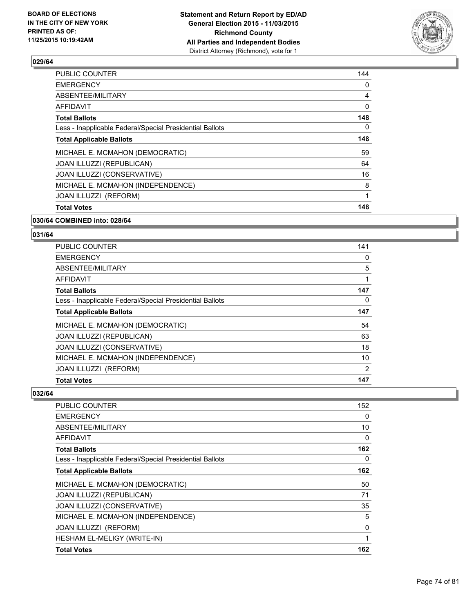

| <b>Total Votes</b>                                       | 148 |
|----------------------------------------------------------|-----|
| JOAN ILLUZZI (REFORM)                                    | 1   |
| MICHAEL E. MCMAHON (INDEPENDENCE)                        | 8   |
| JOAN ILLUZZI (CONSERVATIVE)                              | 16  |
| JOAN ILLUZZI (REPUBLICAN)                                | 64  |
| MICHAEL E. MCMAHON (DEMOCRATIC)                          | 59  |
| <b>Total Applicable Ballots</b>                          | 148 |
| Less - Inapplicable Federal/Special Presidential Ballots | 0   |
| <b>Total Ballots</b>                                     | 148 |
| AFFIDAVIT                                                | 0   |
| ABSENTEE/MILITARY                                        | 4   |
| <b>EMERGENCY</b>                                         | 0   |
| PUBLIC COUNTER                                           | 144 |

### **030/64 COMBINED into: 028/64**

# **031/64**

| <b>PUBLIC COUNTER</b>                                    | 141 |
|----------------------------------------------------------|-----|
| <b>EMERGENCY</b>                                         | 0   |
| ABSENTEE/MILITARY                                        | 5   |
| AFFIDAVIT                                                | 1   |
| <b>Total Ballots</b>                                     | 147 |
| Less - Inapplicable Federal/Special Presidential Ballots | 0   |
| <b>Total Applicable Ballots</b>                          | 147 |
| MICHAEL E. MCMAHON (DEMOCRATIC)                          | 54  |
| <b>JOAN ILLUZZI (REPUBLICAN)</b>                         | 63  |
| JOAN ILLUZZI (CONSERVATIVE)                              | 18  |
| MICHAEL E. MCMAHON (INDEPENDENCE)                        | 10  |
| JOAN ILLUZZI (REFORM)                                    | 2   |
| <b>Total Votes</b>                                       | 147 |

| PUBLIC COUNTER                                           | 152 |
|----------------------------------------------------------|-----|
| <b>EMERGENCY</b>                                         | 0   |
| ABSENTEE/MILITARY                                        | 10  |
| AFFIDAVIT                                                | 0   |
| <b>Total Ballots</b>                                     | 162 |
| Less - Inapplicable Federal/Special Presidential Ballots | 0   |
| <b>Total Applicable Ballots</b>                          | 162 |
| MICHAEL E. MCMAHON (DEMOCRATIC)                          | 50  |
| JOAN ILLUZZI (REPUBLICAN)                                | 71  |
| JOAN ILLUZZI (CONSERVATIVE)                              | 35  |
| MICHAEL E. MCMAHON (INDEPENDENCE)                        | 5   |
| JOAN ILLUZZI (REFORM)                                    | 0   |
| HESHAM EL-MELIGY (WRITE-IN)                              | 1   |
| <b>Total Votes</b>                                       | 162 |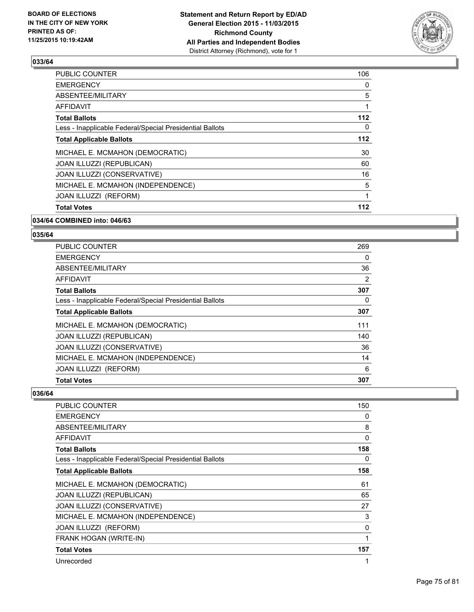

| <b>Total Votes</b>                                       | 112 |
|----------------------------------------------------------|-----|
| <b>JOAN ILLUZZI (REFORM)</b>                             | 1   |
| MICHAEL E. MCMAHON (INDEPENDENCE)                        | 5   |
| JOAN ILLUZZI (CONSERVATIVE)                              | 16  |
| JOAN ILLUZZI (REPUBLICAN)                                | 60  |
| MICHAEL E. MCMAHON (DEMOCRATIC)                          | 30  |
| <b>Total Applicable Ballots</b>                          | 112 |
| Less - Inapplicable Federal/Special Presidential Ballots | 0   |
| <b>Total Ballots</b>                                     | 112 |
| AFFIDAVIT                                                |     |
| ABSENTEE/MILITARY                                        | 5   |
| <b>EMERGENCY</b>                                         | 0   |
| PUBLIC COUNTER                                           | 106 |

### **034/64 COMBINED into: 046/63**

# **035/64**

| <b>Total Votes</b>                                       | 307 |
|----------------------------------------------------------|-----|
| JOAN ILLUZZI (REFORM)                                    | 6   |
| MICHAEL E. MCMAHON (INDEPENDENCE)                        | 14  |
| JOAN ILLUZZI (CONSERVATIVE)                              | 36  |
| JOAN ILLUZZI (REPUBLICAN)                                | 140 |
| MICHAEL E. MCMAHON (DEMOCRATIC)                          | 111 |
| <b>Total Applicable Ballots</b>                          | 307 |
| Less - Inapplicable Federal/Special Presidential Ballots | 0   |
| <b>Total Ballots</b>                                     | 307 |
| AFFIDAVIT                                                | 2   |
| ABSENTEE/MILITARY                                        | 36  |
| <b>EMERGENCY</b>                                         | 0   |
| <b>PUBLIC COUNTER</b>                                    | 269 |

| PUBLIC COUNTER                                           | 150 |
|----------------------------------------------------------|-----|
| <b>EMERGENCY</b>                                         | 0   |
| ABSENTEE/MILITARY                                        | 8   |
| <b>AFFIDAVIT</b>                                         | 0   |
| <b>Total Ballots</b>                                     | 158 |
| Less - Inapplicable Federal/Special Presidential Ballots | 0   |
| <b>Total Applicable Ballots</b>                          | 158 |
| MICHAEL E. MCMAHON (DEMOCRATIC)                          | 61  |
| JOAN ILLUZZI (REPUBLICAN)                                | 65  |
| JOAN ILLUZZI (CONSERVATIVE)                              | 27  |
| MICHAEL E. MCMAHON (INDEPENDENCE)                        | 3   |
| JOAN ILLUZZI (REFORM)                                    | 0   |
| FRANK HOGAN (WRITE-IN)                                   | 1   |
| <b>Total Votes</b>                                       | 157 |
| Unrecorded                                               | 1   |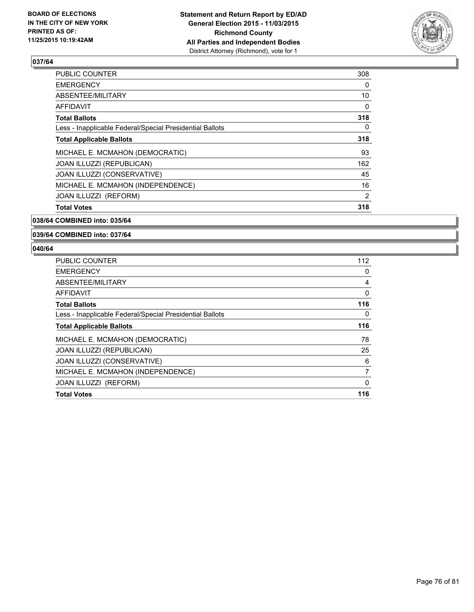

| <b>PUBLIC COUNTER</b>                                    | 308            |
|----------------------------------------------------------|----------------|
| <b>EMERGENCY</b>                                         | 0              |
| ABSENTEE/MILITARY                                        | 10             |
| <b>AFFIDAVIT</b>                                         | 0              |
| <b>Total Ballots</b>                                     | 318            |
| Less - Inapplicable Federal/Special Presidential Ballots | 0              |
| <b>Total Applicable Ballots</b>                          | 318            |
| MICHAEL E. MCMAHON (DEMOCRATIC)                          | 93             |
| JOAN ILLUZZI (REPUBLICAN)                                | 162            |
| JOAN ILLUZZI (CONSERVATIVE)                              | 45             |
| MICHAEL E. MCMAHON (INDEPENDENCE)                        | 16             |
| JOAN ILLUZZI (REFORM)                                    | $\overline{2}$ |
| <b>Total Votes</b>                                       | 318            |
|                                                          |                |

### **038/64 COMBINED into: 035/64**

### **039/64 COMBINED into: 037/64**

| <b>Total Votes</b>                                       | 116 |
|----------------------------------------------------------|-----|
| <b>JOAN ILLUZZI (REFORM)</b>                             | 0   |
| MICHAEL E. MCMAHON (INDEPENDENCE)                        | 7   |
| JOAN ILLUZZI (CONSERVATIVE)                              | 6   |
| <b>JOAN ILLUZZI (REPUBLICAN)</b>                         | 25  |
| MICHAEL E. MCMAHON (DEMOCRATIC)                          | 78  |
| <b>Total Applicable Ballots</b>                          | 116 |
| Less - Inapplicable Federal/Special Presidential Ballots | 0   |
| <b>Total Ballots</b>                                     | 116 |
| AFFIDAVIT                                                | 0   |
| ABSENTEE/MILITARY                                        | 4   |
| <b>EMERGENCY</b>                                         | 0   |
| <b>PUBLIC COUNTER</b>                                    | 112 |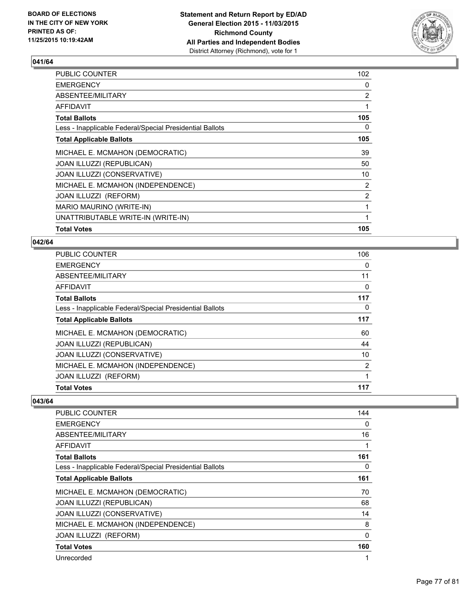

| <b>Total Votes</b>                                       | 105            |
|----------------------------------------------------------|----------------|
| UNATTRIBUTABLE WRITE-IN (WRITE-IN)                       | 1              |
| MARIO MAURINO (WRITE-IN)                                 |                |
| JOAN ILLUZZI (REFORM)                                    | $\overline{2}$ |
| MICHAEL E. MCMAHON (INDEPENDENCE)                        | $\overline{2}$ |
| JOAN ILLUZZI (CONSERVATIVE)                              | 10             |
| JOAN ILLUZZI (REPUBLICAN)                                | 50             |
| MICHAEL E. MCMAHON (DEMOCRATIC)                          | 39             |
| <b>Total Applicable Ballots</b>                          | 105            |
| Less - Inapplicable Federal/Special Presidential Ballots | 0              |
| <b>Total Ballots</b>                                     | 105            |
| AFFIDAVIT                                                | 1              |
| ABSENTEE/MILITARY                                        | $\overline{2}$ |
| <b>EMERGENCY</b>                                         | 0              |
| PUBLIC COUNTER                                           | 102            |

### **042/64**

| PUBLIC COUNTER                                           | 106 |
|----------------------------------------------------------|-----|
| <b>EMERGENCY</b>                                         | 0   |
| ABSENTEE/MILITARY                                        | 11  |
| AFFIDAVIT                                                | 0   |
| <b>Total Ballots</b>                                     | 117 |
| Less - Inapplicable Federal/Special Presidential Ballots | 0   |
| <b>Total Applicable Ballots</b>                          | 117 |
| MICHAEL E. MCMAHON (DEMOCRATIC)                          | 60  |
| JOAN ILLUZZI (REPUBLICAN)                                | 44  |
| JOAN ILLUZZI (CONSERVATIVE)                              | 10  |
| MICHAEL E. MCMAHON (INDEPENDENCE)                        | 2   |
| JOAN ILLUZZI (REFORM)                                    | 1   |
| <b>Total Votes</b>                                       | 117 |

| PUBLIC COUNTER                                           | 144         |
|----------------------------------------------------------|-------------|
| <b>EMERGENCY</b>                                         | 0           |
| ABSENTEE/MILITARY                                        | 16          |
| <b>AFFIDAVIT</b>                                         | 1           |
| <b>Total Ballots</b>                                     | 161         |
| Less - Inapplicable Federal/Special Presidential Ballots | 0           |
| <b>Total Applicable Ballots</b>                          | 161         |
| MICHAEL E. MCMAHON (DEMOCRATIC)                          | 70          |
| <b>JOAN ILLUZZI (REPUBLICAN)</b>                         | 68          |
| JOAN ILLUZZI (CONSERVATIVE)                              | 14          |
| MICHAEL E. MCMAHON (INDEPENDENCE)                        | 8           |
| JOAN ILLUZZI (REFORM)                                    | $\mathbf 0$ |
| <b>Total Votes</b>                                       | 160         |
| Unrecorded                                               | 1           |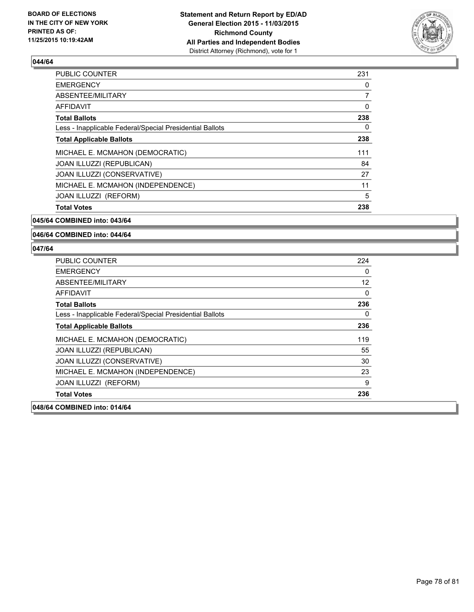

| PUBLIC COUNTER                                           | 231 |
|----------------------------------------------------------|-----|
| <b>EMERGENCY</b>                                         | 0   |
| ABSENTEE/MILITARY                                        | 7   |
| <b>AFFIDAVIT</b>                                         | 0   |
| <b>Total Ballots</b>                                     | 238 |
| Less - Inapplicable Federal/Special Presidential Ballots | 0   |
| <b>Total Applicable Ballots</b>                          | 238 |
| MICHAEL E. MCMAHON (DEMOCRATIC)                          | 111 |
| <b>JOAN ILLUZZI (REPUBLICAN)</b>                         | 84  |
| JOAN ILLUZZI (CONSERVATIVE)                              | 27  |
| MICHAEL E. MCMAHON (INDEPENDENCE)                        | 11  |
| JOAN ILLUZZI (REFORM)                                    | 5   |
| <b>Total Votes</b>                                       | 238 |
|                                                          |     |

### **045/64 COMBINED into: 043/64**

#### **046/64 COMBINED into: 044/64**

| <b>PUBLIC COUNTER</b>                                    | 224 |
|----------------------------------------------------------|-----|
| <b>EMERGENCY</b>                                         | 0   |
| ABSENTEE/MILITARY                                        | 12  |
| <b>AFFIDAVIT</b>                                         | 0   |
| <b>Total Ballots</b>                                     | 236 |
| Less - Inapplicable Federal/Special Presidential Ballots | 0   |
| <b>Total Applicable Ballots</b>                          | 236 |
| MICHAEL E. MCMAHON (DEMOCRATIC)                          | 119 |
| JOAN ILLUZZI (REPUBLICAN)                                | 55  |
| JOAN ILLUZZI (CONSERVATIVE)                              | 30  |
| MICHAEL E. MCMAHON (INDEPENDENCE)                        | 23  |
| JOAN ILLUZZI (REFORM)                                    | 9   |
| <b>Total Votes</b>                                       | 236 |
| 048/64 COMBINED into: 014/64                             |     |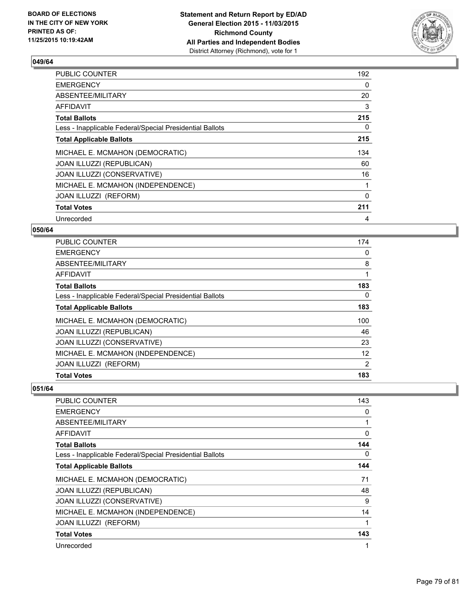

| PUBLIC COUNTER                                           | 192 |
|----------------------------------------------------------|-----|
| <b>EMERGENCY</b>                                         | 0   |
| ABSENTEE/MILITARY                                        | 20  |
| <b>AFFIDAVIT</b>                                         | 3   |
| <b>Total Ballots</b>                                     | 215 |
| Less - Inapplicable Federal/Special Presidential Ballots | 0   |
| <b>Total Applicable Ballots</b>                          | 215 |
| MICHAEL E. MCMAHON (DEMOCRATIC)                          | 134 |
| JOAN ILLUZZI (REPUBLICAN)                                | 60  |
| JOAN ILLUZZI (CONSERVATIVE)                              | 16  |
| MICHAEL E. MCMAHON (INDEPENDENCE)                        | 1   |
| JOAN ILLUZZI (REFORM)                                    | 0   |
| <b>Total Votes</b>                                       | 211 |
| Unrecorded                                               | 4   |

## **050/64**

| <b>Total Votes</b>                                       | 183               |
|----------------------------------------------------------|-------------------|
| JOAN ILLUZZI (REFORM)                                    | $\overline{2}$    |
| MICHAEL E. MCMAHON (INDEPENDENCE)                        | $12 \overline{ }$ |
| JOAN ILLUZZI (CONSERVATIVE)                              | 23                |
| <b>JOAN ILLUZZI (REPUBLICAN)</b>                         | 46                |
| MICHAEL E. MCMAHON (DEMOCRATIC)                          | 100               |
| <b>Total Applicable Ballots</b>                          | 183               |
| Less - Inapplicable Federal/Special Presidential Ballots | 0                 |
| <b>Total Ballots</b>                                     | 183               |
| <b>AFFIDAVIT</b>                                         | 1                 |
| ABSENTEE/MILITARY                                        | 8                 |
| <b>EMERGENCY</b>                                         | 0                 |
| <b>PUBLIC COUNTER</b>                                    | 174               |

| PUBLIC COUNTER                                           | 143      |
|----------------------------------------------------------|----------|
| <b>EMERGENCY</b>                                         | 0        |
| ABSENTEE/MILITARY                                        |          |
| <b>AFFIDAVIT</b>                                         | $\Omega$ |
| <b>Total Ballots</b>                                     | 144      |
| Less - Inapplicable Federal/Special Presidential Ballots | 0        |
| <b>Total Applicable Ballots</b>                          | 144      |
| MICHAEL E. MCMAHON (DEMOCRATIC)                          | 71       |
| JOAN ILLUZZI (REPUBLICAN)                                | 48       |
| JOAN ILLUZZI (CONSERVATIVE)                              | 9        |
| MICHAEL E. MCMAHON (INDEPENDENCE)                        | 14       |
| JOAN ILLUZZI (REFORM)                                    |          |
| <b>Total Votes</b>                                       | 143      |
| Unrecorded                                               | 1        |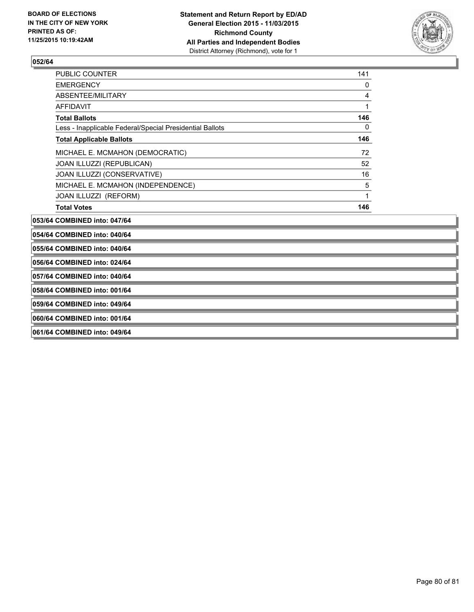

| <b>PUBLIC COUNTER</b>                                    | 141          |
|----------------------------------------------------------|--------------|
| <b>EMERGENCY</b>                                         | 0            |
| ABSENTEE/MILITARY                                        | 4            |
| <b>AFFIDAVIT</b>                                         | 1            |
| <b>Total Ballots</b>                                     | 146          |
| Less - Inapplicable Federal/Special Presidential Ballots | $\mathbf{0}$ |
| <b>Total Applicable Ballots</b>                          | 146          |
| MICHAEL E. MCMAHON (DEMOCRATIC)                          | 72           |
| JOAN ILLUZZI (REPUBLICAN)                                | 52           |
| JOAN ILLUZZI (CONSERVATIVE)                              | 16           |
| MICHAEL E. MCMAHON (INDEPENDENCE)                        | 5            |
| JOAN ILLUZZI (REFORM)                                    | 1            |
| <b>Total Votes</b>                                       | 146          |
| 053/64 COMBINED into: 047/64                             |              |
| 054/64 COMBINED into: 040/64                             |              |
| 055/64 COMBINED into: 040/64                             |              |
| 056/64 COMBINED into: 024/64                             |              |
| 057/64 COMBINED into: 040/64                             |              |
| 058/64 COMBINED into: 001/64                             |              |
| 059/64 COMBINED into: 049/64                             |              |
| 060/64 COMBINED into: 001/64                             |              |
| 061/64 COMBINED into: 049/64                             |              |